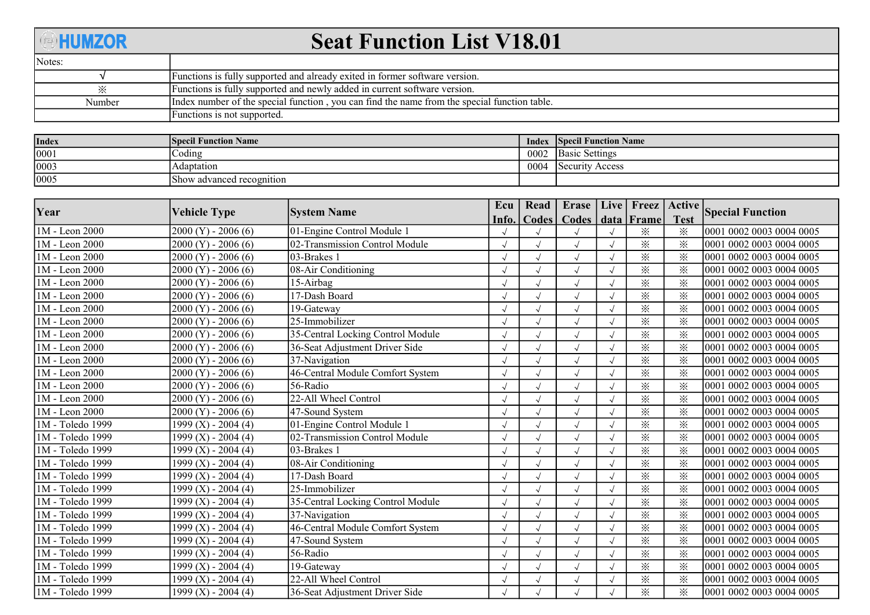## **@HUMZOR** Seat Function List V18.01 Notes: Functions is fully supported and already exited in former software version. √ ※ Functions is fully supported and newly added in current software version. Index number of the special function , you can find the name from the special function table. Number Functions is not supported.

| Index | <b>Specil Function Name</b> | <b>Index</b> | <b>Specil Function Name</b> |
|-------|-----------------------------|--------------|-----------------------------|
| 0001  | Coding                      | 0002         | <b>Basic Settings</b>       |
| 0003  | Adaptation                  | 0004         | Security Access             |
| 0005  | Show advanced recognition   |              |                             |

| Year             |                         |                                   | Ecu   | Read  | Erase   Live   Freez |          | Active      |                          |
|------------------|-------------------------|-----------------------------------|-------|-------|----------------------|----------|-------------|--------------------------|
|                  | Vehicle Type            | <b>System Name</b>                | Info. | Codes | Codes   data   Frame |          | <b>Test</b> | <b>Special Function</b>  |
| 1M - Leon 2000   | $2000 (Y) - 2006 (6)$   | 01-Engine Control Module 1        |       |       |                      | $\times$ | $\times$    | 0001 0002 0003 0004 0005 |
| 1M - Leon 2000   | $2000 (Y) - 2006 (6)$   | 02-Transmission Control Module    |       |       |                      | $\times$ | $\times$    | 0001 0002 0003 0004 0005 |
| 1M - Leon 2000   | $2000 (Y) - 2006 (6)$   | 03-Brakes 1                       |       |       |                      | ⋇        | ፠           | 0001 0002 0003 0004 0005 |
| 1M - Leon 2000   | $2000 (Y) - 2006 (6)$   | 08-Air Conditioning               |       |       | $\sqrt{\phantom{a}}$ | ⋇        | $\times$    | 0001 0002 0003 0004 0005 |
| 1M - Leon 2000   | $2000 (Y) - 2006 (6)$   | 15-Airbag                         |       |       | $\sqrt{ }$           | $\times$ | $\times$    | 0001 0002 0003 0004 0005 |
| 1M - Leon 2000   | $2000 (Y) - 2006 (6)$   | 17-Dash Board                     |       |       |                      | $\times$ | $\times$    | 0001 0002 0003 0004 0005 |
| 1M - Leon 2000   | $2000 (Y) - 2006 (6)$   | 19-Gateway                        |       |       | $\sqrt{ }$           | ፠        | $\times$    | 0001 0002 0003 0004 0005 |
| 1M - Leon 2000   | $2000 (Y) - 2006 (6)$   | $\sqrt{25}$ -Immobilizer          |       |       |                      | ⋇        | $\times$    | 0001 0002 0003 0004 0005 |
| 1M - Leon 2000   | $2000 (Y) - 2006 (6)$   | 35-Central Locking Control Module |       |       | $\sqrt{ }$           | ※        | ፠           | 0001 0002 0003 0004 0005 |
| 1M - Leon 2000   | $2000 (Y) - 2006 (6)$   | 36-Seat Adjustment Driver Side    |       |       | $\sqrt{ }$           | ⋇        | $\times$    | 0001 0002 0003 0004 0005 |
| 1M - Leon 2000   | $2000 (Y) - 2006 (6)$   | 37-Navigation                     |       |       |                      | $\times$ | $\times$    | 0001 0002 0003 0004 0005 |
| 1M - Leon 2000   | $2000 (Y) - 2006 (6)$   | 46-Central Module Comfort System  |       |       |                      | ⋇        | $\times$    | 0001 0002 0003 0004 0005 |
| 1M - Leon 2000   | $2000 (Y) - 2006 (6)$   | 56-Radio                          |       |       |                      | ⋇        | $\times$    | 0001 0002 0003 0004 0005 |
| 1M - Leon 2000   | $2000 (Y) - 2006 (6)$   | 22-All Wheel Control              |       |       | $\sqrt{ }$           | $\times$ | $\times$    | 0001 0002 0003 0004 0005 |
| 1M - Leon 2000   | $2000 (Y) - 2006 (6)$   | 47-Sound System                   |       |       | $\sqrt{ }$           | ⋇        | $\times$    | 0001 0002 0003 0004 0005 |
| 1M - Toledo 1999 | $1999$ (X) - 2004 (4)   | 01-Engine Control Module 1        |       |       |                      | ፠        | $\times$    | 0001 0002 0003 0004 0005 |
| 1M - Toledo 1999 | 1999 $(X)$ - 2004 $(4)$ | 02-Transmission Control Module    |       |       | $\sqrt{ }$           | $\times$ | $\times$    | 0001 0002 0003 0004 0005 |
| 1M - Toledo 1999 | 1999 $(X)$ - 2004 $(4)$ | $\overline{0}$ 3-Brakes 1         |       |       |                      | $\times$ | $\times$    | 0001 0002 0003 0004 0005 |
| 1M - Toledo 1999 | 1999 $(X)$ - 2004 $(4)$ | 08-Air Conditioning               |       |       | $\sqrt{ }$           | ⋇        | ፠           | 0001 0002 0003 0004 0005 |
| 1M - Toledo 1999 | 1999 $(X)$ - 2004 $(4)$ | 17-Dash Board                     |       |       |                      | ⋇        | $\times$    | 0001 0002 0003 0004 0005 |
| 1M - Toledo 1999 | $1999$ (X) - 2004 (4)   | 25-Immobilizer                    |       |       |                      | ⋇        | $\times$    | 0001 0002 0003 0004 0005 |
| 1M - Toledo 1999 | $1999$ (X) - 2004 (4)   | 35-Central Locking Control Module |       |       | $\sqrt{ }$           | $\times$ | ⋇           | 0001 0002 0003 0004 0005 |
| 1M - Toledo 1999 | 1999 $(X)$ - 2004 $(4)$ | 37-Navigation                     |       |       |                      | ⋇        | $\times$    | 0001 0002 0003 0004 0005 |
| 1M - Toledo 1999 | 1999 $(X)$ - 2004 $(4)$ | 46-Central Module Comfort System  |       |       | $\sqrt{ }$           | $\times$ | ፠           | 0001 0002 0003 0004 0005 |
| 1M - Toledo 1999 | 1999 $(X)$ - 2004 $(4)$ | 47-Sound System                   |       |       |                      | $\times$ | ⋇           | 0001 0002 0003 0004 0005 |
| 1M - Toledo 1999 | $1999$ (X) - 2004 (4)   | 56-Radio                          |       |       |                      | ⋇        | $\times$    | 0001 0002 0003 0004 0005 |
| 1M - Toledo 1999 | 1999 $(X)$ - 2004 $(4)$ | 19-Gateway                        |       |       | $\sqrt{ }$           | $\times$ | $\times$    | 0001 0002 0003 0004 0005 |
| 1M - Toledo 1999 | $1999$ (X) - 2004 (4)   | 22-All Wheel Control              |       |       |                      | ⋇        | ⋇           | 0001 0002 0003 0004 0005 |
| 1M - Toledo 1999 | $1999$ (X) - 2004 (4)   | 36-Seat Adjustment Driver Side    |       |       | $\sqrt{ }$           | $\times$ | ⋇           | 0001 0002 0003 0004 0005 |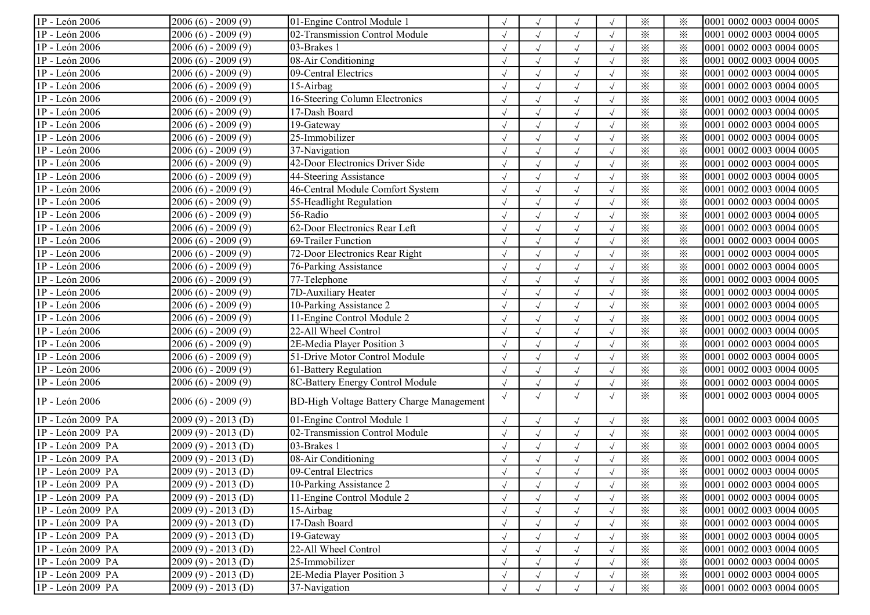| 1P - León 2006    | $2006(6) - 2009(9)$ | 01-Engine Control Module 1                |            | $\sqrt{ }$   |            | $\times$                | $\times$ | 0001 0002 0003 0004 0005 |
|-------------------|---------------------|-------------------------------------------|------------|--------------|------------|-------------------------|----------|--------------------------|
| 1P - León 2006    | $2006(6) - 2009(9)$ | 02-Transmission Control Module            |            | $\sqrt{ }$   |            | $\times$                | ⋇        | 0001 0002 0003 0004 0005 |
| 1P - León 2006    | $2006(6) - 2009(9)$ | 03-Brakes 1                               |            | $\sqrt{ }$   |            | $\times$                | $\times$ | 0001 0002 0003 0004 0005 |
| 1P - León 2006    | $2006(6) - 2009(9)$ | 08-Air Conditioning                       |            | $\sqrt{ }$   |            | $\times$                | $\times$ | 0001 0002 0003 0004 0005 |
| 1P - León 2006    | $2006(6) - 2009(9)$ | 09-Central Electrics                      |            |              |            | $\times$                | $\times$ | 0001 0002 0003 0004 0005 |
| 1P - León 2006    | $2006(6) - 2009(9)$ | 15-Airbag                                 |            |              |            | $\times$                | $\times$ | 0001 0002 0003 0004 0005 |
| 1P - León 2006    | $2006(6) - 2009(9)$ | 16-Steering Column Electronics            |            | $\sqrt{ }$   |            | $\times$                | $\times$ | 0001 0002 0003 0004 0005 |
| 1P - León 2006    | $2006(6) - 2009(9)$ | 17-Dash Board                             |            | $\sqrt{ }$   |            | $\times$                | $\times$ | 0001 0002 0003 0004 0005 |
| 1P - León 2006    | $2006(6) - 2009(9)$ | 19-Gateway                                | $\sqrt{ }$ | $\sqrt{ }$   | $\sqrt{ }$ | $\times$                | $\times$ | 0001 0002 0003 0004 0005 |
| 1P - León 2006    | $2006(6) - 2009(9)$ | 25-Immobilizer                            |            | $\sqrt{ }$   |            | $\times$                | $\times$ | 0001 0002 0003 0004 0005 |
| 1P - León 2006    | $2006(6) - 2009(9)$ | 37-Navigation                             |            | $\sqrt{ }$   |            | $\times$                | $\times$ | 0001 0002 0003 0004 0005 |
| 1P - León 2006    | $2006(6) - 2009(9)$ | 42-Door Electronics Driver Side           |            |              |            | $\times$                | $\times$ | 0001 0002 0003 0004 0005 |
| 1P - León 2006    | 2006 (6) - 2009 (9) | 44-Steering Assistance                    |            | $\sqrt{ }$   |            | $\times$                | $\times$ | 0001 0002 0003 0004 0005 |
| 1P - León 2006    | $2006(6) - 2009(9)$ | 46-Central Module Comfort System          |            | $\sqrt{ }$   |            | $\times$                | $\times$ | 0001 0002 0003 0004 0005 |
| 1P - León 2006    | $2006(6) - 2009(9)$ | 55-Headlight Regulation                   |            | $\sqrt{ }$   |            | $\times$                | $\times$ | 0001 0002 0003 0004 0005 |
| 1P - León 2006    | $2006(6) - 2009(9)$ | 56-Radio                                  |            | $\sqrt{ }$   |            | $\times$                | $\times$ | 0001 0002 0003 0004 0005 |
| 1P - León 2006    | $2006(6) - 2009(9)$ | 62-Door Electronics Rear Left             |            | $\sqrt{ }$   |            | $\times$                | $\times$ | 0001 0002 0003 0004 0005 |
| 1P - León 2006    | $2006(6) - 2009(9)$ | 69-Trailer Function                       |            | $\sqrt{ }$   |            | $\times$                | $\times$ | 0001 0002 0003 0004 0005 |
| 1P - León 2006    | $2006(6) - 2009(9)$ | 72-Door Electronics Rear Right            |            | $\sqrt{ }$   |            | $\times$                | $\times$ | 0001 0002 0003 0004 0005 |
| 1P - León 2006    | $2006(6) - 2009(9)$ | 76-Parking Assistance                     |            | $\sqrt{ }$   |            | $\times$                | $\times$ | 0001 0002 0003 0004 0005 |
| 1P - León 2006    | $2006(6) - 2009(9)$ | 77-Telephone                              |            | $\sqrt{ }$   |            | $\times$                | $\times$ | 0001 0002 0003 0004 0005 |
| 1P - León 2006    | $2006(6) - 2009(9)$ | 7D-Auxiliary Heater                       |            | $\sqrt{ }$   |            | $\times$                | $\times$ | 0001 0002 0003 0004 0005 |
| 1P - León 2006    | $2006(6) - 2009(9)$ | 10-Parking Assistance 2                   |            | $\sqrt{ }$   |            | $\overline{\mathbf{x}}$ | $\times$ | 0001 0002 0003 0004 0005 |
| 1P - León 2006    | $2006(6) - 2009(9)$ | 11-Engine Control Module 2                |            | $\sqrt{ }$   |            | $\times$                | $\times$ | 0001 0002 0003 0004 0005 |
| 1P - León 2006    | $2006(6) - 2009(9)$ | 22-All Wheel Control                      |            |              |            | $\times$                | $\times$ | 0001 0002 0003 0004 0005 |
| 1P - León 2006    | 2006 (6) - 2009 (9) | 2E-Media Player Position 3                |            | $\sqrt{ }$   |            | $\times$                | $\times$ | 0001 0002 0003 0004 0005 |
| 1P - León 2006    | $2006(6) - 2009(9)$ | 51-Drive Motor Control Module             |            | $\sqrt{ }$   |            | $\times$                | $\times$ | 0001 0002 0003 0004 0005 |
| 1P - León 2006    | $2006(6) - 2009(9)$ | 61-Battery Regulation                     |            | $\sqrt{ }$   |            | $\times$                | $\times$ | 0001 0002 0003 0004 0005 |
| 1P - León 2006    | $2006(6) - 2009(9)$ | 8C-Battery Energy Control Module          |            | $\checkmark$ |            | $\times$                | $\times$ | 0001 0002 0003 0004 0005 |
| 1P - León 2006    | $2006(6) - 2009(9)$ | BD-High Voltage Battery Charge Management | $\sqrt{ }$ | $\sqrt{ }$   |            | $\times$                | $\times$ | 0001 0002 0003 0004 0005 |
| 1P - León 2009 PA | $2009(9) - 2013(D)$ | 01-Engine Control Module 1                |            | $\sqrt{ }$   |            | $\times$                | $\times$ | 0001 0002 0003 0004 0005 |
| 1P - León 2009 PA | $2009(9) - 2013(D)$ | 02-Transmission Control Module            |            | $\sqrt{ }$   |            | $\times$                | $\times$ | 0001 0002 0003 0004 0005 |
| 1P - León 2009 PA | $2009(9) - 2013(D)$ | 03-Brakes 1                               |            | $\sqrt{ }$   |            | $\times$                | $\times$ | 0001 0002 0003 0004 0005 |
| 1P - León 2009 PA | $2009(9) - 2013(D)$ | 08-Air Conditioning                       |            | $\sqrt{ }$   |            | $\times$                | $\times$ | 0001 0002 0003 0004 0005 |
| 1P - León 2009 PA | $2009(9) - 2013(D)$ | 09-Central Electrics                      |            |              |            | $\times$                | $\times$ | 0001 0002 0003 0004 0005 |
| 1P - León 2009 PA | $2009(9) - 2013(D)$ | 10-Parking Assistance 2                   |            | $\sqrt{ }$   |            | $\times$                | ⋇        | 0001 0002 0003 0004 0005 |
| 1P - León 2009 PA | $2009(9) - 2013(D)$ | 11-Engine Control Module 2                |            |              |            | $\times$                | $\times$ | 0001 0002 0003 0004 0005 |
| 1P - León 2009 PA | $2009(9) - 2013(D)$ | $15$ -Airbag                              |            | $\sqrt{ }$   |            | $\times$                | $\times$ | 0001 0002 0003 0004 0005 |
| 1P - León 2009 PA | $2009(9) - 2013(D)$ | 17-Dash Board                             |            | $\sqrt{ }$   |            | $\times$                | $\times$ | 0001 0002 0003 0004 0005 |
| 1P - León 2009 PA | $2009(9) - 2013(D)$ | 19-Gateway                                |            | $\sqrt{ }$   |            | $\times$                | $\times$ | 0001 0002 0003 0004 0005 |
| 1P - León 2009 PA | $2009(9) - 2013(D)$ | 22-All Wheel Control                      |            | $\sqrt{ }$   |            | $\times$                | $\times$ | 0001 0002 0003 0004 0005 |
| 1P - León 2009 PA | $2009(9) - 2013(D)$ | 25-Immobilizer                            |            | $\sqrt{}$    |            | $\times$                | $\times$ | 0001 0002 0003 0004 0005 |
| 1P - León 2009 PA | $2009(9) - 2013(D)$ | 2E-Media Player Position 3                |            | $\sqrt{ }$   |            | $\times$                | $\times$ | 0001 0002 0003 0004 0005 |
| 1P - León 2009 PA | $2009(9) - 2013(D)$ | 37-Navigation                             | $\sqrt{ }$ | $\sqrt{ }$   |            | $\times$                | $\times$ | 0001 0002 0003 0004 0005 |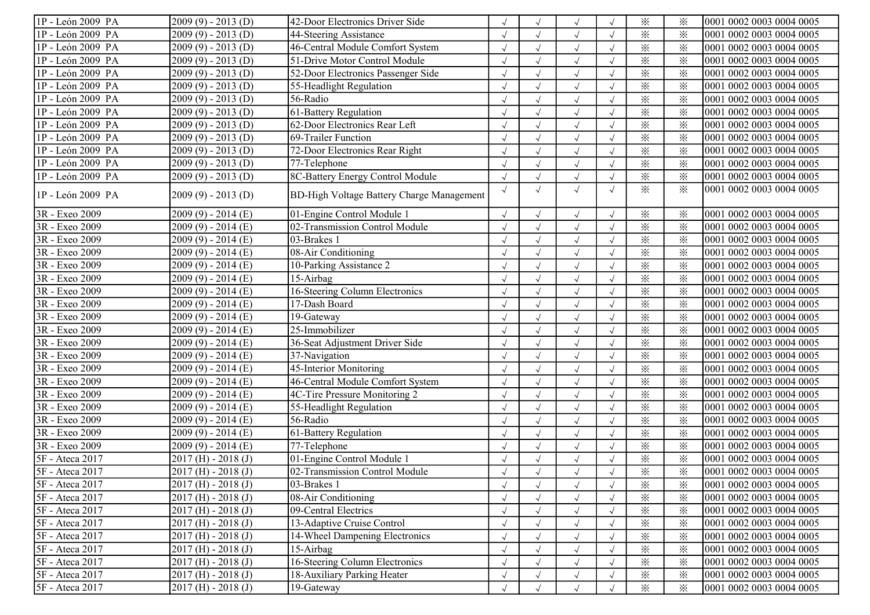| 1P - León 2009 PA | $2009(9) - 2013(D)$     | 42-Door Electronics Driver Side           |            |            | $\sqrt{ }$   |            | $\times$ | $\times$ | 0001 0002 0003 0004 0005 |
|-------------------|-------------------------|-------------------------------------------|------------|------------|--------------|------------|----------|----------|--------------------------|
| 1P - León 2009 PA | $2009(9) - 2013(D)$     | 44-Steering Assistance                    |            |            | $\sqrt{ }$   |            | $\times$ | ⋇        | 0001 0002 0003 0004 0005 |
| 1P - León 2009 PA | $2009(9) - 2013(D)$     | 46-Central Module Comfort System          |            |            | $\sqrt{ }$   |            | $\times$ | $\times$ | 0001 0002 0003 0004 0005 |
| 1P - León 2009 PA | $2009(9) - 2013(D)$     | 51-Drive Motor Control Module             |            |            | $\sqrt{ }$   |            | $\times$ | $\times$ | 0001 0002 0003 0004 0005 |
| 1P - León 2009 PA | $2009(9) - 2013(D)$     | 52-Door Electronics Passenger Side        |            |            | $\sqrt{ }$   |            | $\times$ | $\times$ | 0001 0002 0003 0004 0005 |
| 1P - León 2009 PA | $2009(9) - 2013(D)$     | 55-Headlight Regulation                   |            |            |              |            | $\times$ | $\times$ | 0001 0002 0003 0004 0005 |
| 1P - León 2009 PA | $2009(9) - 2013(D)$     | 56-Radio                                  |            |            | $\sqrt{ }$   |            | $\times$ | $\times$ | 0001 0002 0003 0004 0005 |
| 1P - León 2009 PA | $2009(9) - 2013(D)$     | 61-Battery Regulation                     |            |            | $\sqrt{ }$   |            | $\times$ | $\times$ | 0001 0002 0003 0004 0005 |
| 1P - León 2009 PA | $2009(9) - 2013(D)$     | 62-Door Electronics Rear Left             | $\sqrt{ }$ |            | $\sqrt{ }$   | $\sqrt{ }$ | $\times$ | $\times$ | 0001 0002 0003 0004 0005 |
| 1P - León 2009 PA | $2009(9) - 2013(D)$     | 69-Trailer Function                       |            |            | $\sqrt{ }$   |            | $\times$ | $\times$ | 0001 0002 0003 0004 0005 |
| 1P - León 2009 PA | $2009(9) - 2013(D)$     | 72-Door Electronics Rear Right            |            |            | $\sqrt{ }$   |            | $\times$ | $\times$ | 0001 0002 0003 0004 0005 |
| 1P - León 2009 PA | $2009(9) - 2013(D)$     | 77-Telephone                              |            |            |              |            | $\times$ | $\times$ | 0001 0002 0003 0004 0005 |
| 1P - León 2009 PA | $2009(9) - 2013(D)$     | 8C-Battery Energy Control Module          |            |            | $\sqrt{ }$   |            | $\times$ | $\times$ | 0001 0002 0003 0004 0005 |
| 1P - León 2009 PA | $2009(9) - 2013(D)$     | BD-High Voltage Battery Charge Management | $\sqrt{ }$ |            | $\sqrt{ }$   |            | $\times$ | $\times$ | 0001 0002 0003 0004 0005 |
| 3R - Exeo 2009    | $2009(9) - 2014(E)$     | 01-Engine Control Module 1                |            | $\sqrt{ }$ | $\sqrt{ }$   |            | $\times$ | $\times$ | 0001 0002 0003 0004 0005 |
| 3R - Exeo 2009    | $2009(9) - 2014(E)$     | 02-Transmission Control Module            |            |            | $\sqrt{ }$   |            | $\times$ | $\times$ | 0001 0002 0003 0004 0005 |
| 3R - Exeo 2009    | $2009(9) - 2014(E)$     | 03-Brakes 1                               |            |            | $\sqrt{ }$   |            | $\times$ | $\times$ | 0001 0002 0003 0004 0005 |
| 3R - Exeo 2009    | $2009(9) - 2014(E)$     | 08-Air Conditioning                       |            |            | $\checkmark$ |            | $\times$ | $\times$ | 0001 0002 0003 0004 0005 |
| 3R - Exeo 2009    | $2009(9) - 2014(E)$     | 10-Parking Assistance 2                   |            |            |              |            | $\times$ | $\times$ | 0001 0002 0003 0004 0005 |
| 3R - Exeo 2009    | $2009(9) - 2014(E)$     | 15-Airbag                                 |            |            |              |            | $\times$ | $\times$ | 0001 0002 0003 0004 0005 |
| 3R - Exeo 2009    | $2009(9) - 2014(E)$     | 16-Steering Column Electronics            |            |            | $\sqrt{ }$   |            | $\times$ | $\times$ | 0001 0002 0003 0004 0005 |
| 3R - Exeo 2009    | $2009(9) - 2014(E)$     | 17-Dash Board                             |            |            | $\sqrt{ }$   | $\sqrt{ }$ | $\times$ | $\times$ | 0001 0002 0003 0004 0005 |
| 3R - Exeo 2009    | $2009(9) - 2014(E)$     | 19-Gateway                                |            |            | $\sqrt{ }$   |            | $\times$ | $\times$ | 0001 0002 0003 0004 0005 |
| 3R - Exeo 2009    | $2009(9) - 2014(E)$     | 25-Immobilizer                            |            |            | $\sqrt{ }$   |            | $\times$ | $\times$ | 0001 0002 0003 0004 0005 |
| 3R - Exeo 2009    | 2009 (9) - 2014 (E)     | 36-Seat Adjustment Driver Side            |            |            | $\sqrt{ }$   |            | $\times$ | $\times$ | 0001 0002 0003 0004 0005 |
| 3R - Exeo 2009    | 2009 (9) - 2014 (E)     | 37-Navigation                             |            |            |              |            | $\times$ | $\times$ | 0001 0002 0003 0004 0005 |
| 3R - Exeo 2009    | 2009 (9) - 2014 (E)     | 45-Interior Monitoring                    |            |            | $\sqrt{ }$   |            | $\times$ | $\times$ | 0001 0002 0003 0004 0005 |
| 3R - Exeo 2009    | $2009(9) - 2014(E)$     | 46-Central Module Comfort System          |            |            | $\sqrt{ }$   |            | $\times$ | $\times$ | 0001 0002 0003 0004 0005 |
| 3R - Exeo 2009    | $2009(9) - 2014(E)$     | 4C-Tire Pressure Monitoring 2             |            |            | $\sqrt{ }$   |            | $\times$ | $\times$ | 0001 0002 0003 0004 0005 |
| 3R - Exeo 2009    | $2009(9) - 2014(E)$     | 55-Headlight Regulation                   |            |            | $\sqrt{ }$   |            | $\times$ | $\times$ | 0001 0002 0003 0004 0005 |
| 3R - Exeo 2009    | $2009(9) - 2014(E)$     | 56-Radio                                  |            |            | $\sqrt{ }$   |            | $\times$ | $\times$ | 0001 0002 0003 0004 0005 |
| 3R - Exeo 2009    | $2009(9) - 2014(E)$     | 61-Battery Regulation                     |            |            | $\sqrt{ }$   |            | $\times$ | $\times$ | 0001 0002 0003 0004 0005 |
| 3R - Exeo 2009    | $2009(9) - 2014(E)$     | 77-Telephone                              |            |            | $\sqrt{ }$   |            | $\times$ | $\times$ | 0001 0002 0003 0004 0005 |
| 5F - Ateca 2017   | $2017$ (H) - $2018$ (J) | 01-Engine Control Module 1                |            |            | $\sqrt{ }$   |            | $\times$ | $\times$ | 0001 0002 0003 0004 0005 |
| 5F - Ateca 2017   | $2017$ (H) - 2018 (J)   | 02-Transmission Control Module            |            |            |              |            | $\times$ | ⋇        | 0001 0002 0003 0004 0005 |
| 5F - Ateca 2017   | $2017$ (H) - $2018$ (J) | 03-Brakes 1                               |            |            | $\sqrt{ }$   | $\sqrt{ }$ | $\times$ | ⋇        | 0001 0002 0003 0004 0005 |
| 5F - Ateca 2017   | $2017$ (H) - $2018$ (J) | 08-Air Conditioning                       |            |            |              |            | $\times$ | $\times$ | 0001 0002 0003 0004 0005 |
| 5F - Ateca 2017   | $2017$ (H) - $2018$ (J) | 09-Central Electrics                      |            |            | $\sqrt{ }$   |            | $\times$ | $\times$ | 0001 0002 0003 0004 0005 |
| 5F - Ateca 2017   | $2017$ (H) - $2018$ (J) | 13-Adaptive Cruise Control                |            |            | $\sqrt{ }$   |            | $\times$ | $\times$ | 0001 0002 0003 0004 0005 |
| 5F - Ateca 2017   | $2017$ (H) - $2018$ (J) | 14-Wheel Dampening Electronics            |            |            | $\sqrt{ }$   |            | $\times$ | $\times$ | 0001 0002 0003 0004 0005 |
| 5F - Ateca 2017   | $2017$ (H) - $2018$ (J) | 15-Airbag                                 |            |            | $\sqrt{ }$   |            | $\times$ | $\times$ | 0001 0002 0003 0004 0005 |
| 5F - Ateca 2017   | $2017$ (H) - $2018$ (J) | 16-Steering Column Electronics            |            |            | $\sqrt{ }$   |            | $\times$ | $\times$ | 0001 0002 0003 0004 0005 |
| 5F - Ateca 2017   | $2017$ (H) - $2018$ (J) | 18-Auxiliary Parking Heater               |            |            | $\sqrt{ }$   |            | $\times$ | $\times$ | 0001 0002 0003 0004 0005 |
| 5F - Ateca 2017   | $2017$ (H) - $2018$ (J) | 19-Gateway                                | $\sqrt{ }$ |            | $\sqrt{ }$   |            | $\times$ | $\times$ | 0001 0002 0003 0004 0005 |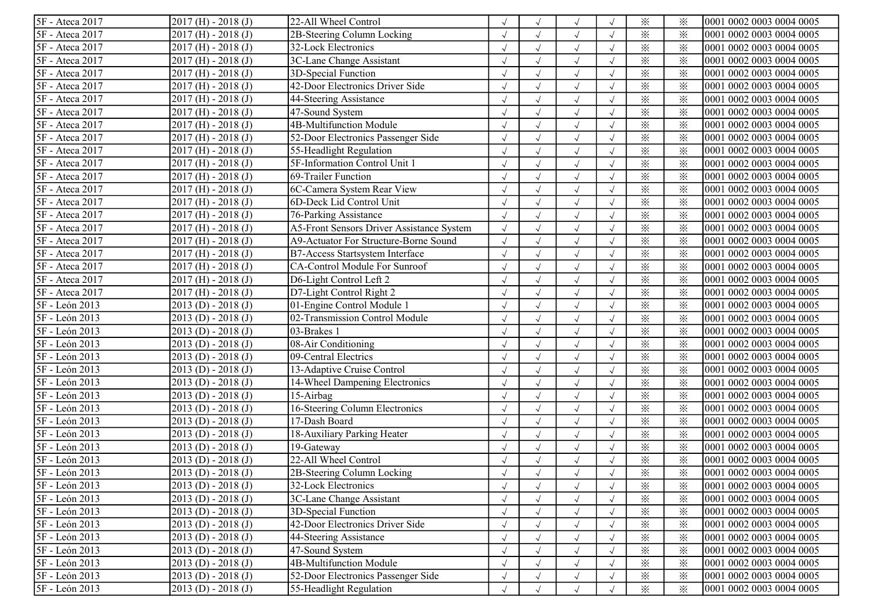| 5F - Ateca 2017 | $2017$ (H) - $2018$ (J) | 22-All Wheel Control                      |            |            | $\sqrt{ }$   |            | $\times$ | ⋇        | 0001 0002 0003 0004 0005 |
|-----------------|-------------------------|-------------------------------------------|------------|------------|--------------|------------|----------|----------|--------------------------|
| 5F - Ateca 2017 | $2017$ (H) - $2018$ (J) | 2B-Steering Column Locking                |            |            | $\sqrt{ }$   |            | $\times$ | $\times$ | 0001 0002 0003 0004 0005 |
| 5F - Ateca 2017 | $2017$ (H) - $2018$ (J) | 32-Lock Electronics                       |            |            | $\sqrt{ }$   |            | $\times$ | $\times$ | 0001 0002 0003 0004 0005 |
| 5F - Ateca 2017 | $2017$ (H) - $2018$ (J) | 3C-Lane Change Assistant                  |            |            | $\sqrt{ }$   |            | $\times$ | $\times$ | 0001 0002 0003 0004 0005 |
| 5F - Ateca 2017 | $2017$ (H) - $2018$ (J) | 3D-Special Function                       |            |            | $\sqrt{ }$   |            | $\times$ | $\times$ | 0001 0002 0003 0004 0005 |
| 5F - Ateca 2017 | $2017$ (H) - $2018$ (J) | 42-Door Electronics Driver Side           |            |            | $\sqrt{ }$   |            | $\times$ | ⋇        | 0001 0002 0003 0004 0005 |
| 5F - Ateca 2017 | $2017$ (H) - $2018$ (J) | 44-Steering Assistance                    |            |            | $\sqrt{ }$   |            | $\times$ | $\times$ | 0001 0002 0003 0004 0005 |
| 5F - Ateca 2017 | $2017$ (H) - $2018$ (J) | 47-Sound System                           |            |            | $\sqrt{ }$   |            | $\times$ | $\times$ | 0001 0002 0003 0004 0005 |
| 5F - Ateca 2017 | $2017$ (H) - $2018$ (J) | 4B-Multifunction Module                   |            |            | $\sqrt{ }$   |            | $\times$ | $\times$ | 0001 0002 0003 0004 0005 |
| 5F - Ateca 2017 | $2017$ (H) - $2018$ (J) | 52-Door Electronics Passenger Side        |            |            | $\sqrt{ }$   |            | $\times$ | $\times$ | 0001 0002 0003 0004 0005 |
| 5F - Ateca 2017 | $2017$ (H) - $2018$ (J) | 55-Headlight Regulation                   |            |            | $\sqrt{ }$   |            | $\times$ | $\times$ | 0001 0002 0003 0004 0005 |
| 5F - Ateca 2017 | $2017$ (H) - $2018$ (J) | 5F-Information Control Unit 1             |            |            | $\sqrt{ }$   |            | $\times$ | ⋇        | 0001 0002 0003 0004 0005 |
| 5F - Ateca 2017 | $2017$ (H) - $2018$ (J) | 69-Trailer Function                       |            |            | $\sqrt{ }$   |            | $\times$ | ⋇        | 0001 0002 0003 0004 0005 |
| 5F - Ateca 2017 | $2017$ (H) - $2018$ (J) | 6C-Camera System Rear View                |            |            | $\sqrt{ }$   |            | $\times$ | $\times$ | 0001 0002 0003 0004 0005 |
| 5F - Ateca 2017 | $2017$ (H) - $2018$ (J) | 6D-Deck Lid Control Unit                  |            |            | $\sqrt{ }$   |            | $\times$ | $\times$ | 0001 0002 0003 0004 0005 |
| 5F - Ateca 2017 | $2017$ (H) - $2018$ (J) | 76-Parking Assistance                     |            |            | $\sqrt{ }$   |            | $\times$ | ⋇        | 0001 0002 0003 0004 0005 |
| 5F - Ateca 2017 | $2017$ (H) - $2018$ (J) | A5-Front Sensors Driver Assistance System |            |            | $\checkmark$ |            | $\times$ | $\times$ | 0001 0002 0003 0004 0005 |
| 5F - Ateca 2017 | $2017$ (H) - $2018$ (J) | A9-Actuator For Structure-Borne Sound     |            |            | $\checkmark$ |            | $\times$ | $\times$ | 0001 0002 0003 0004 0005 |
| 5F - Ateca 2017 | $2017$ (H) - $2018$ (J) | B7-Access Startsystem Interface           |            |            | $\sqrt{ }$   |            | $\times$ | $\times$ | 0001 0002 0003 0004 0005 |
| 5F - Ateca 2017 | $2017$ (H) - $2018$ (J) | CA-Control Module For Sunroof             |            |            | $\sqrt{ }$   |            | $\times$ | $\times$ | 0001 0002 0003 0004 0005 |
| 5F - Ateca 2017 | $2017$ (H) - $2018$ (J) | D6-Light Control Left 2                   |            |            | $\sqrt{ }$   |            | $\times$ | $\times$ | 0001 0002 0003 0004 0005 |
| 5F - Ateca 2017 | $2017$ (H) - $2018$ (J) | D7-Light Control Right 2                  | $\sqrt{ }$ | $\sqrt{}$  | $\sqrt{ }$   | $\sqrt{ }$ | $\times$ | $\times$ | 0001 0002 0003 0004 0005 |
| 5F - León 2013  | $2013(D) - 2018(J)$     | 01-Engine Control Module 1                |            |            | $\sqrt{}$    |            | $\times$ | $\times$ | 0001 0002 0003 0004 0005 |
| 5F - León 2013  | $2013(D) - 2018(J)$     | 02-Transmission Control Module            |            |            | $\checkmark$ |            | $\times$ | $\times$ | 0001 0002 0003 0004 0005 |
| 5F - León 2013  | $2013(D) - 2018(J)$     | 03-Brakes 1                               |            |            | $\checkmark$ |            | $\times$ | ⋇        | 0001 0002 0003 0004 0005 |
| 5F - León 2013  | $2013(D) - 2018(J)$     | 08-Air Conditioning                       |            |            | $\sqrt{ }$   |            | $\times$ | $\times$ | 0001 0002 0003 0004 0005 |
| 5F - León 2013  | $2013(D) - 2018(J)$     | 09-Central Electrics                      |            |            | $\sqrt{ }$   |            | $\times$ | $\times$ | 0001 0002 0003 0004 0005 |
| 5F - León 2013  | $2013(D) - 2018(J)$     | 13-Adaptive Cruise Control                |            |            | $\sqrt{ }$   |            | $\times$ | $\times$ | 0001 0002 0003 0004 0005 |
| 5F - León 2013  | $2013(D) - 2018(J)$     | 14-Wheel Dampening Electronics            |            |            | $\sqrt{ }$   |            | $\times$ | $\times$ | 0001 0002 0003 0004 0005 |
| 5F - León 2013  | $2013(D) - 2018(J)$     | 15-Airbag                                 |            |            | $\checkmark$ |            | $\times$ | $\times$ | 0001 0002 0003 0004 0005 |
| 5F - León 2013  | $2013(D) - 2018(J)$     | 16-Steering Column Electronics            |            |            | $\sqrt{ }$   |            | $\times$ | $\times$ | 0001 0002 0003 0004 0005 |
| 5F - León 2013  | $2013(D) - 2018(J)$     | 17-Dash Board                             |            |            | $\sqrt{ }$   |            | $\times$ | $\times$ | 0001 0002 0003 0004 0005 |
| 5F - León 2013  | $2013(D) - 2018(J)$     | 18-Auxiliary Parking Heater               |            | $\sqrt{}$  | $\sqrt{ }$   |            | $\times$ | $\times$ | 0001 0002 0003 0004 0005 |
| 5F - León 2013  | $2013(D) - 2018(J)$     | 19-Gateway                                |            | $\sqrt{}$  | $\sqrt{ }$   |            | $\times$ | $\times$ | 0001 0002 0003 0004 0005 |
| 5F - León 2013  | $2013(D) - 2018(J)$     | 22-All Wheel Control                      |            |            | $\sqrt{ }$   |            | $\times$ | $\times$ | 0001 0002 0003 0004 0005 |
| 5F - León 2013  | $2013$ (D) - $2018$ (J) | 2B-Steering Column Locking                |            |            |              |            | $\times$ | $\times$ | 0001 0002 0003 0004 0005 |
| 5F - León 2013  | $2013(D) - 2018(J)$     | 32-Lock Electronics                       |            |            | $\sqrt{ }$   |            | $\times$ | $\times$ | 0001 0002 0003 0004 0005 |
| 5F - León 2013  | $2013(D) - 2018(J)$     | 3C-Lane Change Assistant                  |            |            | $\sqrt{ }$   |            | $\times$ | $\times$ | 0001 0002 0003 0004 0005 |
| 5F - León 2013  | $2013$ (D) - $2018$ (J) | 3D-Special Function                       |            |            | $\sqrt{ }$   |            | $\times$ | $\times$ | 0001 0002 0003 0004 0005 |
| 5F - León 2013  | $2013(D) - 2018(J)$     | 42-Door Electronics Driver Side           |            |            | $\sqrt{ }$   |            | $\times$ | $\times$ | 0001 0002 0003 0004 0005 |
| 5F - León 2013  | $2013(D) - 2018(J)$     | 44-Steering Assistance                    |            |            | $\sqrt{ }$   |            | $\times$ | $\times$ | 0001 0002 0003 0004 0005 |
| 5F - León 2013  | $2013(D) - 2018(J)$     | 47-Sound System                           |            |            | $\sqrt{ }$   |            | $\times$ | $\times$ | 0001 0002 0003 0004 0005 |
| 5F - León 2013  | $2013(D) - 2018(J)$     | 4B-Multifunction Module                   |            |            | $\sqrt{ }$   |            | $\times$ | $\times$ | 0001 0002 0003 0004 0005 |
| 5F - León 2013  | $2013(D) - 2018(J)$     | 52-Door Electronics Passenger Side        |            |            | $\sqrt{ }$   |            | $\times$ | $\times$ | 0001 0002 0003 0004 0005 |
| 5F - León 2013  | $2013(D) - 2018(J)$     | 55-Headlight Regulation                   |            | $\sqrt{ }$ | $\sqrt{ }$   |            | $\times$ | $\times$ | 0001 0002 0003 0004 0005 |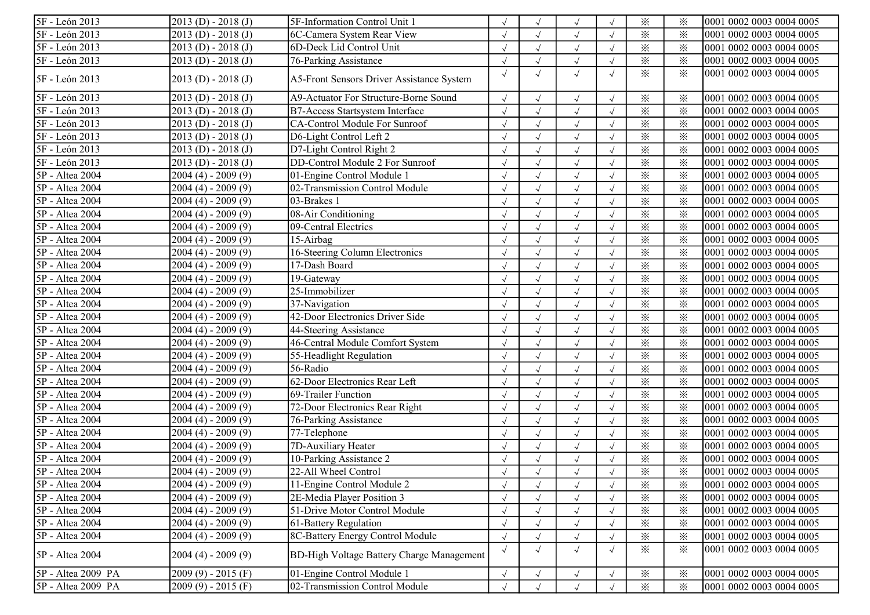| 5F - León 2013     | $2013(D) - 2018(J)$     | 5F-Information Control Unit 1                    |            |            | $\sqrt{ }$ |            | $\times$               | $\times$ | 0001 0002 0003 0004 0005 |
|--------------------|-------------------------|--------------------------------------------------|------------|------------|------------|------------|------------------------|----------|--------------------------|
| 5F - León 2013     | $2013$ (D) - $2018$ (J) | 6C-Camera System Rear View                       |            |            |            |            | $\times$               | $\times$ | 0001 0002 0003 0004 0005 |
| 5F - León 2013     | $2013(D) - 2018(J)$     | 6D-Deck Lid Control Unit                         |            |            | $\sqrt{ }$ | $\sqrt{ }$ | $\times$               | $\times$ | 0001 0002 0003 0004 0005 |
| 5F - León 2013     | $2013(D) - 2018(J)$     | 76-Parking Assistance                            |            |            | $\sqrt{ }$ |            | $\times$               | $\times$ | 0001 0002 0003 0004 0005 |
| 5F - León 2013     | $2013(D) - 2018(J)$     | <b>A5-Front Sensors Driver Assistance System</b> | $\sqrt{ }$ | $\sqrt{}$  | $\sqrt{ }$ | $\sqrt{ }$ | $\ddot{\times}$        | $\times$ | 0001 0002 0003 0004 0005 |
| 5F - León 2013     | $2013(D) - 2018(J)$     | A9-Actuator For Structure-Borne Sound            |            |            | $\sqrt{ }$ |            | $\times$               | $\times$ | 0001 0002 0003 0004 0005 |
| 5F - León 2013     | $2013(D) - 2018(J)$     | B7-Access Startsystem Interface                  |            | $\sqrt{}$  | $\sqrt{ }$ |            | $\times$               | $\times$ | 0001 0002 0003 0004 0005 |
| 5F - León 2013     | $2013(D) - 2018(J)$     | CA-Control Module For Sunroof                    |            |            | $\sqrt{ }$ |            | $\times$               | $\times$ | 0001 0002 0003 0004 0005 |
| 5F - León 2013     | $2013(D) - 2018(J)$     | D6-Light Control Left 2                          |            |            | $\sqrt{ }$ |            | $\times$               | $\times$ | 0001 0002 0003 0004 0005 |
| 5F - León 2013     | $2013(D) - 2018(J)$     | D7-Light Control Right 2                         |            |            | $\sqrt{ }$ |            | $\times$               | $\times$ | 0001 0002 0003 0004 0005 |
| 5F - León 2013     | $2013(D) - 2018(J)$     | DD-Control Module 2 For Sunroof                  |            | $\sqrt{}$  | $\sqrt{ }$ |            | $\times$               | $\times$ | 0001 0002 0003 0004 0005 |
| 5P - Altea 2004    | $2004(4) - 2009(9)$     | 01-Engine Control Module 1                       |            |            | $\sqrt{ }$ | $\sqrt{ }$ | $\times$               | $\times$ | 0001 0002 0003 0004 0005 |
| 5P - Altea 2004    | $2004(4) - 2009(9)$     | 02-Transmission Control Module                   |            |            | $\sqrt{ }$ |            | $\times$               | $\times$ | 0001 0002 0003 0004 0005 |
| 5P - Altea 2004    | $2004(4) - 2009(9)$     | 03-Brakes 1                                      |            |            | $\sqrt{ }$ |            | $\times$               | $\times$ | 0001 0002 0003 0004 0005 |
| 5P - Altea 2004    | $2004(4) - 2009(9)$     | 08-Air Conditioning                              |            |            | $\sqrt{ }$ |            | $\times$               | $\times$ | 0001 0002 0003 0004 0005 |
| 5P - Altea 2004    | 2004 (4) - 2009 (9)     | 09-Central Electrics                             |            |            |            |            | $\times$               | $\times$ | 0001 0002 0003 0004 0005 |
| 5P - Altea 2004    | 2004 (4) - 2009 (9)     | $15-Airbag$                                      |            |            | $\sqrt{ }$ |            | $\times$               | $\times$ | 0001 0002 0003 0004 0005 |
| 5P - Altea 2004    | $2004(4) - 2009(9)$     | 16-Steering Column Electronics                   |            |            | $\sqrt{}$  |            | $\times$               | $\times$ | 0001 0002 0003 0004 0005 |
| 5P - Altea 2004    | $2004(4) - 2009(9)$     | 17-Dash Board                                    |            |            | $\sqrt{ }$ |            | $\times$               | $\times$ | 0001 0002 0003 0004 0005 |
| 5P - Altea 2004    | $2004(4) - 2009(9)$     | 19-Gateway                                       |            |            | $\sqrt{ }$ |            | $\times$               | $\times$ | 0001 0002 0003 0004 0005 |
| 5P - Altea 2004    | $2004(4) - 2009(9)$     | 25-Immobilizer                                   |            |            | $\sqrt{ }$ |            | $\times$               | $\times$ | 0001 0002 0003 0004 0005 |
| 5P - Altea 2004    | $2004(4) - 2009(9)$     | 37-Navigation                                    |            |            | $\sqrt{ }$ |            | $\times$               | $\times$ | 0001 0002 0003 0004 0005 |
| 5P - Altea 2004    | $2004(4) - 2009(9)$     | 42-Door Electronics Driver Side                  |            |            | $\sqrt{ }$ |            | $\times$               | $\times$ | 0001 0002 0003 0004 0005 |
| 5P - Altea 2004    | $2004(4) - 2009(9)$     | 44-Steering Assistance                           | $\sqrt{ }$ | $\sqrt{}$  | $\sqrt{ }$ |            | $\times$               | $\times$ | 0001 0002 0003 0004 0005 |
| 5P - Altea 2004    | $2004(4) - 2009(9)$     | 46-Central Module Comfort System                 |            |            | $\sqrt{ }$ | $\sqrt{ }$ | $\times$               | $\times$ | 0001 0002 0003 0004 0005 |
| 5P - Altea 2004    | $2004(4) - 2009(9)$     | 55-Headlight Regulation                          |            |            | $\sqrt{2}$ |            | $\times$               | $\times$ | 0001 0002 0003 0004 0005 |
| 5P - Altea 2004    | $2004(4) - 2009(9)$     | 56-Radio                                         |            |            | $\sqrt{ }$ |            | $\times$               | ⋇        | 0001 0002 0003 0004 0005 |
| 5P - Altea 2004    | 2004 (4) - 2009 (9)     | 62-Door Electronics Rear Left                    |            |            | $\sqrt{ }$ |            | $\times$               | $\times$ | 0001 0002 0003 0004 0005 |
| 5P - Altea 2004    | $2004(4) - 2009(9)$     | 69-Trailer Function                              |            |            | $\sqrt{ }$ |            | $\times$               | $\times$ | 0001 0002 0003 0004 0005 |
| 5P - Altea 2004    | $2004(4) - 2009(9)$     | 72-Door Electronics Rear Right                   |            |            | $\sqrt{ }$ |            | $\times$               | $\times$ | 0001 0002 0003 0004 0005 |
| 5P - Altea 2004    | $2004(4) - 2009(9)$     | 76-Parking Assistance                            |            |            | $\sqrt{ }$ |            | $\times$               | $\times$ | 0001 0002 0003 0004 0005 |
| 5P - Altea 2004    | $2004(4) - 2009(9)$     | 77-Telephone                                     |            | $\sqrt{}$  | $\sqrt{ }$ |            | $\times$               | $\times$ | 0001 0002 0003 0004 0005 |
| 5P - Altea 2004    | $2004(4) - 2009(9)$     | 7D-Auxiliary Heater                              |            |            | $\sqrt{ }$ |            | $\times$               | $\times$ | 0001 0002 0003 0004 0005 |
| 5P - Altea 2004    | $2004(4) - 2009(9)$     | 10-Parking Assistance 2                          |            |            | $\sqrt{2}$ |            | $\times$               | $\times$ | 0001 0002 0003 0004 0005 |
| 5P - Altea 2004    | $2004(4) - 2009(9)$     | 22-All Wheel Control                             |            |            |            |            | $\times$               | $\times$ | 0001 0002 0003 0004 0005 |
| 5P - Altea 2004    | $2004(4) - 2009(9)$     | 11-Engine Control Module 2                       | $\sqrt{ }$ | $\sqrt{}$  | $\sqrt{ }$ |            | $\times$               | ⋇        | 0001 0002 0003 0004 0005 |
| 5P - Altea 2004    | $2004(4) - 2009(9)$     | 2E-Media Player Position 3                       | $\sqrt{ }$ |            | $\sqrt{ }$ |            | $\times$               | $\times$ | 0001 0002 0003 0004 0005 |
| 5P - Altea 2004    | $2004(4) - 2009(9)$     | 51-Drive Motor Control Module                    |            |            |            |            | $\times$               | ⋇        | 0001 0002 0003 0004 0005 |
| 5P - Altea 2004    | $2004(4) - 2009(9)$     | 61-Battery Regulation                            |            |            | $\sqrt{2}$ |            | $\overline{\varkappa}$ | $\times$ | 0001 0002 0003 0004 0005 |
| 5P - Altea 2004    | $2004(4) - 2009(9)$     | 8C-Battery Energy Control Module                 |            |            | $\sqrt{ }$ |            | $\times$               | $\times$ | 0001 0002 0003 0004 0005 |
| 5P - Altea 2004    | $2004(4) - 2009(9)$     | BD-High Voltage Battery Charge Management        | $\sqrt{ }$ | $\sqrt{ }$ | $\sqrt{ }$ | $\sqrt{ }$ | $\times$               | $\times$ | 0001 0002 0003 0004 0005 |
| 5P - Altea 2009 PA | $2009(9) - 2015(F)$     | 01-Engine Control Module 1                       |            |            | $\sqrt{ }$ |            | $\times$               | $\times$ | 0001 0002 0003 0004 0005 |
| 5P - Altea 2009 PA | $2009(9) - 2015(F)$     | 02-Transmission Control Module                   | $\sqrt{ }$ |            | $\sqrt{ }$ |            | $\times$               | $\times$ | 0001 0002 0003 0004 0005 |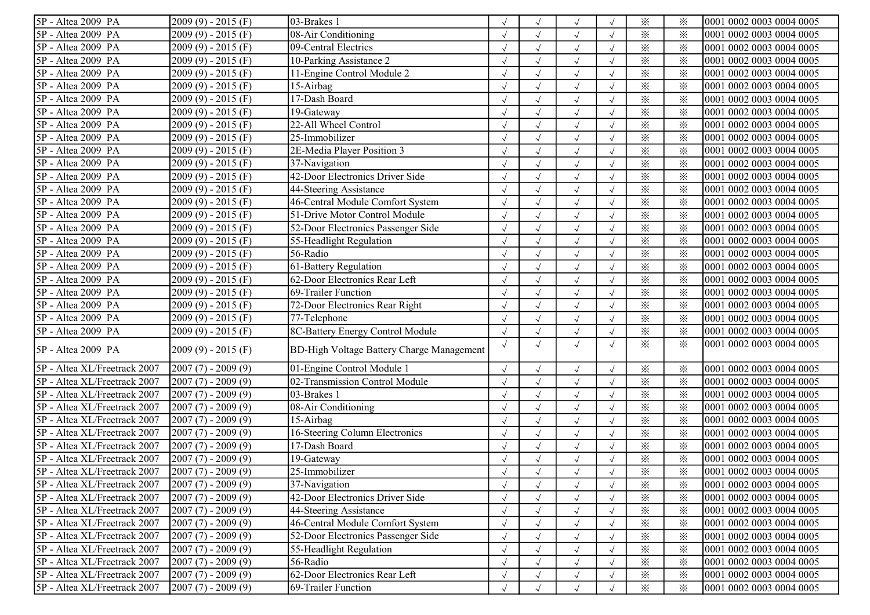| 5P - Altea 2009 PA           | $2009(9) - 2015(F)$ | $\overline{0}$ 3-Brakes 1                        |            |            |            |            | $\times$     | $\times$ | 0001 0002 0003 0004 0005 |
|------------------------------|---------------------|--------------------------------------------------|------------|------------|------------|------------|--------------|----------|--------------------------|
| 5P - Altea 2009 PA           | $2009(9) - 2015(F)$ | 08-Air Conditioning                              |            |            | $\sqrt{ }$ |            | $\times$     | $\times$ | 0001 0002 0003 0004 0005 |
| 5P - Altea 2009 PA           | $2009(9) - 2015(F)$ | 09-Central Electrics                             |            |            | $\sqrt{ }$ |            | $\times$     | $\times$ | 0001 0002 0003 0004 0005 |
| 5P - Altea 2009 PA           | $2009(9) - 2015(F)$ | 10-Parking Assistance 2                          |            |            | $\sqrt{ }$ |            | $\times$     | $\times$ | 0001 0002 0003 0004 0005 |
| 5P - Altea 2009 PA           | $2009(9) - 2015(F)$ | 11-Engine Control Module 2                       |            |            | $\sqrt{ }$ |            | $\times$     | $\times$ | 0001 0002 0003 0004 0005 |
| 5P - Altea 2009 PA           | $2009(9) - 2015(F)$ | 15-Airbag                                        |            |            | $\sqrt{ }$ |            | $\times$     | ⋇        | 0001 0002 0003 0004 0005 |
| 5P - Altea 2009 PA           | $2009(9) - 2015(F)$ | 17-Dash Board                                    |            |            | $\sqrt{ }$ |            | $\times$     | $\times$ | 0001 0002 0003 0004 0005 |
| 5P - Altea 2009 PA           | $2009(9) - 2015(F)$ | 19-Gateway                                       |            |            | $\sqrt{ }$ |            | $\times$     | $\times$ | 0001 0002 0003 0004 0005 |
| 5P - Altea 2009 PA           | $2009(9) - 2015(F)$ | 22-All Wheel Control                             |            | $\sqrt{}$  | $\sqrt{ }$ | $\sqrt{ }$ | $\times$     | ⋇        | 0001 0002 0003 0004 0005 |
| 5P - Altea 2009 PA           | $2009(9) - 2015(F)$ | 25-Immobilizer                                   |            |            | $\sqrt{2}$ |            | $\times$     | $\times$ | 0001 0002 0003 0004 0005 |
| 5P - Altea 2009 PA           | $2009(9) - 2015(F)$ | 2E-Media Player Position 3                       |            |            | $\sqrt{ }$ |            | $\times$     | ⋇        | 0001 0002 0003 0004 0005 |
| 5P - Altea 2009 PA           | 2009 (9) - 2015 (F) | 37-Navigation                                    |            |            | $\sqrt{ }$ |            | $\times$     | ⋇        | 0001 0002 0003 0004 0005 |
| 5P - Altea 2009 PA           | 2009 (9) - 2015 (F) | 42-Door Electronics Driver Side                  |            |            | $\sqrt{ }$ |            | $\times$     | $\times$ | 0001 0002 0003 0004 0005 |
| 5P - Altea 2009 PA           | $2009(9) - 2015(F)$ | 44-Steering Assistance                           |            |            | $\sqrt{}$  |            | $\times$     | $\times$ | 0001 0002 0003 0004 0005 |
| 5P - Altea 2009 PA           | $2009(9) - 2015(F)$ | 46-Central Module Comfort System                 |            |            | $\sqrt{ }$ |            | $\times$     | $\times$ | 0001 0002 0003 0004 0005 |
| 5P - Altea 2009 PA           | $2009(9) - 2015(F)$ | 51-Drive Motor Control Module                    |            |            | $\sqrt{ }$ |            | $\times$     | $\times$ | 0001 0002 0003 0004 0005 |
| 5P - Altea 2009 PA           | $2009(9) - 2015(F)$ | 52-Door Electronics Passenger Side               |            |            | $\sqrt{ }$ |            | $\times$     | $\times$ | 0001 0002 0003 0004 0005 |
| 5P - Altea 2009 PA           | $2009(9) - 2015(F)$ | 55-Headlight Regulation                          |            |            | $\sqrt{ }$ |            | $\times$     | $\times$ | 0001 0002 0003 0004 0005 |
| 5P - Altea 2009 PA           | $2009(9) - 2015(F)$ | 56-Radio                                         |            |            | $\sqrt{ }$ |            | $\times$     | $\times$ | 0001 0002 0003 0004 0005 |
| 5P - Altea 2009 PA           | $2009(9) - 2015(F)$ | 61-Battery Regulation                            |            |            | $\sqrt{ }$ |            | $\times$     | $\times$ | 0001 0002 0003 0004 0005 |
| 5P - Altea 2009 PA           | $2009(9) - 2015(F)$ | 62-Door Electronics Rear Left                    |            |            | $\sqrt{ }$ |            | $\times$     | $\times$ | 0001 0002 0003 0004 0005 |
| 5P - Altea 2009 PA           | $2009(9) - 2015(F)$ | 69-Trailer Function                              |            |            | $\sqrt{2}$ |            | $\times$     | $\times$ | 0001 0002 0003 0004 0005 |
| 5P - Altea 2009 PA           | $2009(9) - 2015(F)$ | 72-Door Electronics Rear Right                   |            |            | $\sqrt{ }$ |            | $\times$     | $\times$ | 0001 0002 0003 0004 0005 |
| 5P - Altea 2009 PA           | $2009(9) - 2015(F)$ | 77-Telephone                                     |            |            | $\sqrt{ }$ |            | $\times$     | $\times$ | 0001 0002 0003 0004 0005 |
| 5P - Altea 2009 PA           | 2009 (9) - 2015 (F) | 8C-Battery Energy Control Module                 |            |            |            |            | $\times$     | $\times$ | 0001 0002 0003 0004 0005 |
| 5P - Altea 2009 PA           | $2009(9) - 2015(F)$ | <b>BD-High Voltage Battery Charge Management</b> | $\sqrt{ }$ |            | $\sqrt{ }$ |            | $\mathbb{X}$ | $\times$ | 0001 0002 0003 0004 0005 |
| 5P - Altea XL/Freetrack 2007 | $2007(7) - 2009(9)$ | 01-Engine Control Module 1                       |            | $\sqrt{}$  | $\sqrt{ }$ |            | $\times$     | $\times$ | 0001 0002 0003 0004 0005 |
| 5P - Altea XL/Freetrack 2007 | $2007(7) - 2009(9)$ | 02-Transmission Control Module                   |            |            | $\sqrt{ }$ |            | $\times$     | $\times$ | 0001 0002 0003 0004 0005 |
| 5P - Altea XL/Freetrack 2007 | $2007(7) - 2009(9)$ | 03-Brakes 1                                      |            |            | $\sqrt{ }$ |            | $\times$     | $\times$ | 0001 0002 0003 0004 0005 |
| 5P - Altea XL/Freetrack 2007 | $2007(7) - 2009(9)$ | 08-Air Conditioning                              |            |            | $\sqrt{ }$ |            | $\times$     | $\times$ | 0001 0002 0003 0004 0005 |
| 5P - Altea XL/Freetrack 2007 | $2007(7) - 2009(9)$ | 15-Airbag                                        |            |            | $\sqrt{ }$ |            | $\times$     | $\times$ | 0001 0002 0003 0004 0005 |
| 5P - Altea XL/Freetrack 2007 | $2007(7) - 2009(9)$ | 16-Steering Column Electronics                   |            |            | $\sqrt{ }$ |            | $\times$     | $\times$ | 0001 0002 0003 0004 0005 |
| 5P - Altea XL/Freetrack 2007 | $2007(7) - 2009(9)$ | 17-Dash Board                                    |            |            | $\sqrt{ }$ |            | $\times$     | $\times$ | 0001 0002 0003 0004 0005 |
| 5P - Altea XL/Freetrack 2007 | $2007(7) - 2009(9)$ | 19-Gateway                                       |            |            | $\sqrt{2}$ |            | $\times$     | $\times$ | 0001 0002 0003 0004 0005 |
| 5P - Altea XL/Freetrack 2007 | $2007(7) - 2009(9)$ | 25-Immobilizer                                   |            |            |            |            | ⋇            | $\times$ | 0001 0002 0003 0004 0005 |
| 5P - Altea XL/Freetrack 2007 | $2007(7) - 2009(9)$ | 37-Navigation                                    | $\sqrt{ }$ | $\sqrt{}$  | $\sqrt{ }$ |            | $\times$     | ⋇        | 0001 0002 0003 0004 0005 |
| 5P - Altea XL/Freetrack 2007 | $2007(7) - 2009(9)$ | 42-Door Electronics Driver Side                  |            |            |            |            | $\times$     | $\times$ | 0001 0002 0003 0004 0005 |
| 5P - Altea XL/Freetrack 2007 | $2007(7) - 2009(9)$ | 44-Steering Assistance                           |            |            |            |            | $\times$     | $\times$ | 0001 0002 0003 0004 0005 |
| 5P - Altea XL/Freetrack 2007 | $2007(7) - 2009(9)$ | 46-Central Module Comfort System                 |            |            | $\sqrt{ }$ |            | $\times$     | $\times$ | 0001 0002 0003 0004 0005 |
| 5P - Altea XL/Freetrack 2007 | $2007(7) - 2009(9)$ | 52-Door Electronics Passenger Side               |            | $\sqrt{ }$ | $\sqrt{}$  |            | $\times$     | $\times$ | 0001 0002 0003 0004 0005 |
| 5P - Altea XL/Freetrack 2007 | $2007(7) - 2009(9)$ | 55-Headlight Regulation                          |            |            | $\sqrt{ }$ |            | $\times$     | ⋇        | 0001 0002 0003 0004 0005 |
| 5P - Altea XL/Freetrack 2007 | $2007(7) - 2009(9)$ | 56-Radio                                         |            |            | $\sqrt{ }$ |            | $\times$     | $\times$ | 0001 0002 0003 0004 0005 |
| 5P - Altea XL/Freetrack 2007 | $2007(7) - 2009(9)$ | 62-Door Electronics Rear Left                    |            |            | $\sqrt{ }$ |            | $\times$     | $\times$ | 0001 0002 0003 0004 0005 |
| 5P - Altea XL/Freetrack 2007 | $2007(7) - 2009(9)$ | 69-Trailer Function                              |            |            |            |            | $\times$     | $\times$ | 0001 0002 0003 0004 0005 |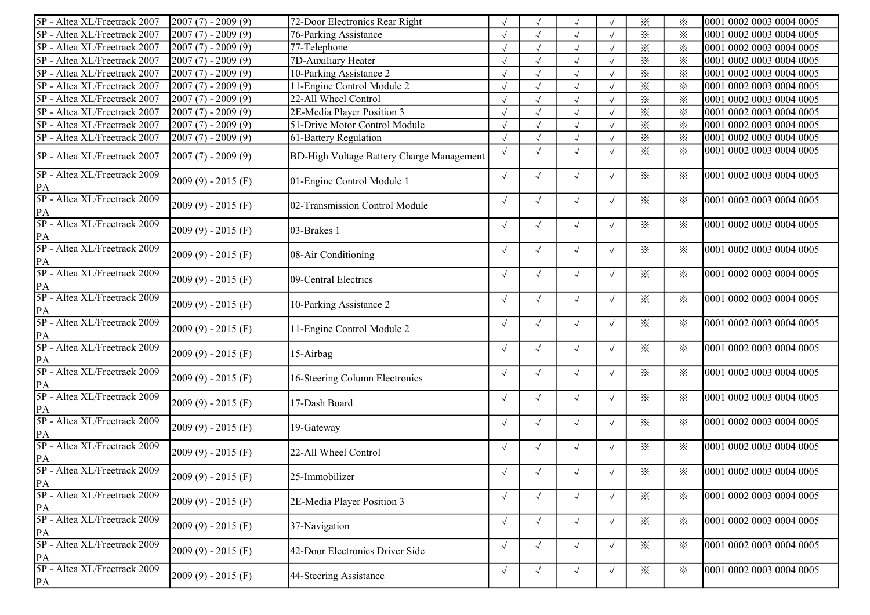| 5P - Altea XL/Freetrack 2007                  | $2007(7) - 2009(9)$ | 72-Door Electronics Rear Right                   |            |            | $\sqrt{ }$ |            | $\times$                | ⋇        | 0001 0002 0003 0004 0005 |
|-----------------------------------------------|---------------------|--------------------------------------------------|------------|------------|------------|------------|-------------------------|----------|--------------------------|
| 5P - Altea XL/Freetrack 2007                  | $2007(7) - 2009(9)$ | <b>76-Parking Assistance</b>                     |            |            | $\sqrt{ }$ |            | $\times$                | $\times$ | 0001 0002 0003 0004 0005 |
| 5P - Altea XL/Freetrack 2007                  | $2007(7) - 2009(9)$ | 77-Telephone                                     |            |            | $\sqrt{ }$ |            | $\times$                | $\times$ | 0001 0002 0003 0004 0005 |
| 5P - Altea XL/Freetrack 2007                  | $2007(7) - 2009(9)$ | 7D-Auxiliary Heater                              |            |            | $\sqrt{ }$ |            | $\times$                | $\times$ | 0001 0002 0003 0004 0005 |
| 5P - Altea XL/Freetrack 2007                  | $2007(7) - 2009(9)$ | 10-Parking Assistance 2                          |            |            | $\sqrt{ }$ |            | $\times$                | $\times$ | 0001 0002 0003 0004 0005 |
| 5P - Altea XL/Freetrack 2007                  | $2007(7) - 2009(9)$ | 11-Engine Control Module 2                       |            |            | $\sqrt{ }$ |            | $\times$                | $\times$ | 0001 0002 0003 0004 0005 |
| 5P - Altea XL/Freetrack 2007                  | $2007(7) - 2009(9)$ | 22-All Wheel Control                             |            |            | $\sqrt{ }$ |            | $\times$                | ⋇        | 0001 0002 0003 0004 0005 |
| 5P - Altea XL/Freetrack 2007                  | $2007(7) - 2009(9)$ | 2E-Media Player Position 3                       |            |            | $\sqrt{ }$ |            | $\times$                | $\times$ | 0001 0002 0003 0004 0005 |
| 5P - Altea XL/Freetrack 2007                  | $2007(7) - 2009(9)$ | 51-Drive Motor Control Module                    |            | $\sqrt{ }$ | $\sqrt{ }$ | $\sqrt{}$  | $\overline{\mathbf{x}}$ | $\times$ | 0001 0002 0003 0004 0005 |
| 5P - Altea XL/Freetrack 2007                  | $2007(7) - 2009(9)$ | 61-Battery Regulation                            |            |            | $\sqrt{ }$ |            | $\times$                | $\times$ | 0001 0002 0003 0004 0005 |
| 5P - Altea XL/Freetrack 2007                  | $2007(7) - 2009(9)$ | <b>BD-High Voltage Battery Charge Management</b> | $\sqrt{ }$ | $\sqrt{ }$ | $\sqrt{}$  | $\sqrt{ }$ | $\times$                | ⋇        | 0001 0002 0003 0004 0005 |
| 5P - Altea XL/Freetrack 2009<br>PA            | $2009(9) - 2015(F)$ | 01-Engine Control Module 1                       | $\sqrt{ }$ | $\sqrt{ }$ | $\sqrt{ }$ | $\sqrt{}$  | $\times$                | ⋇        | 0001 0002 0003 0004 0005 |
| 5P - Altea XL/Freetrack 2009<br>PA            | $2009(9) - 2015(F)$ | 02-Transmission Control Module                   | $\sqrt{ }$ | $\sqrt{}$  | $\sqrt{ }$ | $\sqrt{ }$ | $\times$                | ፠        | 0001 0002 0003 0004 0005 |
| 5P - Altea XL/Freetrack 2009<br>PA            | $2009(9) - 2015(F)$ | 03-Brakes 1                                      | $\sqrt{ }$ | $\sqrt{ }$ | $\sqrt{ }$ | $\sqrt{ }$ | $\times$                | ⋇        | 0001 0002 0003 0004 0005 |
| 5P - Altea XL/Freetrack 2009<br>PA            | $2009(9) - 2015(F)$ | 08-Air Conditioning                              | $\sqrt{ }$ | $\sqrt{ }$ | $\sqrt{ }$ | $\sqrt{ }$ | $\times$                | ⋇        | 0001 0002 0003 0004 0005 |
| 5P - Altea XL/Freetrack 2009<br>PA            | $2009(9) - 2015(F)$ | 09-Central Electrics                             | $\sqrt{ }$ | $\sqrt{}$  | $\sqrt{ }$ | $\sqrt{ }$ | $\times$                | ⋇        | 0001 0002 0003 0004 0005 |
| 5P - Altea XL/Freetrack 2009<br>PA            | $2009(9) - 2015(F)$ | 10-Parking Assistance 2                          | $\sqrt{ }$ | $\sqrt{}$  | $\sqrt{ }$ | $\sqrt{ }$ | $\ddot{\times}$         | ⋇        | 0001 0002 0003 0004 0005 |
| 5P - Altea XL/Freetrack 2009<br>PA            | $2009(9) - 2015(F)$ | 11-Engine Control Module 2                       | $\sqrt{ }$ | $\sqrt{}$  | $\sqrt{}$  | $\sqrt{ }$ | $\mathbb{X}$            | ⋇        | 0001 0002 0003 0004 0005 |
| 5P - Altea XL/Freetrack 2009<br>PA            | $2009(9) - 2015(F)$ | 15-Airbag                                        | $\sqrt{ }$ | $\sqrt{ }$ | $\sqrt{ }$ | $\sqrt{ }$ | $\times$                | $\times$ | 0001 0002 0003 0004 0005 |
| 5P - Altea XL/Freetrack 2009<br>PA            | $2009(9) - 2015(F)$ | 16-Steering Column Electronics                   | $\sqrt{ }$ | $\sqrt{ }$ | $\sqrt{ }$ | $\sqrt{ }$ | $\times$                | $\times$ | 0001 0002 0003 0004 0005 |
| 5P - Altea XL/Freetrack 2009<br>PA            | $2009(9) - 2015(F)$ | 17-Dash Board                                    | $\sqrt{ }$ | $\sqrt{ }$ | $\sqrt{ }$ | $\sqrt{ }$ | $\times$                | ⋇        | 0001 0002 0003 0004 0005 |
| 5P - Altea XL/Freetrack 2009<br>PA            | $2009(9) - 2015(F)$ | 19-Gateway                                       | $\sqrt{ }$ | $\sqrt{ }$ | $\sqrt{ }$ | $\sqrt{ }$ | $\times$                | ⋇        | 0001 0002 0003 0004 0005 |
| 5P - Altea XL/Freetrack 2009<br>PA            | $2009(9) - 2015(F)$ | 22-All Wheel Control                             | $\sqrt{ }$ | $\sqrt{ }$ | $\sqrt{ }$ | $\sqrt{ }$ | $\times$                | ⋇        | 0001 0002 0003 0004 0005 |
| 5P - Altea XL/Freetrack 2009<br>PA            | $2009(9) - 2015(F)$ | 25-Immobilizer                                   | $\sqrt{ }$ | $\sqrt{ }$ | $\sqrt{ }$ | $\sqrt{ }$ | $\times$                | ⋇        | 0001 0002 0003 0004 0005 |
| 5P - Altea XL/Freetrack 2009<br>PA            | $2009(9) - 2015(F)$ | 2E-Media Player Position 3                       | $\sqrt{ }$ | $\sqrt{ }$ | $\sqrt{ }$ | $\sqrt{ }$ | $\times$                | $\times$ | 0001 0002 0003 0004 0005 |
| 5P - Altea XL/Freetrack 2009<br>$\mathbf{PA}$ | $2009(9) - 2015(F)$ | 37-Navigation                                    | $\sqrt{ }$ | $\sqrt{ }$ | $\sqrt{ }$ | $\sqrt{ }$ | $\ddot{\times}$         | $\times$ | 0001 0002 0003 0004 0005 |
| 5P - Altea XL/Freetrack 2009<br>$\mathbf{PA}$ | $2009(9) - 2015(F)$ | 42-Door Electronics Driver Side                  | $\sqrt{ }$ | $\sqrt{ }$ | $\sqrt{ }$ | $\sqrt{ }$ | $\ddot{\times}$         | $\times$ | 0001 0002 0003 0004 0005 |
| 5P - Altea XL/Freetrack 2009<br>PA            | $2009(9) - 2015(F)$ | 44-Steering Assistance                           | $\sqrt{ }$ | $\sqrt{ }$ | $\sqrt{}$  | $\sqrt{ }$ | $\times$                | $\times$ | 0001 0002 0003 0004 0005 |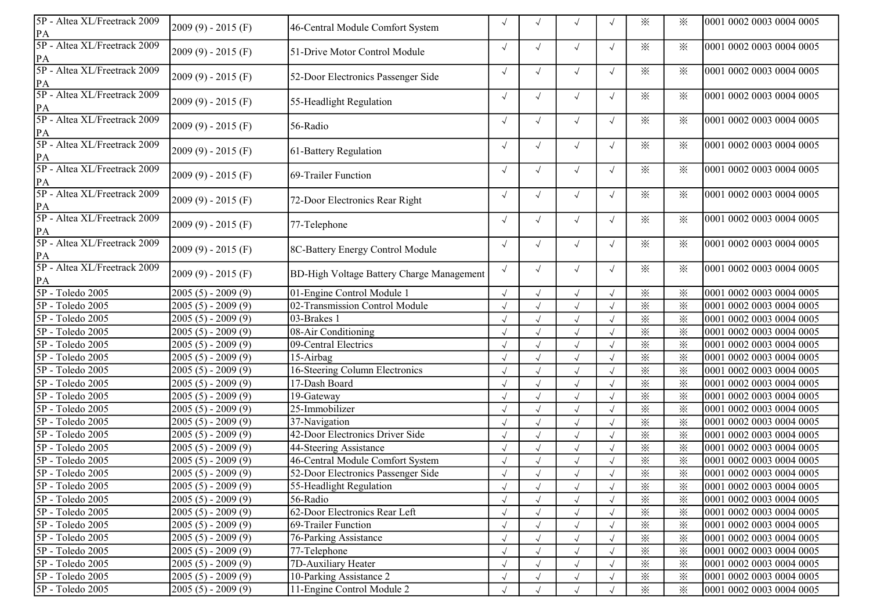| $\ddot{\times}$<br>⋇<br>0001 0002 0003 0004 0005<br>$\sqrt{ }$<br>$\sqrt{ }$<br>$\sqrt{}$<br>$2009(9) - 2015(F)$<br>51-Drive Motor Control Module<br>$\mathbf{PA}$<br>5P - Altea XL/Freetrack 2009<br>$\sqrt{ }$<br>$\times$<br>$\times$<br>0001 0002 0003 0004 0005<br>$\sqrt{ }$<br>$\sqrt{ }$<br>$\sqrt{ }$<br>$2009(9) - 2015(F)$<br>52-Door Electronics Passenger Side<br>$\mathbf{PA}$<br>5P - Altea XL/Freetrack 2009<br>$\times$<br>0001 0002 0003 0004 0005<br>$\sqrt{ }$<br>፠<br>$\sqrt{ }$<br>$\sqrt{ }$<br>$\sqrt{ }$<br>$2009(9) - 2015(F)$<br>55-Headlight Regulation<br>$\mathbf{PA}$<br>5P - Altea XL/Freetrack 2009<br>$\sqrt{}$<br>$\times$<br>$\times$<br>0001 0002 0003 0004 0005<br>$\sqrt{ }$<br>$\sqrt{ }$<br>$2009(9) - 2015(F)$<br>56-Radio<br>PA<br>5P - Altea XL/Freetrack 2009<br>$\sqrt{}$<br>$\times$<br>$\times$<br>$\sqrt{}$<br>$\sqrt{ }$<br>$\sqrt{ }$<br>0001 0002 0003 0004 0005<br>$2009(9) - 2015(F)$<br>61-Battery Regulation<br>PA<br>5P - Altea XL/Freetrack 2009<br>$\sqrt{}$<br>$\times$<br>0001 0002 0003 0004 0005<br>$\times$<br>$\sqrt{ }$<br>$\sqrt{ }$<br>$\sqrt{ }$<br>$2009(9) - 2015(F)$<br>69-Trailer Function<br>PA<br>5P - Altea XL/Freetrack 2009<br>$\sqrt{}$<br>$\times$<br>0001 0002 0003 0004 0005<br>$\times$<br>$\sqrt{ }$<br>$\sqrt{ }$<br>$\sqrt{ }$<br>$2009(9) - 2015(F)$<br>72-Door Electronics Rear Right<br>PA<br>5P - Altea XL/Freetrack 2009<br>$\times$<br>$\sqrt{}$<br>$\times$<br>$\sqrt{}$<br>0001 0002 0003 0004 0005<br>$\sqrt{ }$<br>$\sqrt{ }$<br>$2009(9) - 2015(F)$<br>77-Telephone<br>PA<br>5P - Altea XL/Freetrack 2009<br>$\sqrt{ }$<br>$\times$<br>$\sqrt{ }$<br>፠<br>0001 0002 0003 0004 0005<br>$\sqrt{ }$<br>$\sqrt{2}$<br>$2009(9) - 2015(F)$<br>8C-Battery Energy Control Module<br>PA<br>5P - Altea XL/Freetrack 2009<br>$\sqrt{ }$<br>$\ddot{\times}$<br>0001 0002 0003 0004 0005<br>$\sqrt{ }$<br>፠<br>$\sqrt{ }$<br>$\sqrt{ }$<br>$2009(9) - 2015(F)$<br><b>BD-High Voltage Battery Charge Management</b><br>PA<br>5P - Toledo 2005<br>01-Engine Control Module 1<br>$\times$<br>0001 0002 0003 0004 0005<br>$2005(5) - 2009(9)$<br>$\times$<br>$\sqrt{\phantom{a}}$<br>$\sqrt{ }$<br>$\times$<br>$\ddot{\times}$<br>5P - Toledo 2005<br>$2005(5) - 2009(9)$<br>02-Transmission Control Module<br>0001 0002 0003 0004 0005<br>$\times$<br>5P - Toledo 2005<br>$2005(5) - 2009(9)$<br>03-Brakes 1<br>$\checkmark$<br>$\times$<br>0001 0002 0003 0004 0005<br>$\times$<br>$\times$<br>5P - Toledo 2005<br>$\checkmark$<br>$2005(5) - 2009(9)$<br>08-Air Conditioning<br>0001 0002 0003 0004 0005<br>$\times$<br>$\times$<br>5P - Toledo 2005<br>$2005(5) - 2009(9)$<br>09-Central Electrics<br>$\sqrt{ }$<br>0001 0002 0003 0004 0005<br>$\times$<br>$15$ -Airbag<br>$\times$<br>5P - Toledo 2005<br>$2005(5) - 2009(9)$<br>$\sqrt{ }$<br>0001 0002 0003 0004 0005<br>16-Steering Column Electronics<br>5P - Toledo 2005<br>$\times$<br>$2005(5) - 2009(9)$<br>$\times$<br>0001 0002 0003 0004 0005<br>$\sqrt{ }$<br>$\times$<br>5P - Toledo 2005<br>$2005(5) - 2009(9)$<br>17-Dash Board<br>$\sqrt{ }$<br>$\times$<br>0001 0002 0003 0004 0005<br>$\times$<br>5P - Toledo 2005<br>$19$ -Gateway<br>$\sqrt{ }$<br>$\times$<br>$2005(5) - 2009(9)$<br>0001 0002 0003 0004 0005<br>$25$ -Immobilizer<br>$\times$<br>5P - Toledo 2005<br>$\times$<br>$2005(5) - 2009(9)$<br>$\sqrt{ }$<br>0001 0002 0003 0004 0005<br>$\times$<br>$\times$<br>5P - Toledo 2005<br>37-Navigation<br>$\checkmark$<br>0001 0002 0003 0004 0005<br>$2005(5) - 2009(9)$<br>42-Door Electronics Driver Side<br>$\times$<br>5P - Toledo 2005<br>$2005(5) - 2009(9)$<br>$\sqrt{ }$<br>$\times$<br>0001 0002 0003 0004 0005<br>5P - Toledo 2005<br>44-Steering Assistance<br>$\sqrt{ }$<br>$\times$<br>0001 0002 0003 0004 0005<br>$2005(5) - 2009(9)$<br>$\times$<br>5P - Toledo 2005<br>46-Central Module Comfort System<br>$\times$<br>$\times$<br>$2005(5) - 2009(9)$<br>$\sqrt{ }$<br>0001 0002 0003 0004 0005<br>52-Door Electronics Passenger Side<br>5P - Toledo 2005<br>$2005(5) - 2009(9)$<br>$\sqrt{ }$<br>$\times$<br>$\times$<br>0001 0002 0003 0004 0005<br>5P - Toledo 2005<br>$2005(5) - 2009(9)$<br>55-Headlight Regulation<br>$\times$<br>0001 0002 0003 0004 0005<br>$\sqrt{ }$<br>⋇<br>5P - Toledo 2005<br>56-Radio<br>$\times$<br>2005 (5) - 2009 (9)<br>$\times$<br>0001 0002 0003 0004 0005<br>$\sqrt{ }$<br>5P - Toledo 2005<br>62-Door Electronics Rear Left<br>$\times$<br>$2005(5) - 2009(9)$<br>$\times$<br>0001 0002 0003 0004 0005<br>$\sqrt{ }$<br>5P - Toledo 2005<br>$2005(5) - 2009(9)$<br>69-Trailer Function<br>$\times$<br>0001 0002 0003 0004 0005<br>$\times$<br>$\sqrt{ }$<br>5P - Toledo 2005<br>$2005(5) - 2009(9)$<br>76-Parking Assistance<br>$\times$<br>$\sqrt{ }$<br>$\times$<br>0001 0002 0003 0004 0005<br>$\times$<br>5P - Toledo 2005<br>$2005(5) - 2009(9)$<br>77-Telephone<br>$\sqrt{ }$<br>$\times$<br>0001 0002 0003 0004 0005<br>7D-Auxiliary Heater<br>5P - Toledo 2005<br>$2005(5) - 2009(9)$<br>$\times$<br>፠<br>$\sqrt{ }$<br>0001 0002 0003 0004 0005<br>5P - Toledo 2005<br>$2005(5) - 2009(9)$<br>10-Parking Assistance 2<br>$\times$<br>$\times$<br>0001 0002 0003 0004 0005<br>$\sqrt{ }$ | 5P - Altea XL/Freetrack 2009<br>PA | $2009(9) - 2015(F)$ | 46-Central Module Comfort System | $\sqrt{ }$ | $\sqrt{ }$ | $\times$ | ፠        | 0001 0002 0003 0004 0005 |
|----------------------------------------------------------------------------------------------------------------------------------------------------------------------------------------------------------------------------------------------------------------------------------------------------------------------------------------------------------------------------------------------------------------------------------------------------------------------------------------------------------------------------------------------------------------------------------------------------------------------------------------------------------------------------------------------------------------------------------------------------------------------------------------------------------------------------------------------------------------------------------------------------------------------------------------------------------------------------------------------------------------------------------------------------------------------------------------------------------------------------------------------------------------------------------------------------------------------------------------------------------------------------------------------------------------------------------------------------------------------------------------------------------------------------------------------------------------------------------------------------------------------------------------------------------------------------------------------------------------------------------------------------------------------------------------------------------------------------------------------------------------------------------------------------------------------------------------------------------------------------------------------------------------------------------------------------------------------------------------------------------------------------------------------------------------------------------------------------------------------------------------------------------------------------------------------------------------------------------------------------------------------------------------------------------------------------------------------------------------------------------------------------------------------------------------------------------------------------------------------------------------------------------------------------------------------------------------------------------------------------------------------------------------------------------------------------------------------------------------------------------------------------------------------------------------------------------------------------------------------------------------------------------------------------------------------------------------------------------------------------------------------------------------------------------------------------------------------------------------------------------------------------------------------------------------------------------------------------------------------------------------------------------------------------------------------------------------------------------------------------------------------------------------------------------------------------------------------------------------------------------------------------------------------------------------------------------------------------------------------------------------------------------------------------------------------------------------------------------------------------------------------------------------------------------------------------------------------------------------------------------------------------------------------------------------------------------------------------------------------------------------------------------------------------------------------------------------------------------------------------------------------------------------------------------------------------------------------------------------------------------------------------------------------------------------------------------------------------------------------------------------------------------------------------------------------------------------------------------------------------------------------------------------------------------------------------------------------------------------------------------------------------------------------------------------------------------------------------------------------------------------------------------------------------------------------------------------------------------------------------------------------------------------------------------------------------------------------------------------------------------------------------------------------------------------------------------------------------------------------------------------------------------------------------------------------------------------------------|------------------------------------|---------------------|----------------------------------|------------|------------|----------|----------|--------------------------|
|                                                                                                                                                                                                                                                                                                                                                                                                                                                                                                                                                                                                                                                                                                                                                                                                                                                                                                                                                                                                                                                                                                                                                                                                                                                                                                                                                                                                                                                                                                                                                                                                                                                                                                                                                                                                                                                                                                                                                                                                                                                                                                                                                                                                                                                                                                                                                                                                                                                                                                                                                                                                                                                                                                                                                                                                                                                                                                                                                                                                                                                                                                                                                                                                                                                                                                                                                                                                                                                                                                                                                                                                                                                                                                                                                                                                                                                                                                                                                                                                                                                                                                                                                                                                                                                                                                                                                                                                                                                                                                                                                                                                                                                                                                                                                                                                                                                                                                                                                                                                                                                                                                                                                                                                                            | 5P - Altea XL/Freetrack 2009       |                     |                                  |            |            |          |          |                          |
|                                                                                                                                                                                                                                                                                                                                                                                                                                                                                                                                                                                                                                                                                                                                                                                                                                                                                                                                                                                                                                                                                                                                                                                                                                                                                                                                                                                                                                                                                                                                                                                                                                                                                                                                                                                                                                                                                                                                                                                                                                                                                                                                                                                                                                                                                                                                                                                                                                                                                                                                                                                                                                                                                                                                                                                                                                                                                                                                                                                                                                                                                                                                                                                                                                                                                                                                                                                                                                                                                                                                                                                                                                                                                                                                                                                                                                                                                                                                                                                                                                                                                                                                                                                                                                                                                                                                                                                                                                                                                                                                                                                                                                                                                                                                                                                                                                                                                                                                                                                                                                                                                                                                                                                                                            |                                    |                     |                                  |            |            |          |          |                          |
|                                                                                                                                                                                                                                                                                                                                                                                                                                                                                                                                                                                                                                                                                                                                                                                                                                                                                                                                                                                                                                                                                                                                                                                                                                                                                                                                                                                                                                                                                                                                                                                                                                                                                                                                                                                                                                                                                                                                                                                                                                                                                                                                                                                                                                                                                                                                                                                                                                                                                                                                                                                                                                                                                                                                                                                                                                                                                                                                                                                                                                                                                                                                                                                                                                                                                                                                                                                                                                                                                                                                                                                                                                                                                                                                                                                                                                                                                                                                                                                                                                                                                                                                                                                                                                                                                                                                                                                                                                                                                                                                                                                                                                                                                                                                                                                                                                                                                                                                                                                                                                                                                                                                                                                                                            |                                    |                     |                                  |            |            |          |          |                          |
|                                                                                                                                                                                                                                                                                                                                                                                                                                                                                                                                                                                                                                                                                                                                                                                                                                                                                                                                                                                                                                                                                                                                                                                                                                                                                                                                                                                                                                                                                                                                                                                                                                                                                                                                                                                                                                                                                                                                                                                                                                                                                                                                                                                                                                                                                                                                                                                                                                                                                                                                                                                                                                                                                                                                                                                                                                                                                                                                                                                                                                                                                                                                                                                                                                                                                                                                                                                                                                                                                                                                                                                                                                                                                                                                                                                                                                                                                                                                                                                                                                                                                                                                                                                                                                                                                                                                                                                                                                                                                                                                                                                                                                                                                                                                                                                                                                                                                                                                                                                                                                                                                                                                                                                                                            |                                    |                     |                                  |            |            |          |          |                          |
|                                                                                                                                                                                                                                                                                                                                                                                                                                                                                                                                                                                                                                                                                                                                                                                                                                                                                                                                                                                                                                                                                                                                                                                                                                                                                                                                                                                                                                                                                                                                                                                                                                                                                                                                                                                                                                                                                                                                                                                                                                                                                                                                                                                                                                                                                                                                                                                                                                                                                                                                                                                                                                                                                                                                                                                                                                                                                                                                                                                                                                                                                                                                                                                                                                                                                                                                                                                                                                                                                                                                                                                                                                                                                                                                                                                                                                                                                                                                                                                                                                                                                                                                                                                                                                                                                                                                                                                                                                                                                                                                                                                                                                                                                                                                                                                                                                                                                                                                                                                                                                                                                                                                                                                                                            |                                    |                     |                                  |            |            |          |          |                          |
|                                                                                                                                                                                                                                                                                                                                                                                                                                                                                                                                                                                                                                                                                                                                                                                                                                                                                                                                                                                                                                                                                                                                                                                                                                                                                                                                                                                                                                                                                                                                                                                                                                                                                                                                                                                                                                                                                                                                                                                                                                                                                                                                                                                                                                                                                                                                                                                                                                                                                                                                                                                                                                                                                                                                                                                                                                                                                                                                                                                                                                                                                                                                                                                                                                                                                                                                                                                                                                                                                                                                                                                                                                                                                                                                                                                                                                                                                                                                                                                                                                                                                                                                                                                                                                                                                                                                                                                                                                                                                                                                                                                                                                                                                                                                                                                                                                                                                                                                                                                                                                                                                                                                                                                                                            |                                    |                     |                                  |            |            |          |          |                          |
|                                                                                                                                                                                                                                                                                                                                                                                                                                                                                                                                                                                                                                                                                                                                                                                                                                                                                                                                                                                                                                                                                                                                                                                                                                                                                                                                                                                                                                                                                                                                                                                                                                                                                                                                                                                                                                                                                                                                                                                                                                                                                                                                                                                                                                                                                                                                                                                                                                                                                                                                                                                                                                                                                                                                                                                                                                                                                                                                                                                                                                                                                                                                                                                                                                                                                                                                                                                                                                                                                                                                                                                                                                                                                                                                                                                                                                                                                                                                                                                                                                                                                                                                                                                                                                                                                                                                                                                                                                                                                                                                                                                                                                                                                                                                                                                                                                                                                                                                                                                                                                                                                                                                                                                                                            |                                    |                     |                                  |            |            |          |          |                          |
|                                                                                                                                                                                                                                                                                                                                                                                                                                                                                                                                                                                                                                                                                                                                                                                                                                                                                                                                                                                                                                                                                                                                                                                                                                                                                                                                                                                                                                                                                                                                                                                                                                                                                                                                                                                                                                                                                                                                                                                                                                                                                                                                                                                                                                                                                                                                                                                                                                                                                                                                                                                                                                                                                                                                                                                                                                                                                                                                                                                                                                                                                                                                                                                                                                                                                                                                                                                                                                                                                                                                                                                                                                                                                                                                                                                                                                                                                                                                                                                                                                                                                                                                                                                                                                                                                                                                                                                                                                                                                                                                                                                                                                                                                                                                                                                                                                                                                                                                                                                                                                                                                                                                                                                                                            |                                    |                     |                                  |            |            |          |          |                          |
|                                                                                                                                                                                                                                                                                                                                                                                                                                                                                                                                                                                                                                                                                                                                                                                                                                                                                                                                                                                                                                                                                                                                                                                                                                                                                                                                                                                                                                                                                                                                                                                                                                                                                                                                                                                                                                                                                                                                                                                                                                                                                                                                                                                                                                                                                                                                                                                                                                                                                                                                                                                                                                                                                                                                                                                                                                                                                                                                                                                                                                                                                                                                                                                                                                                                                                                                                                                                                                                                                                                                                                                                                                                                                                                                                                                                                                                                                                                                                                                                                                                                                                                                                                                                                                                                                                                                                                                                                                                                                                                                                                                                                                                                                                                                                                                                                                                                                                                                                                                                                                                                                                                                                                                                                            |                                    |                     |                                  |            |            |          |          |                          |
|                                                                                                                                                                                                                                                                                                                                                                                                                                                                                                                                                                                                                                                                                                                                                                                                                                                                                                                                                                                                                                                                                                                                                                                                                                                                                                                                                                                                                                                                                                                                                                                                                                                                                                                                                                                                                                                                                                                                                                                                                                                                                                                                                                                                                                                                                                                                                                                                                                                                                                                                                                                                                                                                                                                                                                                                                                                                                                                                                                                                                                                                                                                                                                                                                                                                                                                                                                                                                                                                                                                                                                                                                                                                                                                                                                                                                                                                                                                                                                                                                                                                                                                                                                                                                                                                                                                                                                                                                                                                                                                                                                                                                                                                                                                                                                                                                                                                                                                                                                                                                                                                                                                                                                                                                            |                                    |                     |                                  |            |            |          |          |                          |
|                                                                                                                                                                                                                                                                                                                                                                                                                                                                                                                                                                                                                                                                                                                                                                                                                                                                                                                                                                                                                                                                                                                                                                                                                                                                                                                                                                                                                                                                                                                                                                                                                                                                                                                                                                                                                                                                                                                                                                                                                                                                                                                                                                                                                                                                                                                                                                                                                                                                                                                                                                                                                                                                                                                                                                                                                                                                                                                                                                                                                                                                                                                                                                                                                                                                                                                                                                                                                                                                                                                                                                                                                                                                                                                                                                                                                                                                                                                                                                                                                                                                                                                                                                                                                                                                                                                                                                                                                                                                                                                                                                                                                                                                                                                                                                                                                                                                                                                                                                                                                                                                                                                                                                                                                            |                                    |                     |                                  |            |            |          |          |                          |
|                                                                                                                                                                                                                                                                                                                                                                                                                                                                                                                                                                                                                                                                                                                                                                                                                                                                                                                                                                                                                                                                                                                                                                                                                                                                                                                                                                                                                                                                                                                                                                                                                                                                                                                                                                                                                                                                                                                                                                                                                                                                                                                                                                                                                                                                                                                                                                                                                                                                                                                                                                                                                                                                                                                                                                                                                                                                                                                                                                                                                                                                                                                                                                                                                                                                                                                                                                                                                                                                                                                                                                                                                                                                                                                                                                                                                                                                                                                                                                                                                                                                                                                                                                                                                                                                                                                                                                                                                                                                                                                                                                                                                                                                                                                                                                                                                                                                                                                                                                                                                                                                                                                                                                                                                            |                                    |                     |                                  |            |            |          |          |                          |
|                                                                                                                                                                                                                                                                                                                                                                                                                                                                                                                                                                                                                                                                                                                                                                                                                                                                                                                                                                                                                                                                                                                                                                                                                                                                                                                                                                                                                                                                                                                                                                                                                                                                                                                                                                                                                                                                                                                                                                                                                                                                                                                                                                                                                                                                                                                                                                                                                                                                                                                                                                                                                                                                                                                                                                                                                                                                                                                                                                                                                                                                                                                                                                                                                                                                                                                                                                                                                                                                                                                                                                                                                                                                                                                                                                                                                                                                                                                                                                                                                                                                                                                                                                                                                                                                                                                                                                                                                                                                                                                                                                                                                                                                                                                                                                                                                                                                                                                                                                                                                                                                                                                                                                                                                            |                                    |                     |                                  |            |            |          |          |                          |
|                                                                                                                                                                                                                                                                                                                                                                                                                                                                                                                                                                                                                                                                                                                                                                                                                                                                                                                                                                                                                                                                                                                                                                                                                                                                                                                                                                                                                                                                                                                                                                                                                                                                                                                                                                                                                                                                                                                                                                                                                                                                                                                                                                                                                                                                                                                                                                                                                                                                                                                                                                                                                                                                                                                                                                                                                                                                                                                                                                                                                                                                                                                                                                                                                                                                                                                                                                                                                                                                                                                                                                                                                                                                                                                                                                                                                                                                                                                                                                                                                                                                                                                                                                                                                                                                                                                                                                                                                                                                                                                                                                                                                                                                                                                                                                                                                                                                                                                                                                                                                                                                                                                                                                                                                            |                                    |                     |                                  |            |            |          |          |                          |
|                                                                                                                                                                                                                                                                                                                                                                                                                                                                                                                                                                                                                                                                                                                                                                                                                                                                                                                                                                                                                                                                                                                                                                                                                                                                                                                                                                                                                                                                                                                                                                                                                                                                                                                                                                                                                                                                                                                                                                                                                                                                                                                                                                                                                                                                                                                                                                                                                                                                                                                                                                                                                                                                                                                                                                                                                                                                                                                                                                                                                                                                                                                                                                                                                                                                                                                                                                                                                                                                                                                                                                                                                                                                                                                                                                                                                                                                                                                                                                                                                                                                                                                                                                                                                                                                                                                                                                                                                                                                                                                                                                                                                                                                                                                                                                                                                                                                                                                                                                                                                                                                                                                                                                                                                            |                                    |                     |                                  |            |            |          |          |                          |
|                                                                                                                                                                                                                                                                                                                                                                                                                                                                                                                                                                                                                                                                                                                                                                                                                                                                                                                                                                                                                                                                                                                                                                                                                                                                                                                                                                                                                                                                                                                                                                                                                                                                                                                                                                                                                                                                                                                                                                                                                                                                                                                                                                                                                                                                                                                                                                                                                                                                                                                                                                                                                                                                                                                                                                                                                                                                                                                                                                                                                                                                                                                                                                                                                                                                                                                                                                                                                                                                                                                                                                                                                                                                                                                                                                                                                                                                                                                                                                                                                                                                                                                                                                                                                                                                                                                                                                                                                                                                                                                                                                                                                                                                                                                                                                                                                                                                                                                                                                                                                                                                                                                                                                                                                            |                                    |                     |                                  |            |            |          |          |                          |
|                                                                                                                                                                                                                                                                                                                                                                                                                                                                                                                                                                                                                                                                                                                                                                                                                                                                                                                                                                                                                                                                                                                                                                                                                                                                                                                                                                                                                                                                                                                                                                                                                                                                                                                                                                                                                                                                                                                                                                                                                                                                                                                                                                                                                                                                                                                                                                                                                                                                                                                                                                                                                                                                                                                                                                                                                                                                                                                                                                                                                                                                                                                                                                                                                                                                                                                                                                                                                                                                                                                                                                                                                                                                                                                                                                                                                                                                                                                                                                                                                                                                                                                                                                                                                                                                                                                                                                                                                                                                                                                                                                                                                                                                                                                                                                                                                                                                                                                                                                                                                                                                                                                                                                                                                            |                                    |                     |                                  |            |            |          |          |                          |
|                                                                                                                                                                                                                                                                                                                                                                                                                                                                                                                                                                                                                                                                                                                                                                                                                                                                                                                                                                                                                                                                                                                                                                                                                                                                                                                                                                                                                                                                                                                                                                                                                                                                                                                                                                                                                                                                                                                                                                                                                                                                                                                                                                                                                                                                                                                                                                                                                                                                                                                                                                                                                                                                                                                                                                                                                                                                                                                                                                                                                                                                                                                                                                                                                                                                                                                                                                                                                                                                                                                                                                                                                                                                                                                                                                                                                                                                                                                                                                                                                                                                                                                                                                                                                                                                                                                                                                                                                                                                                                                                                                                                                                                                                                                                                                                                                                                                                                                                                                                                                                                                                                                                                                                                                            |                                    |                     |                                  |            |            |          |          |                          |
|                                                                                                                                                                                                                                                                                                                                                                                                                                                                                                                                                                                                                                                                                                                                                                                                                                                                                                                                                                                                                                                                                                                                                                                                                                                                                                                                                                                                                                                                                                                                                                                                                                                                                                                                                                                                                                                                                                                                                                                                                                                                                                                                                                                                                                                                                                                                                                                                                                                                                                                                                                                                                                                                                                                                                                                                                                                                                                                                                                                                                                                                                                                                                                                                                                                                                                                                                                                                                                                                                                                                                                                                                                                                                                                                                                                                                                                                                                                                                                                                                                                                                                                                                                                                                                                                                                                                                                                                                                                                                                                                                                                                                                                                                                                                                                                                                                                                                                                                                                                                                                                                                                                                                                                                                            |                                    |                     |                                  |            |            |          |          |                          |
|                                                                                                                                                                                                                                                                                                                                                                                                                                                                                                                                                                                                                                                                                                                                                                                                                                                                                                                                                                                                                                                                                                                                                                                                                                                                                                                                                                                                                                                                                                                                                                                                                                                                                                                                                                                                                                                                                                                                                                                                                                                                                                                                                                                                                                                                                                                                                                                                                                                                                                                                                                                                                                                                                                                                                                                                                                                                                                                                                                                                                                                                                                                                                                                                                                                                                                                                                                                                                                                                                                                                                                                                                                                                                                                                                                                                                                                                                                                                                                                                                                                                                                                                                                                                                                                                                                                                                                                                                                                                                                                                                                                                                                                                                                                                                                                                                                                                                                                                                                                                                                                                                                                                                                                                                            |                                    |                     |                                  |            |            |          |          |                          |
|                                                                                                                                                                                                                                                                                                                                                                                                                                                                                                                                                                                                                                                                                                                                                                                                                                                                                                                                                                                                                                                                                                                                                                                                                                                                                                                                                                                                                                                                                                                                                                                                                                                                                                                                                                                                                                                                                                                                                                                                                                                                                                                                                                                                                                                                                                                                                                                                                                                                                                                                                                                                                                                                                                                                                                                                                                                                                                                                                                                                                                                                                                                                                                                                                                                                                                                                                                                                                                                                                                                                                                                                                                                                                                                                                                                                                                                                                                                                                                                                                                                                                                                                                                                                                                                                                                                                                                                                                                                                                                                                                                                                                                                                                                                                                                                                                                                                                                                                                                                                                                                                                                                                                                                                                            |                                    |                     |                                  |            |            |          |          |                          |
|                                                                                                                                                                                                                                                                                                                                                                                                                                                                                                                                                                                                                                                                                                                                                                                                                                                                                                                                                                                                                                                                                                                                                                                                                                                                                                                                                                                                                                                                                                                                                                                                                                                                                                                                                                                                                                                                                                                                                                                                                                                                                                                                                                                                                                                                                                                                                                                                                                                                                                                                                                                                                                                                                                                                                                                                                                                                                                                                                                                                                                                                                                                                                                                                                                                                                                                                                                                                                                                                                                                                                                                                                                                                                                                                                                                                                                                                                                                                                                                                                                                                                                                                                                                                                                                                                                                                                                                                                                                                                                                                                                                                                                                                                                                                                                                                                                                                                                                                                                                                                                                                                                                                                                                                                            |                                    |                     |                                  |            |            |          |          |                          |
|                                                                                                                                                                                                                                                                                                                                                                                                                                                                                                                                                                                                                                                                                                                                                                                                                                                                                                                                                                                                                                                                                                                                                                                                                                                                                                                                                                                                                                                                                                                                                                                                                                                                                                                                                                                                                                                                                                                                                                                                                                                                                                                                                                                                                                                                                                                                                                                                                                                                                                                                                                                                                                                                                                                                                                                                                                                                                                                                                                                                                                                                                                                                                                                                                                                                                                                                                                                                                                                                                                                                                                                                                                                                                                                                                                                                                                                                                                                                                                                                                                                                                                                                                                                                                                                                                                                                                                                                                                                                                                                                                                                                                                                                                                                                                                                                                                                                                                                                                                                                                                                                                                                                                                                                                            |                                    |                     |                                  |            |            |          |          |                          |
|                                                                                                                                                                                                                                                                                                                                                                                                                                                                                                                                                                                                                                                                                                                                                                                                                                                                                                                                                                                                                                                                                                                                                                                                                                                                                                                                                                                                                                                                                                                                                                                                                                                                                                                                                                                                                                                                                                                                                                                                                                                                                                                                                                                                                                                                                                                                                                                                                                                                                                                                                                                                                                                                                                                                                                                                                                                                                                                                                                                                                                                                                                                                                                                                                                                                                                                                                                                                                                                                                                                                                                                                                                                                                                                                                                                                                                                                                                                                                                                                                                                                                                                                                                                                                                                                                                                                                                                                                                                                                                                                                                                                                                                                                                                                                                                                                                                                                                                                                                                                                                                                                                                                                                                                                            |                                    |                     |                                  |            |            |          |          |                          |
|                                                                                                                                                                                                                                                                                                                                                                                                                                                                                                                                                                                                                                                                                                                                                                                                                                                                                                                                                                                                                                                                                                                                                                                                                                                                                                                                                                                                                                                                                                                                                                                                                                                                                                                                                                                                                                                                                                                                                                                                                                                                                                                                                                                                                                                                                                                                                                                                                                                                                                                                                                                                                                                                                                                                                                                                                                                                                                                                                                                                                                                                                                                                                                                                                                                                                                                                                                                                                                                                                                                                                                                                                                                                                                                                                                                                                                                                                                                                                                                                                                                                                                                                                                                                                                                                                                                                                                                                                                                                                                                                                                                                                                                                                                                                                                                                                                                                                                                                                                                                                                                                                                                                                                                                                            |                                    |                     |                                  |            |            |          |          |                          |
|                                                                                                                                                                                                                                                                                                                                                                                                                                                                                                                                                                                                                                                                                                                                                                                                                                                                                                                                                                                                                                                                                                                                                                                                                                                                                                                                                                                                                                                                                                                                                                                                                                                                                                                                                                                                                                                                                                                                                                                                                                                                                                                                                                                                                                                                                                                                                                                                                                                                                                                                                                                                                                                                                                                                                                                                                                                                                                                                                                                                                                                                                                                                                                                                                                                                                                                                                                                                                                                                                                                                                                                                                                                                                                                                                                                                                                                                                                                                                                                                                                                                                                                                                                                                                                                                                                                                                                                                                                                                                                                                                                                                                                                                                                                                                                                                                                                                                                                                                                                                                                                                                                                                                                                                                            |                                    |                     |                                  |            |            |          |          |                          |
|                                                                                                                                                                                                                                                                                                                                                                                                                                                                                                                                                                                                                                                                                                                                                                                                                                                                                                                                                                                                                                                                                                                                                                                                                                                                                                                                                                                                                                                                                                                                                                                                                                                                                                                                                                                                                                                                                                                                                                                                                                                                                                                                                                                                                                                                                                                                                                                                                                                                                                                                                                                                                                                                                                                                                                                                                                                                                                                                                                                                                                                                                                                                                                                                                                                                                                                                                                                                                                                                                                                                                                                                                                                                                                                                                                                                                                                                                                                                                                                                                                                                                                                                                                                                                                                                                                                                                                                                                                                                                                                                                                                                                                                                                                                                                                                                                                                                                                                                                                                                                                                                                                                                                                                                                            |                                    |                     |                                  |            |            |          |          |                          |
|                                                                                                                                                                                                                                                                                                                                                                                                                                                                                                                                                                                                                                                                                                                                                                                                                                                                                                                                                                                                                                                                                                                                                                                                                                                                                                                                                                                                                                                                                                                                                                                                                                                                                                                                                                                                                                                                                                                                                                                                                                                                                                                                                                                                                                                                                                                                                                                                                                                                                                                                                                                                                                                                                                                                                                                                                                                                                                                                                                                                                                                                                                                                                                                                                                                                                                                                                                                                                                                                                                                                                                                                                                                                                                                                                                                                                                                                                                                                                                                                                                                                                                                                                                                                                                                                                                                                                                                                                                                                                                                                                                                                                                                                                                                                                                                                                                                                                                                                                                                                                                                                                                                                                                                                                            |                                    |                     |                                  |            |            |          |          |                          |
|                                                                                                                                                                                                                                                                                                                                                                                                                                                                                                                                                                                                                                                                                                                                                                                                                                                                                                                                                                                                                                                                                                                                                                                                                                                                                                                                                                                                                                                                                                                                                                                                                                                                                                                                                                                                                                                                                                                                                                                                                                                                                                                                                                                                                                                                                                                                                                                                                                                                                                                                                                                                                                                                                                                                                                                                                                                                                                                                                                                                                                                                                                                                                                                                                                                                                                                                                                                                                                                                                                                                                                                                                                                                                                                                                                                                                                                                                                                                                                                                                                                                                                                                                                                                                                                                                                                                                                                                                                                                                                                                                                                                                                                                                                                                                                                                                                                                                                                                                                                                                                                                                                                                                                                                                            |                                    |                     |                                  |            |            |          |          |                          |
|                                                                                                                                                                                                                                                                                                                                                                                                                                                                                                                                                                                                                                                                                                                                                                                                                                                                                                                                                                                                                                                                                                                                                                                                                                                                                                                                                                                                                                                                                                                                                                                                                                                                                                                                                                                                                                                                                                                                                                                                                                                                                                                                                                                                                                                                                                                                                                                                                                                                                                                                                                                                                                                                                                                                                                                                                                                                                                                                                                                                                                                                                                                                                                                                                                                                                                                                                                                                                                                                                                                                                                                                                                                                                                                                                                                                                                                                                                                                                                                                                                                                                                                                                                                                                                                                                                                                                                                                                                                                                                                                                                                                                                                                                                                                                                                                                                                                                                                                                                                                                                                                                                                                                                                                                            |                                    |                     |                                  |            |            |          |          |                          |
|                                                                                                                                                                                                                                                                                                                                                                                                                                                                                                                                                                                                                                                                                                                                                                                                                                                                                                                                                                                                                                                                                                                                                                                                                                                                                                                                                                                                                                                                                                                                                                                                                                                                                                                                                                                                                                                                                                                                                                                                                                                                                                                                                                                                                                                                                                                                                                                                                                                                                                                                                                                                                                                                                                                                                                                                                                                                                                                                                                                                                                                                                                                                                                                                                                                                                                                                                                                                                                                                                                                                                                                                                                                                                                                                                                                                                                                                                                                                                                                                                                                                                                                                                                                                                                                                                                                                                                                                                                                                                                                                                                                                                                                                                                                                                                                                                                                                                                                                                                                                                                                                                                                                                                                                                            |                                    |                     |                                  |            |            |          |          |                          |
|                                                                                                                                                                                                                                                                                                                                                                                                                                                                                                                                                                                                                                                                                                                                                                                                                                                                                                                                                                                                                                                                                                                                                                                                                                                                                                                                                                                                                                                                                                                                                                                                                                                                                                                                                                                                                                                                                                                                                                                                                                                                                                                                                                                                                                                                                                                                                                                                                                                                                                                                                                                                                                                                                                                                                                                                                                                                                                                                                                                                                                                                                                                                                                                                                                                                                                                                                                                                                                                                                                                                                                                                                                                                                                                                                                                                                                                                                                                                                                                                                                                                                                                                                                                                                                                                                                                                                                                                                                                                                                                                                                                                                                                                                                                                                                                                                                                                                                                                                                                                                                                                                                                                                                                                                            |                                    |                     |                                  |            |            |          |          |                          |
|                                                                                                                                                                                                                                                                                                                                                                                                                                                                                                                                                                                                                                                                                                                                                                                                                                                                                                                                                                                                                                                                                                                                                                                                                                                                                                                                                                                                                                                                                                                                                                                                                                                                                                                                                                                                                                                                                                                                                                                                                                                                                                                                                                                                                                                                                                                                                                                                                                                                                                                                                                                                                                                                                                                                                                                                                                                                                                                                                                                                                                                                                                                                                                                                                                                                                                                                                                                                                                                                                                                                                                                                                                                                                                                                                                                                                                                                                                                                                                                                                                                                                                                                                                                                                                                                                                                                                                                                                                                                                                                                                                                                                                                                                                                                                                                                                                                                                                                                                                                                                                                                                                                                                                                                                            |                                    |                     |                                  |            |            |          |          |                          |
| $\sqrt{ }$                                                                                                                                                                                                                                                                                                                                                                                                                                                                                                                                                                                                                                                                                                                                                                                                                                                                                                                                                                                                                                                                                                                                                                                                                                                                                                                                                                                                                                                                                                                                                                                                                                                                                                                                                                                                                                                                                                                                                                                                                                                                                                                                                                                                                                                                                                                                                                                                                                                                                                                                                                                                                                                                                                                                                                                                                                                                                                                                                                                                                                                                                                                                                                                                                                                                                                                                                                                                                                                                                                                                                                                                                                                                                                                                                                                                                                                                                                                                                                                                                                                                                                                                                                                                                                                                                                                                                                                                                                                                                                                                                                                                                                                                                                                                                                                                                                                                                                                                                                                                                                                                                                                                                                                                                 | 5P - Toledo 2005                   | $2005(5) - 2009(9)$ | 11-Engine Control Module 2       |            | $\sqrt{ }$ | $\times$ | $\times$ | 0001 0002 0003 0004 0005 |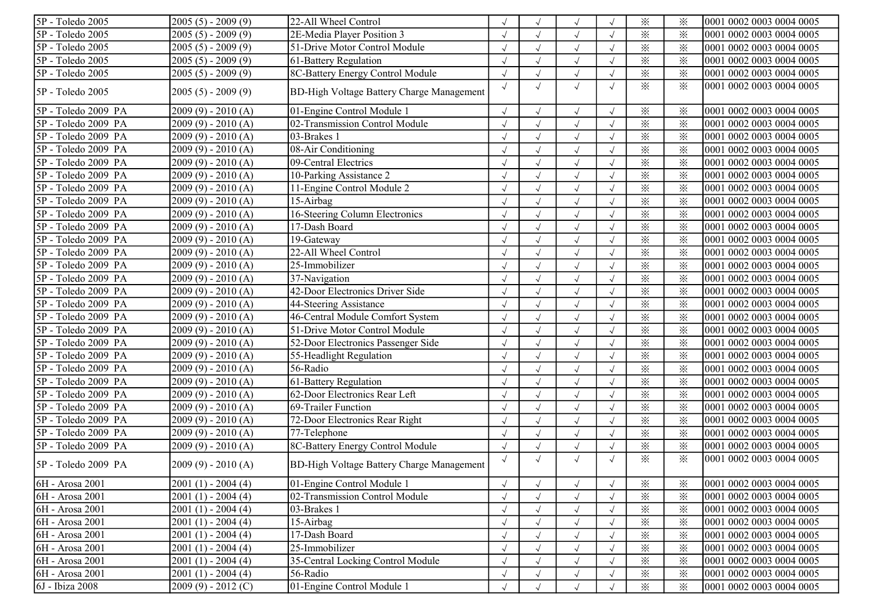| 5P - Toledo 2005    | $2005(5) - 2009(9)$ | 22-All Wheel Control                             |            |            |              |            | $\times$                | $\times$ | 0001 0002 0003 0004 0005 |
|---------------------|---------------------|--------------------------------------------------|------------|------------|--------------|------------|-------------------------|----------|--------------------------|
| 5P - Toledo 2005    | $2005(5) - 2009(9)$ | 2E-Media Player Position 3                       |            |            | $\sqrt{ }$   |            | $\times$                | $\times$ | 0001 0002 0003 0004 0005 |
| 5P - Toledo 2005    | $2005(5) - 2009(9)$ | 51-Drive Motor Control Module                    |            |            | $\sqrt{ }$   |            | $\times$                | $\times$ | 0001 0002 0003 0004 0005 |
| 5P - Toledo 2005    | $2005(5) - 2009(9)$ | 61-Battery Regulation                            |            |            | $\sqrt{ }$   |            | $\times$                | $\times$ | 0001 0002 0003 0004 0005 |
| 5P - Toledo 2005    | $2005(5) - 2009(9)$ | 8C-Battery Energy Control Module                 |            |            | $\sqrt{ }$   |            | $\times$                | $\times$ | 0001 0002 0003 0004 0005 |
| 5P - Toledo 2005    | $2005(5) - 2009(9)$ | <b>BD-High Voltage Battery Charge Management</b> | $\sqrt{ }$ |            | $\sqrt{ }$   | $\sqrt{ }$ | $\times$                | $\times$ | 0001 0002 0003 0004 0005 |
| 5P - Toledo 2009 PA | $2009(9) - 2010(A)$ | 01-Engine Control Module 1                       |            |            | $\sqrt{ }$   |            | $\times$                | $\times$ | 0001 0002 0003 0004 0005 |
| 5P - Toledo 2009 PA | $2009(9) - 2010(A)$ | 02-Transmission Control Module                   |            |            | $\sqrt{ }$   |            | $\times$                | $\times$ | 0001 0002 0003 0004 0005 |
| 5P - Toledo 2009 PA | $2009(9) - 2010(A)$ | 03-Brakes 1                                      |            |            | $\sqrt{ }$   |            | $\times$                | $\times$ | 0001 0002 0003 0004 0005 |
| 5P - Toledo 2009 PA | $2009(9) - 2010(A)$ | 08-Air Conditioning                              |            |            | $\sqrt{ }$   |            | $\times$                | $\times$ | 0001 0002 0003 0004 0005 |
| 5P - Toledo 2009 PA | $2009(9) - 2010(A)$ | 09-Central Electrics                             | $\sqrt{ }$ | $\sqrt{}$  | $\sqrt{ }$   | $\sqrt{ }$ | $\times$                | $\times$ | 0001 0002 0003 0004 0005 |
| 5P - Toledo 2009 PA | $2009(9) - 2010(A)$ | 10-Parking Assistance 2                          |            |            | $\sqrt{ }$   |            | $\times$                | $\times$ | 0001 0002 0003 0004 0005 |
| 5P - Toledo 2009 PA | $2009(9) - 2010(A)$ | 11-Engine Control Module 2                       |            |            | $\sqrt{ }$   |            | $\times$                | $\times$ | 0001 0002 0003 0004 0005 |
| 5P - Toledo 2009 PA | $2009(9) - 2010(A)$ | 15-Airbag                                        |            |            |              |            | $\times$                | $\times$ | 0001 0002 0003 0004 0005 |
| 5P - Toledo 2009 PA | $2009(9) - 2010(A)$ | 16-Steering Column Electronics                   |            |            | $\sqrt{ }$   |            | $\times$                | $\times$ | 0001 0002 0003 0004 0005 |
| 5P - Toledo 2009 PA | $2009(9) - 2010(A)$ | 17-Dash Board                                    |            |            | $\sqrt{ }$   |            | $\times$                | $\times$ | 0001 0002 0003 0004 0005 |
| 5P - Toledo 2009 PA | $2009(9) - 2010(A)$ | $19$ -Gateway                                    |            |            | $\sqrt{ }$   |            | $\times$                | $\times$ | 0001 0002 0003 0004 0005 |
| 5P - Toledo 2009 PA | $2009(9) - 2010(A)$ | 22-All Wheel Control                             |            |            | $\sqrt{ }$   |            | $\times$                | $\times$ | 0001 0002 0003 0004 0005 |
| 5P - Toledo 2009 PA | $2009(9) - 2010(A)$ | 25-Immobilizer                                   |            |            | $\sqrt{ }$   |            | $\times$                | $\times$ | 0001 0002 0003 0004 0005 |
| 5P - Toledo 2009 PA | $2009(9) - 2010(A)$ | 37-Navigation                                    |            |            | $\sqrt{ }$   |            | $\times$                | $\times$ | 0001 0002 0003 0004 0005 |
| 5P - Toledo 2009 PA | $2009(9) - 2010(A)$ | 42-Door Electronics Driver Side                  |            |            | $\sqrt{ }$   |            | $\times$                | $\times$ | 0001 0002 0003 0004 0005 |
| 5P - Toledo 2009 PA | $2009(9) - 2010(A)$ | 44-Steering Assistance                           |            |            | $\sqrt{ }$   |            | $\times$                | $\times$ | 0001 0002 0003 0004 0005 |
| 5P - Toledo 2009 PA | $2009(9) - 2010(A)$ | 46-Central Module Comfort System                 |            |            | $\sqrt{ }$   |            | $\times$                | $\times$ | 0001 0002 0003 0004 0005 |
| 5P - Toledo 2009 PA | $2009(9) - 2010(A)$ | 51-Drive Motor Control Module                    |            |            | $\sqrt{ }$   |            | $\times$                | $\times$ | 0001 0002 0003 0004 0005 |
| 5P - Toledo 2009 PA | $2009(9) - 2010(A)$ | 52-Door Electronics Passenger Side               |            |            | $\checkmark$ |            | $\overline{\mathbf{x}}$ | $\times$ | 0001 0002 0003 0004 0005 |
| 5P - Toledo 2009 PA | $2009(9) - 2010(A)$ | 55-Headlight Regulation                          |            |            | $\sqrt{ }$   |            | $\times$                | $\times$ | 0001 0002 0003 0004 0005 |
| 5P - Toledo 2009 PA | 2009 (9) - 2010 (A) | 56-Radio                                         |            |            |              |            | $\times$                | $\times$ | 0001 0002 0003 0004 0005 |
| 5P - Toledo 2009 PA | $2009(9) - 2010(A)$ | 61-Battery Regulation                            |            |            | $\sqrt{ }$   |            | $\times$                | $\times$ | 0001 0002 0003 0004 0005 |
| 5P - Toledo 2009 PA | $2009(9) - 2010(A)$ | 62-Door Electronics Rear Left                    |            |            | $\sqrt{ }$   |            | $\times$                | $\times$ | 0001 0002 0003 0004 0005 |
| 5P - Toledo 2009 PA | $2009(9) - 2010(A)$ | 69-Trailer Function                              |            |            | $\sqrt{ }$   |            | $\times$                | $\times$ | 0001 0002 0003 0004 0005 |
| 5P - Toledo 2009 PA | $2009(9) - 2010(A)$ | 72-Door Electronics Rear Right                   |            |            | $\sqrt{ }$   |            | $\times$                | $\times$ | 0001 0002 0003 0004 0005 |
| 5P - Toledo 2009 PA | $2009(9) - 2010(A)$ | 77-Telephone                                     |            |            | $\sqrt{ }$   |            | $\times$                | $\times$ | 0001 0002 0003 0004 0005 |
| 5P - Toledo 2009 PA | $2009(9) - 2010(A)$ | 8C-Battery Energy Control Module                 |            |            | $\sqrt{ }$   |            | $\times$                | $\times$ | 0001 0002 0003 0004 0005 |
| 5P - Toledo 2009 PA | $2009(9) - 2010(A)$ | <b>BD-High Voltage Battery Charge Management</b> |            | $\sqrt{ }$ | $\sqrt{ }$   |            | $\times$                | $\times$ | 0001 0002 0003 0004 0005 |
| 6H - Arosa 2001     | $2001(1) - 2004(4)$ | 01-Engine Control Module 1                       | $\sqrt{ }$ |            | $\sqrt{ }$   | $\sqrt{ }$ | $\times$                | ⋇        | 0001 0002 0003 0004 0005 |
| 6H - Arosa 2001     | $2001(1) - 2004(4)$ | 02-Transmission Control Module                   |            |            | $\sqrt{ }$   |            | $\times$                | $\times$ | 0001 0002 0003 0004 0005 |
| 6H - Arosa 2001     | $2001(1) - 2004(4)$ | 03-Brakes 1                                      |            |            | $\sqrt{ }$   |            | $\times$                | $\times$ | 0001 0002 0003 0004 0005 |
| 6H - Arosa 2001     | $2001(1) - 2004(4)$ | 15-Airbag                                        |            |            |              |            | $\times$                | $\times$ | 0001 0002 0003 0004 0005 |
| 6H - Arosa 2001     | $2001(1) - 2004(4)$ | 17-Dash Board                                    |            |            |              |            | $\times$                | $\times$ | 0001 0002 0003 0004 0005 |
| 6H - Arosa 2001     | $2001(1) - 2004(4)$ | 25-Immobilizer                                   |            |            | $\sqrt{ }$   |            | $\times$                | $\times$ | 0001 0002 0003 0004 0005 |
| 6H - Arosa 2001     | $2001(1) - 2004(4)$ | 35-Central Locking Control Module                |            |            | $\sqrt{ }$   |            | $\times$                | $\times$ | 0001 0002 0003 0004 0005 |
| 6H - Arosa 2001     | $2001(1) - 2004(4)$ | 56-Radio                                         |            |            | $\sqrt{ }$   |            | $\times$                | $\times$ | 0001 0002 0003 0004 0005 |
| 6J - Ibiza 2008     | $2009(9) - 2012(C)$ | 01-Engine Control Module 1                       |            |            | $\sqrt{ }$   |            | $\times$                | $\times$ | 0001 0002 0003 0004 0005 |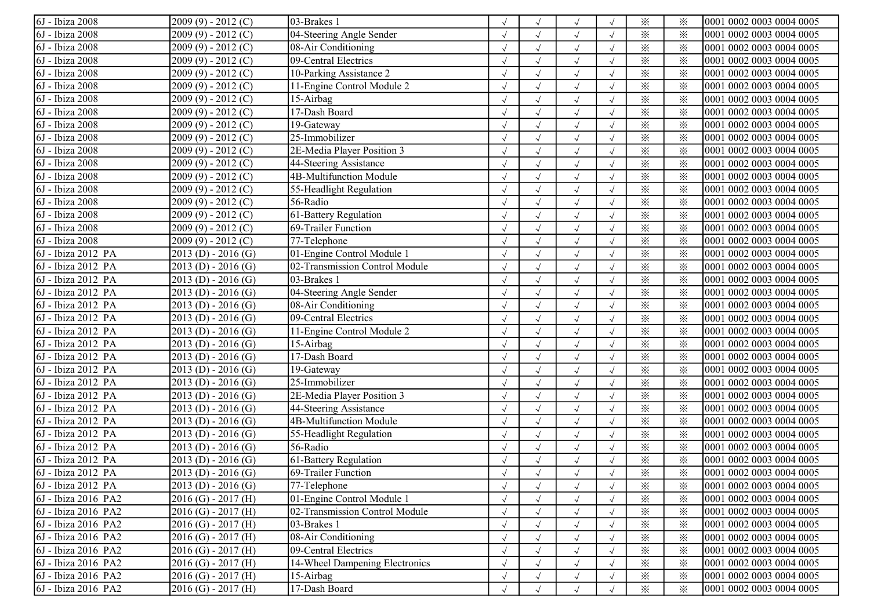| 6J - Ibiza 2008              | $2009(9) - 2012(C)$     | 03-Brakes 1                    |            |            |                      |            | $\times$               | $\times$ | 0001 0002 0003 0004 0005 |
|------------------------------|-------------------------|--------------------------------|------------|------------|----------------------|------------|------------------------|----------|--------------------------|
| 6J - Ibiza 2008              | $2009(9) - 2012(C)$     | 04-Steering Angle Sender       |            |            | $\sqrt{}$            |            | $\times$               | $\times$ | 0001 0002 0003 0004 0005 |
| 6J - Ibiza 2008              | $2009(9) - 2012(C)$     | 08-Air Conditioning            |            |            | $\sqrt{ }$           |            | $\times$               | $\times$ | 0001 0002 0003 0004 0005 |
| 6J - Ibiza 2008              | $2009(9) - 2012(C)$     | 09-Central Electrics           |            |            | $\sqrt{ }$           |            | $\times$               | $\times$ | 0001 0002 0003 0004 0005 |
| $\overline{6J}$ - Ibiza 2008 | $2009(9) - 2012(C)$     | 10-Parking Assistance 2        |            |            | $\sqrt{ }$           |            | $\times$               | $\times$ | 0001 0002 0003 0004 0005 |
| $\overline{6J}$ - Ibiza 2008 | 2009 (9) - 2012 (C)     | 11-Engine Control Module 2     |            |            | $\sqrt{ }$           |            | $\times$               | $\times$ | 0001 0002 0003 0004 0005 |
| 6J - Ibiza 2008              | $2009(9) - 2012(C)$     | 15-Airbag                      |            |            | $\sqrt{ }$           |            | $\times$               | $\times$ | 0001 0002 0003 0004 0005 |
| 6J - Ibiza 2008              | $2009(9) - 2012(C)$     | 17-Dash Board                  |            |            | $\sqrt{ }$           |            | $\times$               | $\times$ | 0001 0002 0003 0004 0005 |
| 6J - Ibiza 2008              | $2009(9) - 2012(C)$     | 19-Gateway                     |            |            | $\sqrt{ }$           | $\sqrt{ }$ | $\times$               | $\times$ | 0001 0002 0003 0004 0005 |
| 6J - Ibiza 2008              | $2009(9) - 2012(C)$     | 25-Immobilizer                 |            |            | $\sqrt{ }$           |            | $\times$               | $\times$ | 0001 0002 0003 0004 0005 |
| 6J - Ibiza 2008              | $2009(9) - 2012(C)$     | 2E-Media Player Position 3     |            |            | $\sqrt{ }$           |            | $\times$               | $\times$ | 0001 0002 0003 0004 0005 |
| 6J - Ibiza 2008              | 2009 (9) - 2012 (C)     | 44-Steering Assistance         |            |            | $\sqrt{ }$           |            | $\times$               | $\times$ | 0001 0002 0003 0004 0005 |
| 6J - Ibiza 2008              | 2009 (9) - 2012 (C)     | 4B-Multifunction Module        |            |            | $\sqrt{ }$           |            | $\times$               | $\times$ | 0001 0002 0003 0004 0005 |
| 6J - Ibiza 2008              | $2009(9) - 2012(C)$     | 55-Headlight Regulation        |            |            | $\sqrt{}$            |            | $\times$               | $\times$ | 0001 0002 0003 0004 0005 |
| 6J - Ibiza 2008              | $2009(9) - 2012(C)$     | 56-Radio                       |            |            | $\sqrt{ }$           |            | $\times$               | $\times$ | 0001 0002 0003 0004 0005 |
| 6J - Ibiza 2008              | $2009(9) - 2012(C)$     | 61-Battery Regulation          |            |            | $\sqrt{ }$           |            | $\times$               | $\times$ | 0001 0002 0003 0004 0005 |
| 6J - Ibiza 2008              | $2009(9) - 2012(C)$     | 69-Trailer Function            |            |            | $\sqrt{ }$           |            | $\times$               | $\times$ | 0001 0002 0003 0004 0005 |
| 6J - Ibiza 2008              | $2009(9) - 2012(C)$     | $77$ -Telephone                |            |            | $\sqrt{ }$           |            | $\times$               | $\times$ | 0001 0002 0003 0004 0005 |
| 6J - Ibiza 2012 PA           | $2013(D) - 2016(G)$     | 01-Engine Control Module 1     |            |            | $\sqrt{ }$           |            | $\times$               | $\times$ | 0001 0002 0003 0004 0005 |
| 6J - Ibiza 2012 PA           | $2013(D) - 2016(G)$     | 02-Transmission Control Module |            |            | $\sqrt{ }$           |            | $\times$               | $\times$ | 0001 0002 0003 0004 0005 |
| 6J - Ibiza 2012 PA           | $2013(D) - 2016(G)$     | 03-Brakes 1                    |            |            | $\sqrt{ }$           |            | $\times$               | $\times$ | 0001 0002 0003 0004 0005 |
| 6J - Ibiza 2012 PA           | $2013(D) - 2016(G)$     | 04-Steering Angle Sender       |            |            | $\sqrt{ }$           |            | $\times$               | $\times$ | 0001 0002 0003 0004 0005 |
| $6J$ - Ibiza 2012 PA         | $2013(D) - 2016(G)$     | 08-Air Conditioning            |            |            | $\sqrt{ }$           |            | $\overline{\varkappa}$ | $\times$ | 0001 0002 0003 0004 0005 |
| 6J - Ibiza 2012 PA           | $2013(D) - 2016(G)$     | 09-Central Electrics           |            |            | $\sqrt{ }$           |            | $\times$               | $\times$ | 0001 0002 0003 0004 0005 |
| 6J - Ibiza 2012 PA           | $2013(D) - 2016(G)$     | 11-Engine Control Module 2     |            |            |                      |            | $\times$               | $\times$ | 0001 0002 0003 0004 0005 |
| 6J - Ibiza 2012 PA           | $2013(D) - 2016(G)$     | 15-Airbag                      |            |            | $\sqrt{}$            |            | $\times$               | $\times$ | 0001 0002 0003 0004 0005 |
| 6J - Ibiza 2012 PA           | $2013(D) - 2016(G)$     | 17-Dash Board                  |            |            | $\sqrt{ }$           |            | $\times$               | $\times$ | 0001 0002 0003 0004 0005 |
| 6J - Ibiza 2012 PA           | $2013(D) - 2016(G)$     | 19-Gateway                     |            |            | $\sqrt{ }$           |            | $\times$               | $\times$ | 0001 0002 0003 0004 0005 |
| 6J - Ibiza 2012 PA           | $2013(D) - 2016(G)$     | 25-Immobilizer                 |            |            | $\sqrt{ }$           |            | $\times$               | $\times$ | 0001 0002 0003 0004 0005 |
| 6J - Ibiza 2012 PA           | $2013(D) - 2016(G)$     | 2E-Media Player Position 3     |            |            | $\sqrt{ }$           |            | $\times$               | $\times$ | 0001 0002 0003 0004 0005 |
| 6J - Ibiza 2012 PA           | $2013(D) - 2016(G)$     | 44-Steering Assistance         |            |            | $\sqrt{ }$           |            | $\times$               | $\times$ | 0001 0002 0003 0004 0005 |
| 6J - Ibiza 2012 PA           | $2013(D) - 2016(G)$     | 4B-Multifunction Module        |            | $\sqrt{ }$ | $\sqrt{\phantom{a}}$ |            | $\times$               | $\times$ | 0001 0002 0003 0004 0005 |
| 6J - Ibiza 2012 PA           | $2013(D) - 2016(G)$     | 55-Headlight Regulation        |            | $\sqrt{ }$ | $\sqrt{ }$           |            | $\times$               | $\times$ | 0001 0002 0003 0004 0005 |
| 6J - Ibiza 2012 PA           | $2013(D) - 2016(G)$     | 56-Radio                       |            |            | $\sqrt{ }$           |            | $\times$               | $\times$ | 0001 0002 0003 0004 0005 |
| 6J - Ibiza 2012 PA           | $2013(D) - 2016(G)$     | 61-Battery Regulation          |            |            | $\sqrt{ }$           |            | $\times$               | $\times$ | 0001 0002 0003 0004 0005 |
| 6J - Ibiza 2012 PA           | $2013$ (D) - 2016 (G)   | 69-Trailer Function            |            |            |                      |            | $\times$               | $\times$ | 0001 0002 0003 0004 0005 |
| 6J - Ibiza 2012 PA           | $2013(D) - 2016(G)$     | 77-Telephone                   |            |            | $\sqrt{ }$           |            | $\times$               | $\times$ | 0001 0002 0003 0004 0005 |
| 6J - Ibiza 2016 PA2          | $2016$ (G) - $2017$ (H) | 01-Engine Control Module 1     |            |            | $\sqrt{ }$           |            | $\times$               | $\times$ | 0001 0002 0003 0004 0005 |
| 6J - Ibiza 2016 PA2          | $2016$ (G) - $2017$ (H) | 02-Transmission Control Module |            |            | $\sqrt{ }$           |            | $\times$               | $\times$ | 0001 0002 0003 0004 0005 |
| 6J - Ibiza 2016 PA2          | $2016$ (G) - $2017$ (H) | 03-Brakes 1                    |            |            | $\sqrt{ }$           |            | $\times$               | $\times$ | 0001 0002 0003 0004 0005 |
| 6J - Ibiza 2016 PA2          | $2016$ (G) - $2017$ (H) | 08-Air Conditioning            |            |            | $\sqrt{ }$           |            | $\times$               | $\times$ | 0001 0002 0003 0004 0005 |
| 6J - Ibiza 2016 PA2          | $2016$ (G) - $2017$ (H) | 09-Central Electrics           |            |            | $\sqrt{ }$           |            | $\times$               | $\times$ | 0001 0002 0003 0004 0005 |
| 6J - Ibiza 2016 PA2          | $2016$ (G) - $2017$ (H) | 14-Wheel Dampening Electronics |            |            | $\sqrt{ }$           |            | $\times$               | $\times$ | 0001 0002 0003 0004 0005 |
| 6J - Ibiza 2016 PA2          | $2016$ (G) - $2017$ (H) | 15-Airbag                      |            |            | $\sqrt{ }$           |            | $\times$               | $\times$ | 0001 0002 0003 0004 0005 |
| 6J - Ibiza 2016 PA2          | $2016$ (G) - $2017$ (H) | 17-Dash Board                  | $\sqrt{ }$ | $\sqrt{}$  | $\sqrt{ }$           |            | $\times$               | $\times$ | 0001 0002 0003 0004 0005 |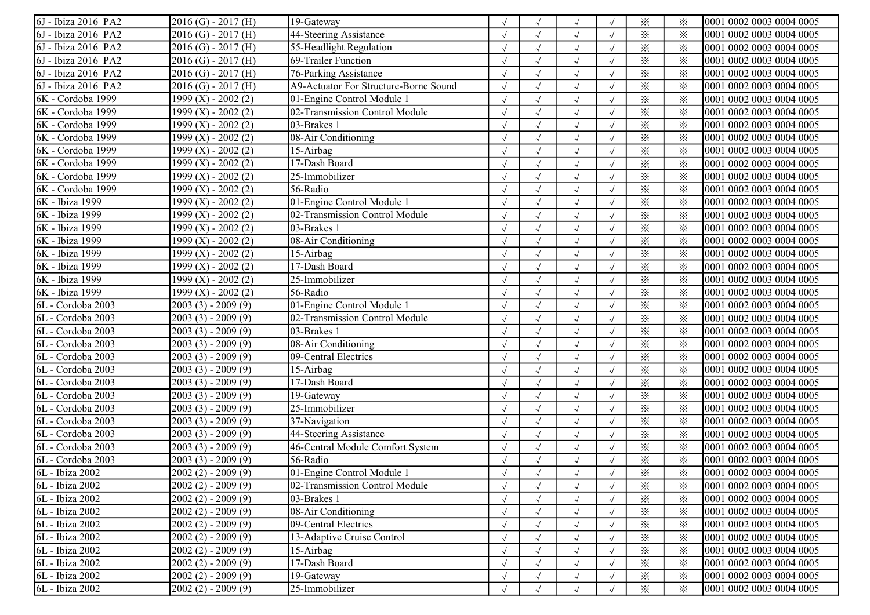| 6J - Ibiza 2016 PA2              | $2016$ (G) - $2017$ (H) | 19-Gateway                            |            |            |                      |            | $\times$ | ⋇               | 0001 0002 0003 0004 0005 |
|----------------------------------|-------------------------|---------------------------------------|------------|------------|----------------------|------------|----------|-----------------|--------------------------|
| 6J - Ibiza 2016 PA2              | $2016$ (G) - $2017$ (H) | 44-Steering Assistance                |            |            |                      |            | $\times$ | $\times$        | 0001 0002 0003 0004 0005 |
| 6J - Ibiza 2016 PA2              | $2016$ (G) - $2017$ (H) | 55-Headlight Regulation               |            |            | $\sqrt{ }$           |            | $\times$ | $\times$        | 0001 0002 0003 0004 0005 |
| 6J - Ibiza 2016 PA2              | $2016$ (G) - $2017$ (H) | 69-Trailer Function                   |            |            | $\sqrt{ }$           |            | $\times$ | $\times$        | 0001 0002 0003 0004 0005 |
| $\overline{6J}$ - Ibiza 2016 PA2 | $2016$ (G) - $2017$ (H) | 76-Parking Assistance                 |            |            | $\sqrt{ }$           |            | $\times$ | $\times$        | 0001 0002 0003 0004 0005 |
| 6J - Ibiza 2016 PA2              | $2016$ (G) - $2017$ (H) | A9-Actuator For Structure-Borne Sound |            |            | $\sqrt{ }$           |            | $\times$ | $\times$        | 0001 0002 0003 0004 0005 |
| 6K - Cordoba 1999                | $1999 (X) - 2002 (2)$   | 01-Engine Control Module 1            |            |            | $\sqrt{ }$           |            | $\times$ | $\times$        | 0001 0002 0003 0004 0005 |
| 6K - Cordoba 1999                | $1999 (X) - 2002 (2)$   | 02-Transmission Control Module        |            |            | $\sqrt{ }$           |            | $\times$ | $\times$        | 0001 0002 0003 0004 0005 |
| 6K - Cordoba 1999                | 1999 (X) - 2002 (2)     | 03-Brakes 1                           |            | $\sqrt{}$  | $\sqrt{ }$           |            | $\times$ | $\times$        | 0001 0002 0003 0004 0005 |
| 6K - Cordoba 1999                | $1999 (X) - 2002 (2)$   | 08-Air Conditioning                   |            |            | $\sqrt{ }$           |            | $\times$ | $\times$        | 0001 0002 0003 0004 0005 |
| 6K - Cordoba 1999                | $1999 (X) - 2002 (2)$   | 15-Airbag                             |            |            | $\sqrt{ }$           |            | $\times$ | $\times$        | 0001 0002 0003 0004 0005 |
| 6K - Cordoba 1999                | 1999 (X) - 2002 (2)     | 17-Dash Board                         |            |            | $\sqrt{ }$           |            | $\times$ | $\times$        | 0001 0002 0003 0004 0005 |
| 6K - Cordoba 1999                | 1999 (X) - 2002 (2)     | 25-Immobilizer                        |            |            | $\sqrt{ }$           |            | $\times$ | ⋇               | 0001 0002 0003 0004 0005 |
| 6K - Cordoba 1999                | $1999 (X) - 2002 (2)$   | 56-Radio                              |            |            | $\sqrt{ }$           |            | $\times$ | $\times$        | 0001 0002 0003 0004 0005 |
| 6K - Ibiza 1999                  | 1999 (X) - 2002 (2)     | 01-Engine Control Module 1            |            |            | $\sqrt{}$            |            | $\times$ | $\ddot{\times}$ | 0001 0002 0003 0004 0005 |
| 6K - Ibiza 1999                  | 1999 (X) - 2002 (2)     | 02-Transmission Control Module        |            |            | $\sqrt{ }$           |            | $\times$ | $\times$        | 0001 0002 0003 0004 0005 |
| 6K - Ibiza 1999                  | $1999 (X) - 2002 (2)$   | 03-Brakes 1                           |            |            | $\sqrt{ }$           |            | $\times$ | $\times$        | 0001 0002 0003 0004 0005 |
| 6K - Ibiza 1999                  | $1999 (X) - 2002 (2)$   | 08-Air Conditioning                   |            |            | $\sqrt{ }$           |            | $\times$ | $\times$        | 0001 0002 0003 0004 0005 |
| 6K - Ibiza 1999                  | 1999 $(X)$ - 2002 $(2)$ | 15-Airbag                             |            |            | $\sqrt{ }$           |            | $\times$ | $\times$        | 0001 0002 0003 0004 0005 |
| 6K - Ibiza 1999                  | 1999 (X) - 2002 (2)     | 17-Dash Board                         |            |            | $\sqrt{ }$           |            | $\times$ | $\times$        | 0001 0002 0003 0004 0005 |
| 6K - Ibiza 1999                  | 1999 (X) - 2002 (2)     | 25-Immobilizer                        |            |            | $\sqrt{ }$           |            | $\times$ | $\times$        | 0001 0002 0003 0004 0005 |
| 6K - Ibiza 1999                  | $1999 (X) - 2002 (2)$   | 56-Radio                              |            | $\sqrt{}$  | $\sqrt{ }$           | $\sqrt{ }$ | $\times$ | ✕               | 0001 0002 0003 0004 0005 |
| 6L - Cordoba 2003                | $2003(3) - 2009(9)$     | 01-Engine Control Module 1            |            |            | $\sqrt{ }$           | $\sqrt{ }$ | $\times$ | $\times$        | 0001 0002 0003 0004 0005 |
| 6L - Cordoba 2003                | $2003(3) - 2009(9)$     | 02-Transmission Control Module        |            |            | $\sqrt{ }$           |            | $\times$ | $\times$        | 0001 0002 0003 0004 0005 |
| 6L - Cordoba 2003                | $2003(3) - 2009(9)$     | 03-Brakes 1                           |            |            | $\sqrt{ }$           |            | $\times$ | $\times$        | 0001 0002 0003 0004 0005 |
| 6L - Cordoba 2003                | 2003 (3) - 2009 (9)     | 08-Air Conditioning                   |            |            | $\sqrt{ }$           |            | $\times$ | $\times$        | 0001 0002 0003 0004 0005 |
| 6L - Cordoba 2003                | $2003(3) - 2009(9)$     | 09-Central Electrics                  |            |            | $\sqrt{ }$           |            | $\times$ | $\times$        | 0001 0002 0003 0004 0005 |
| 6L - Cordoba 2003                | $2003(3) - 2009(9)$     | 15-Airbag                             |            |            | $\sqrt{ }$           |            | $\times$ | $\times$        | 0001 0002 0003 0004 0005 |
| 6L - Cordoba 2003                | $2003(3) - 2009(9)$     | 17-Dash Board                         |            |            | $\sqrt{ }$           |            | $\times$ | $\times$        | 0001 0002 0003 0004 0005 |
| 6L - Cordoba 2003                | $2003(3) - 2009(9)$     | 19-Gateway                            |            |            | $\sqrt{ }$           |            | $\times$ | $\times$        | 0001 0002 0003 0004 0005 |
| 6L - Cordoba 2003                | $2003(3) - 2009(9)$     | 25-Immobilizer                        |            |            | $\sqrt{\phantom{a}}$ |            | $\times$ | $\times$        | 0001 0002 0003 0004 0005 |
| 6L - Cordoba 2003                | $2003(3) - 2009(9)$     | 37-Navigation                         |            |            | $\sqrt{ }$           |            | $\times$ | $\times$        | 0001 0002 0003 0004 0005 |
| 6L - Cordoba 2003                | $2003(3) - 2009(9)$     | 44-Steering Assistance                |            | $\sqrt{}$  | $\sqrt{ }$           |            | $\times$ | $\times$        | 0001 0002 0003 0004 0005 |
| 6L - Cordoba 2003                | $2003(3) - 2009(9)$     | 46-Central Module Comfort System      |            | $\sqrt{ }$ | $\sqrt{ }$           |            | $\times$ | $\times$        | 0001 0002 0003 0004 0005 |
| 6L - Cordoba 2003                | $2003(3) - 2009(9)$     | 56-Radio                              |            |            |                      |            | $\times$ | $\times$        | 0001 0002 0003 0004 0005 |
| 6L - Ibiza 2002                  | $2002(2) - 2009(9)$     | 01-Engine Control Module 1            |            |            |                      |            | $\times$ | $\times$        | 0001 0002 0003 0004 0005 |
| 6L - Ibiza 2002                  | $2002(2) - 2009(9)$     | 02-Transmission Control Module        |            |            | $\sqrt{ }$           |            | $\times$ | ⋇               | 0001 0002 0003 0004 0005 |
| 6L - Ibiza 2002                  | $2002(2) - 2009(9)$     | 03-Brakes 1                           |            |            |                      |            | $\times$ | $\times$        | 0001 0002 0003 0004 0005 |
| 6L - Ibiza 2002                  | $2002(2) - 2009(9)$     | 08-Air Conditioning                   |            |            | $\sqrt{ }$           |            | $\times$ | $\times$        | 0001 0002 0003 0004 0005 |
| 6L - Ibiza 2002                  | $2002(2) - 2009(9)$     | 09-Central Electrics                  |            |            | $\sqrt{ }$           |            | $\times$ | $\times$        | 0001 0002 0003 0004 0005 |
| 6L - Ibiza 2002                  | $2002(2) - 2009(9)$     | 13-Adaptive Cruise Control            |            |            | $\sqrt{ }$           |            | $\times$ | $\times$        | 0001 0002 0003 0004 0005 |
| 6L - Ibiza 2002                  | $2002(2) - 2009(9)$     | 15-Airbag                             |            |            | $\sqrt{ }$           |            | $\times$ | $\times$        | 0001 0002 0003 0004 0005 |
| 6L - Ibiza 2002                  | $2002(2) - 2009(9)$     | 17-Dash Board                         |            |            | $\sqrt{ }$           |            | $\times$ | $\times$        | 0001 0002 0003 0004 0005 |
| 6L - Ibiza 2002                  | $2002(2) - 2009(9)$     | 19-Gateway                            |            |            | $\sqrt{ }$           |            | $\times$ | $\times$        | 0001 0002 0003 0004 0005 |
| 6L - Ibiza 2002                  | $2002(2) - 2009(9)$     | 25-Immobilizer                        | $\sqrt{ }$ | $\sqrt{ }$ | $\sqrt{ }$           |            | $\times$ | $\times$        | 0001 0002 0003 0004 0005 |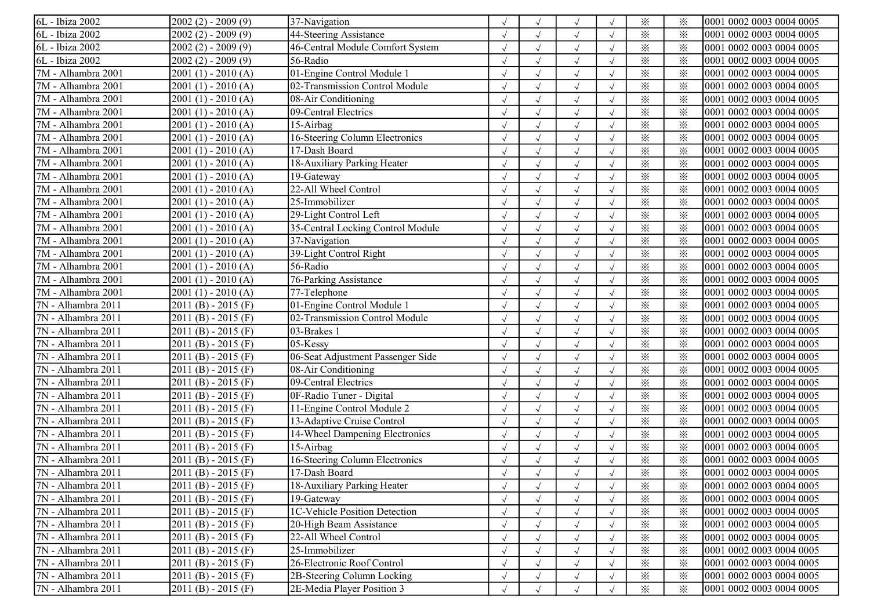| 6L - Ibiza 2002    | $2002(2) - 2009(9)$ | 37-Navigation                        |            |            |            | $\times$                | $\times$ | 0001 0002 0003 0004 0005 |
|--------------------|---------------------|--------------------------------------|------------|------------|------------|-------------------------|----------|--------------------------|
| 6L - Ibiza 2002    | $2002(2) - 2009(9)$ | 44-Steering Assistance               |            |            | $\sqrt{ }$ | $\times$                | $\times$ | 0001 0002 0003 0004 0005 |
| 6L - Ibiza 2002    | $2002(2) - 2009(9)$ | 46-Central Module Comfort System     |            |            | $\sqrt{ }$ | $\times$                | $\times$ | 0001 0002 0003 0004 0005 |
| 6L - Ibiza 2002    | $2002(2) - 2009(9)$ | 56-Radio                             |            |            | $\sqrt{ }$ | $\times$                | $\times$ | 0001 0002 0003 0004 0005 |
| 7M - Alhambra 2001 | $2001(1) - 2010(A)$ | 01-Engine Control Module 1           |            |            | $\sqrt{ }$ | $\times$                | $\times$ | 0001 0002 0003 0004 0005 |
| 7M - Alhambra 2001 | $2001(1) - 2010(A)$ | 02-Transmission Control Module       |            |            |            | $\times$                | $\times$ | 0001 0002 0003 0004 0005 |
| 7M - Alhambra 2001 | $2001(1) - 2010(A)$ | 08-Air Conditioning                  |            |            | $\sqrt{ }$ | $\times$                | $\times$ | 0001 0002 0003 0004 0005 |
| 7M - Alhambra 2001 | $2001(1) - 2010(A)$ | 09-Central Electrics                 |            |            | $\sqrt{ }$ | $\times$                | $\times$ | 0001 0002 0003 0004 0005 |
| 7M - Alhambra 2001 | $2001(1) - 2010(A)$ | 15-Airbag                            |            |            | $\sqrt{ }$ | $\times$                | $\times$ | 0001 0002 0003 0004 0005 |
| 7M - Alhambra 2001 | $2001(1) - 2010(A)$ | 16-Steering Column Electronics       |            |            | $\sqrt{ }$ | $\times$                | $\times$ | 0001 0002 0003 0004 0005 |
| 7M - Alhambra 2001 | $2001(1) - 2010(A)$ | 17-Dash Board                        |            |            | $\sqrt{ }$ | $\times$                | $\times$ | 0001 0002 0003 0004 0005 |
| 7M - Alhambra 2001 | 2001 (1) - 2010 (A) | 18-Auxiliary Parking Heater          |            |            |            | $\times$                | $\times$ | 0001 0002 0003 0004 0005 |
| 7M - Alhambra 2001 | $2001(1) - 2010(A)$ | 19-Gateway                           |            |            | $\sqrt{ }$ | $\times$                | $\times$ | 0001 0002 0003 0004 0005 |
| 7M - Alhambra 2001 | $2001(1) - 2010(A)$ | 22-All Wheel Control                 |            |            | $\sqrt{ }$ | $\times$                | $\times$ | 0001 0002 0003 0004 0005 |
| 7M - Alhambra 2001 | $2001(1) - 2010(A)$ | 25-Immobilizer                       |            |            | $\sqrt{ }$ | $\times$                | $\times$ | 0001 0002 0003 0004 0005 |
| 7M - Alhambra 2001 | $2001(1) - 2010(A)$ | 29-Light Control Left                |            |            | $\sqrt{ }$ | $\times$                | $\times$ | 0001 0002 0003 0004 0005 |
| 7M - Alhambra 2001 | $2001(1) - 2010(A)$ | 35-Central Locking Control Module    |            |            | $\sqrt{ }$ | $\times$                | $\times$ | 0001 0002 0003 0004 0005 |
| 7M - Alhambra 2001 | $2001(1) - 2010(A)$ | 37-Navigation                        |            |            |            | $\times$                | $\times$ | 0001 0002 0003 0004 0005 |
| 7M - Alhambra 2001 | $2001(1) - 2010(A)$ | 39-Light Control Right               |            |            |            | $\times$                | $\times$ | 0001 0002 0003 0004 0005 |
| 7M - Alhambra 2001 | $2001(1) - 2010(A)$ | 56-Radio                             |            |            | $\sqrt{ }$ | $\times$                | $\times$ | 0001 0002 0003 0004 0005 |
| 7M - Alhambra 2001 | $2001(1) - 2010(A)$ | 76-Parking Assistance                |            | $\sqrt{ }$ | $\sqrt{ }$ | $\times$                | $\times$ | 0001 0002 0003 0004 0005 |
| 7M - Alhambra 2001 | $2001(1) - 2010(A)$ | 77-Telephone                         |            |            | $\sqrt{ }$ | $\times$                | $\times$ | 0001 0002 0003 0004 0005 |
| 7N - Alhambra 2011 | $2011(B) - 2015(F)$ | 01-Engine Control Module 1           |            |            | $\sqrt{ }$ | $\overline{\mathbf{x}}$ | $\times$ | 0001 0002 0003 0004 0005 |
| 7N - Alhambra 2011 | $2011(B) - 2015(F)$ | 02-Transmission Control Module       |            |            | $\sqrt{ }$ | $\times$                | $\times$ | 0001 0002 0003 0004 0005 |
| 7N - Alhambra 2011 | $2011(B) - 2015(F)$ | 03-Brakes 1                          |            |            |            | $\times$                | $\times$ | 0001 0002 0003 0004 0005 |
| 7N - Alhambra 2011 | $2011(B) - 2015(F)$ | 05-Kessy                             |            |            | $\sqrt{ }$ | $\overline{\mathbb{X}}$ | $\times$ | 0001 0002 0003 0004 0005 |
| 7N - Alhambra 2011 | $2011(B) - 2015(F)$ | 06-Seat Adjustment Passenger Side    |            |            | $\sqrt{ }$ | $\times$                | $\times$ | 0001 0002 0003 0004 0005 |
| 7N - Alhambra 2011 | $2011(B) - 2015(F)$ | 08-Air Conditioning                  |            |            | $\sqrt{ }$ | $\times$                | $\times$ | 0001 0002 0003 0004 0005 |
| 7N - Alhambra 2011 | $2011(B) - 2015(F)$ | 09-Central Electrics                 |            |            | $\sqrt{ }$ | $\times$                | $\times$ | 0001 0002 0003 0004 0005 |
| 7N - Alhambra 2011 | $2011(B) - 2015(F)$ | 0F-Radio Tuner - Digital             |            |            | $\sqrt{ }$ | $\times$                | $\times$ | 0001 0002 0003 0004 0005 |
| 7N - Alhambra 2011 | $2011(B) - 2015(F)$ | 11-Engine Control Module 2           |            |            |            | $\times$                | $\times$ | 0001 0002 0003 0004 0005 |
| 7N - Alhambra 2011 | $2011(B) - 2015(F)$ | 13-Adaptive Cruise Control           |            |            | $\sqrt{ }$ | $\times$                | $\times$ | 0001 0002 0003 0004 0005 |
| 7N - Alhambra 2011 | $2011(B) - 2015(F)$ | 14-Wheel Dampening Electronics       |            |            | $\sqrt{ }$ | $\times$                | $\times$ | 0001 0002 0003 0004 0005 |
| 7N - Alhambra 2011 | $2011(B) - 2015(F)$ | 15-Airbag                            |            |            | $\sqrt{ }$ | $\times$                | $\times$ | 0001 0002 0003 0004 0005 |
| 7N - Alhambra 2011 | $2011(B) - 2015(F)$ | 16-Steering Column Electronics       |            |            |            | $\times$                | $\times$ | 0001 0002 0003 0004 0005 |
| 7N - Alhambra 2011 | $2011(B) - 2015(F)$ | 17-Dash Board                        |            |            |            | ⋇                       | $\times$ | 0001 0002 0003 0004 0005 |
| 7N - Alhambra 2011 | $2011(B) - 2015(F)$ | 18-Auxiliary Parking Heater          |            |            | $\sqrt{ }$ | $\times$                | ⋇        | 0001 0002 0003 0004 0005 |
| 7N - Alhambra 2011 | $2011(B) - 2015(F)$ | 19-Gateway                           |            |            | $\sqrt{ }$ | $\times$                | $\times$ | 0001 0002 0003 0004 0005 |
| 7N - Alhambra 2011 | $2011(B) - 2015(F)$ | <b>IC-Vehicle Position Detection</b> |            |            | $\sqrt{ }$ | $\times$                | $\times$ | 0001 0002 0003 0004 0005 |
| 7N - Alhambra 2011 | $2011(B) - 2015(F)$ | 20-High Beam Assistance              |            |            | $\sqrt{ }$ | $\times$                | $\times$ | 0001 0002 0003 0004 0005 |
| 7N - Alhambra 2011 | $2011(B) - 2015(F)$ | 22-All Wheel Control                 |            |            |            | $\times$                | $\times$ | 0001 0002 0003 0004 0005 |
| 7N - Alhambra 2011 | $2011(B) - 2015(F)$ | 25-Immobilizer                       |            |            | $\sqrt{ }$ | $\times$                | $\times$ | 0001 0002 0003 0004 0005 |
| 7N - Alhambra 2011 | $2011(B) - 2015(F)$ | 26-Electronic Roof Control           |            |            | $\sqrt{ }$ | $\times$                | $\times$ | 0001 0002 0003 0004 0005 |
| 7N - Alhambra 2011 | $2011(B) - 2015(F)$ | 2B-Steering Column Locking           | $\sqrt{ }$ |            | $\sqrt{ }$ | $\times$                | $\times$ | 0001 0002 0003 0004 0005 |
| 7N - Alhambra 2011 | $2011(B) - 2015(F)$ | 2E-Media Player Position 3           | $\sqrt{ }$ | $\sqrt{ }$ | $\sqrt{ }$ | $\times$                | $\times$ | 0001 0002 0003 0004 0005 |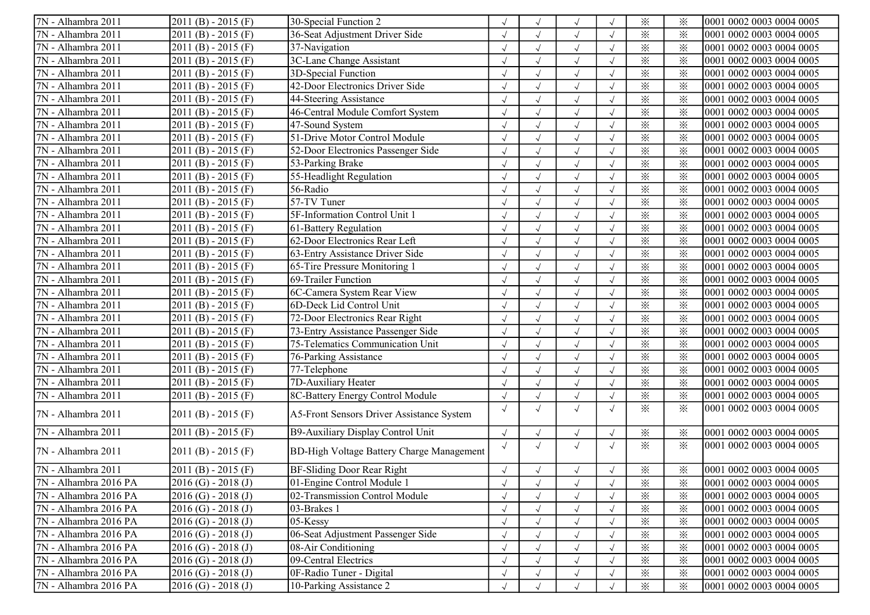| 7N - Alhambra 2011    | $2011(B) - 2015(F)$     | 30-Special Function 2                            |            |              | $\sqrt{ }$           |            | $\times$                | $\times$ | 0001 0002 0003 0004 0005 |
|-----------------------|-------------------------|--------------------------------------------------|------------|--------------|----------------------|------------|-------------------------|----------|--------------------------|
| 7N - Alhambra 2011    | $2011(B) - 2015(F)$     | 36-Seat Adjustment Driver Side                   |            |              | $\sqrt{ }$           |            | $\times$                | $\times$ | 0001 0002 0003 0004 0005 |
| 7N - Alhambra 2011    | $2011(B) - 2015(F)$     | 37-Navigation                                    |            |              | $\sqrt{ }$           |            | $\times$                | $\times$ | 0001 0002 0003 0004 0005 |
| 7N - Alhambra 2011    | $2011(B) - 2015(F)$     | 3C-Lane Change Assistant                         |            |              | $\sqrt{ }$           |            | $\times$                | $\times$ | 0001 0002 0003 0004 0005 |
| 7N - Alhambra 2011    | $2011(B) - 2015(F)$     | 3D-Special Function                              |            |              | $\sqrt{ }$           |            | $\times$                | $\times$ | 0001 0002 0003 0004 0005 |
| 7N - Alhambra 2011    | $2011(B) - 2015(F)$     | 42-Door Electronics Driver Side                  |            |              |                      |            | $\times$                | $\times$ | 0001 0002 0003 0004 0005 |
| 7N - Alhambra 2011    | $2011(B) - 2015(F)$     | 44-Steering Assistance                           |            |              | $\sqrt{ }$           |            | $\times$                | $\times$ | 0001 0002 0003 0004 0005 |
| 7N - Alhambra 2011    | $2011(B) - 2015(F)$     | 46-Central Module Comfort System                 |            |              | $\sqrt{ }$           |            | $\times$                | $\times$ | 0001 0002 0003 0004 0005 |
| 7N - Alhambra 2011    | $2011(B) - 2015(F)$     | 47-Sound System                                  |            | $\sqrt{ }$   | $\sqrt{ }$           | $\sqrt{ }$ | $\times$                | $\times$ | 0001 0002 0003 0004 0005 |
| 7N - Alhambra 2011    | $2011(B) - 2015(F)$     | 51-Drive Motor Control Module                    |            |              | $\sqrt{ }$           |            | $\times$                | $\times$ | 0001 0002 0003 0004 0005 |
| 7N - Alhambra 2011    | $2011(B) - 2015(F)$     | 52-Door Electronics Passenger Side               |            |              | $\sqrt{ }$           |            | $\times$                | $\times$ | 0001 0002 0003 0004 0005 |
| 7N - Alhambra 2011    | $2011(B) - 2015(F)$     | 53-Parking Brake                                 |            |              | $\sqrt{ }$           |            | $\times$                | $\times$ | 0001 0002 0003 0004 0005 |
| 7N - Alhambra 2011    | $2011(B) - 2015(F)$     | 55-Headlight Regulation                          |            |              | $\sqrt{\phantom{a}}$ |            | $\times$                | $\times$ | 0001 0002 0003 0004 0005 |
| 7N - Alhambra 2011    | $2011(B) - 2015(F)$     | 56-Radio                                         |            |              | $\sqrt{ }$           |            | $\times$                | $\times$ | 0001 0002 0003 0004 0005 |
| 7N - Alhambra 2011    | $2011(B) - 2015(F)$     | 57-TV Tuner                                      |            | $\checkmark$ | $\sqrt{ }$           |            | $\times$                | $\times$ | 0001 0002 0003 0004 0005 |
| 7N - Alhambra 2011    | $2011(B) - 2015(F)$     | 5F-Information Control Unit 1                    |            | $\sqrt{}$    | $\sqrt{ }$           |            | $\times$                | $\times$ | 0001 0002 0003 0004 0005 |
| 7N - Alhambra 2011    | $2011(B) - 2015(F)$     | 61-Battery Regulation                            |            |              | $\sqrt{ }$           |            | $\times$                | $\times$ | 0001 0002 0003 0004 0005 |
| 7N - Alhambra 2011    | $2011(B) - 2015(F)$     | 62-Door Electronics Rear Left                    |            |              | $\sqrt{ }$           |            | $\times$                | $\times$ | 0001 0002 0003 0004 0005 |
| 7N - Alhambra 2011    | $2011(B) - 2015(F)$     | 63-Entry Assistance Driver Side                  |            |              | $\sqrt{ }$           |            | $\times$                | $\times$ | 0001 0002 0003 0004 0005 |
| 7N - Alhambra 2011    | $2011(B) - 2015(F)$     | 65-Tire Pressure Monitoring 1                    |            |              | $\sqrt{ }$           |            | $\overline{\mathbf{x}}$ | $\times$ | 0001 0002 0003 0004 0005 |
| 7N - Alhambra 2011    | $2011(B) - 2015(F)$     | 69-Trailer Function                              |            | $\sqrt{ }$   | $\sqrt{ }$           | $\sqrt{ }$ | $\times$                | $\times$ | 0001 0002 0003 0004 0005 |
| 7N - Alhambra 2011    | $2011(B) - 2015(F)$     | 6C-Camera System Rear View                       |            | $\sqrt{}$    | $\sqrt{ }$           |            | $\times$                | $\times$ | 0001 0002 0003 0004 0005 |
| 7N - Alhambra 2011    | $2011(B) - 2015(F)$     | 6D-Deck Lid Control Unit                         |            |              | $\sqrt{ }$           |            | $\times$                | $\times$ | 0001 0002 0003 0004 0005 |
| 7N - Alhambra 2011    | $2011(B) - 2015(F)$     | 72-Door Electronics Rear Right                   |            |              | $\sqrt{ }$           |            | $\times$                | $\times$ | 0001 0002 0003 0004 0005 |
| 7N - Alhambra 2011    | $2011(B) - 2015(F)$     | 73-Entry Assistance Passenger Side               |            |              | $\sqrt{ }$           |            | $\times$                | $\times$ | 0001 0002 0003 0004 0005 |
| 7N - Alhambra 2011    | $2011(B) - 2015(F)$     | 75-Telematics Communication Unit                 |            |              | $\sqrt{ }$           |            | $\overline{\mathbb{X}}$ | $\times$ | 0001 0002 0003 0004 0005 |
| 7N - Alhambra 2011    | $2011(B) - 2015(F)$     | 76-Parking Assistance                            |            |              | $\sqrt{ }$           |            | $\times$                | $\times$ | 0001 0002 0003 0004 0005 |
| 7N - Alhambra 2011    | $2011(B) - 2015(F)$     | 77-Telephone                                     |            |              | $\sqrt{ }$           |            | $\times$                | $\times$ | 0001 0002 0003 0004 0005 |
| 7N - Alhambra 2011    | $2011(B) - 2015(F)$     | 7D-Auxiliary Heater                              |            | $\sqrt{}$    | $\sqrt{ }$           |            | $\times$                | $\times$ | 0001 0002 0003 0004 0005 |
| 7N - Alhambra 2011    | $2011(B) - 2015(F)$     | 8C-Battery Energy Control Module                 |            |              | $\sqrt{ }$           |            | $\times$                | $\times$ | 0001 0002 0003 0004 0005 |
| 7N - Alhambra 2011    | $2011(B) - 2015(F)$     | A5-Front Sensors Driver Assistance System        | $\sqrt{ }$ | $\sqrt{}$    | $\sqrt{ }$           |            | $\times$                | $\times$ | 0001 0002 0003 0004 0005 |
| 7N - Alhambra 2011    | $2011(B) - 2015(F)$     | B9-Auxiliary Display Control Unit                | $\sqrt{ }$ |              | $\sqrt{ }$           |            | $\times$                | $\times$ | 0001 0002 0003 0004 0005 |
| 7N - Alhambra 2011    | $2011(B) - 2015(F)$     | <b>BD-High Voltage Battery Charge Management</b> | $\sqrt{ }$ | $\sqrt{ }$   | $\sqrt{ }$           |            | $\times$                | $\times$ | 0001 0002 0003 0004 0005 |
| 7N - Alhambra 2011    | $2011(B) - 2015(F)$     | <b>BF-Sliding Door Rear Right</b>                |            | $\sqrt{ }$   | $\sqrt{ }$           |            | $\times$                | $\times$ | 0001 0002 0003 0004 0005 |
| 7N - Alhambra 2016 PA | $2016$ (G) - 2018 (J)   | 01-Engine Control Module 1                       |            |              | $\sqrt{ }$           |            | $\times$                | ⋇        | 0001 0002 0003 0004 0005 |
| 7N - Alhambra 2016 PA | $2016$ (G) - $2018$ (J) | 02-Transmission Control Module                   |            |              | $\sqrt{ }$           |            | $\times$                | $\times$ | 0001 0002 0003 0004 0005 |
| 7N - Alhambra 2016 PA | $2016$ (G) - $2018$ (J) | 03-Brakes 1                                      |            |              |                      |            | $\times$                | $\times$ | 0001 0002 0003 0004 0005 |
| 7N - Alhambra 2016 PA | $2016$ (G) - $2018$ (J) | 05-Kessy                                         |            |              |                      |            | $\times$                | $\times$ | 0001 0002 0003 0004 0005 |
| 7N - Alhambra 2016 PA | $2016$ (G) - $2018$ (J) | 06-Seat Adjustment Passenger Side                |            |              |                      |            | $\times$                | $\times$ | 0001 0002 0003 0004 0005 |
| 7N - Alhambra 2016 PA | $2016$ (G) - $2018$ (J) | 08-Air Conditioning                              |            |              |                      |            | $\times$                | $\times$ | 0001 0002 0003 0004 0005 |
| 7N - Alhambra 2016 PA | $2016$ (G) - $2018$ (J) | 09-Central Electrics                             |            |              |                      |            | $\times$                | $\times$ | 0001 0002 0003 0004 0005 |
| 7N - Alhambra 2016 PA | $2016$ (G) - $2018$ (J) | 0F-Radio Tuner - Digital                         |            |              | $\sqrt{ }$           |            | $\times$                | $\times$ | 0001 0002 0003 0004 0005 |
| 7N - Alhambra 2016 PA | $2016$ (G) - $2018$ (J) | 10-Parking Assistance 2                          | $\sqrt{ }$ |              | $\sqrt{ }$           |            | $\times$                | $\times$ | 0001 0002 0003 0004 0005 |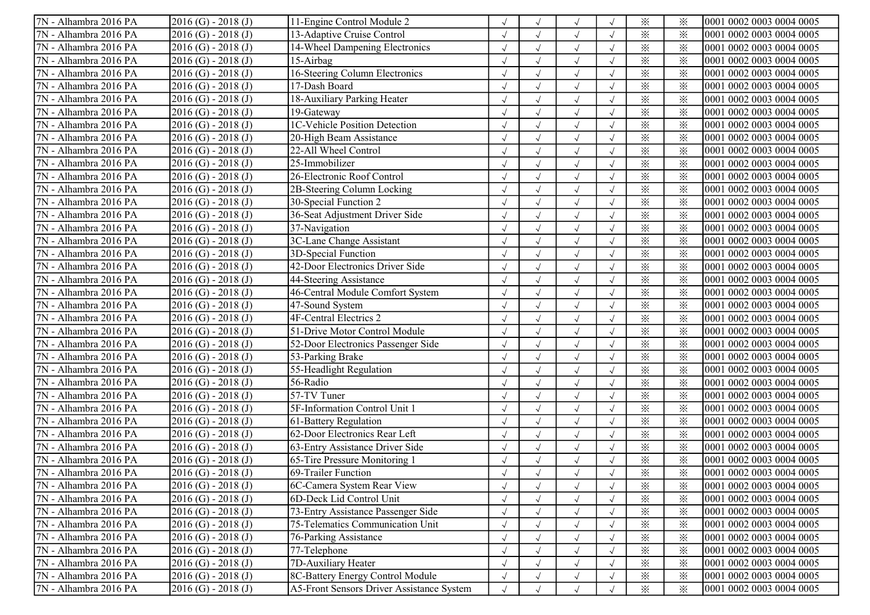| 7N - Alhambra 2016 PA | $2016$ (G) - 2018 (J)   | 11-Engine Control Module 2                |            |            |                      |            | $\times$                | $\times$ | 0001 0002 0003 0004 0005 |
|-----------------------|-------------------------|-------------------------------------------|------------|------------|----------------------|------------|-------------------------|----------|--------------------------|
| 7N - Alhambra 2016 PA | $2016$ (G) - $2018$ (J) | 13-Adaptive Cruise Control                |            |            |                      |            | $\times$                | $\times$ | 0001 0002 0003 0004 0005 |
| 7N - Alhambra 2016 PA | $2016$ (G) - $2018$ (J) | 14-Wheel Dampening Electronics            |            |            | $\sqrt{ }$           |            | $\times$                | ⋇        | 0001 0002 0003 0004 0005 |
| 7N - Alhambra 2016 PA | $2016$ (G) - $2018$ (J) | 15-Airbag                                 |            |            | $\sqrt{ }$           |            | $\times$                | $\times$ | 0001 0002 0003 0004 0005 |
| 7N - Alhambra 2016 PA | $2016$ (G) - $2018$ (J) | 16-Steering Column Electronics            |            |            | $\sqrt{ }$           |            | $\times$                | $\times$ | 0001 0002 0003 0004 0005 |
| 7N - Alhambra 2016 PA | $2016$ (G) - $2018$ (J) | 17-Dash Board                             |            |            | $\sqrt{ }$           |            | $\times$                | $\times$ | 0001 0002 0003 0004 0005 |
| 7N - Alhambra 2016 PA | $2016$ (G) - $2018$ (J) | 18-Auxiliary Parking Heater               |            |            |                      |            | $\times$                | $\times$ | 0001 0002 0003 0004 0005 |
| 7N - Alhambra 2016 PA | $2016$ (G) - $2018$ (J) | 19-Gateway                                |            |            | $\sqrt{ }$           |            | $\times$                | $\times$ | 0001 0002 0003 0004 0005 |
| 7N - Alhambra 2016 PA | $2016$ (G) - $2018$ (J) | <b>1C-Vehicle Position Detection</b>      |            |            | $\sqrt{ }$           |            | $\times$                | $\times$ | 0001 0002 0003 0004 0005 |
| 7N - Alhambra 2016 PA | $2016$ (G) - $2018$ (J) | 20-High Beam Assistance                   |            |            | $\sqrt{ }$           |            | $\times$                | $\times$ | 0001 0002 0003 0004 0005 |
| 7N - Alhambra 2016 PA | $2016$ (G) - $2018$ (J) | 22-All Wheel Control                      |            |            | $\sqrt{ }$           |            | $\times$                | $\times$ | 0001 0002 0003 0004 0005 |
| 7N - Alhambra 2016 PA | $2016$ (G) - $2018$ (J) | 25-Immobilizer                            |            |            | $\sqrt{ }$           |            | $\times$                | $\times$ | 0001 0002 0003 0004 0005 |
| 7N - Alhambra 2016 PA | $2016$ (G) - $2018$ (J) | 26-Electronic Roof Control                |            |            |                      |            | $\times$                | $\times$ | 0001 0002 0003 0004 0005 |
| 7N - Alhambra 2016 PA | $2016$ (G) - $2018$ (J) | 2B-Steering Column Locking                |            |            | $\sqrt{ }$           |            | $\times$                | $\times$ | 0001 0002 0003 0004 0005 |
| 7N - Alhambra 2016 PA | $2016$ (G) - $2018$ (J) | 30-Special Function 2                     |            |            | $\sqrt{ }$           |            | $\times$                | ⋇        | 0001 0002 0003 0004 0005 |
| 7N - Alhambra 2016 PA | $2016$ (G) - $2018$ (J) | 36-Seat Adjustment Driver Side            |            |            | $\sqrt{ }$           |            | $\times$                | $\times$ | 0001 0002 0003 0004 0005 |
| 7N - Alhambra 2016 PA | $2016$ (G) - $2018$ (J) | 37-Navigation                             |            |            | $\checkmark$         |            | $\times$                | $\times$ | 0001 0002 0003 0004 0005 |
| 7N - Alhambra 2016 PA | $2016$ (G) - $2018$ (J) | 3C-Lane Change Assistant                  |            |            | $\checkmark$         |            | $\times$                | $\times$ | 0001 0002 0003 0004 0005 |
| 7N - Alhambra 2016 PA | $2016$ (G) - $2018$ (J) | 3D-Special Function                       |            |            |                      |            | $\times$                | $\times$ | 0001 0002 0003 0004 0005 |
| 7N - Alhambra 2016 PA | $2016$ (G) - $2018$ (J) | 42-Door Electronics Driver Side           |            |            | $\sqrt{ }$           |            | $\times$                | $\times$ | 0001 0002 0003 0004 0005 |
| 7N - Alhambra 2016 PA | $2016$ (G) - $2018$ (J) | 44-Steering Assistance                    |            |            | $\sqrt{ }$           |            | $\times$                | $\times$ | 0001 0002 0003 0004 0005 |
| 7N - Alhambra 2016 PA | $2016$ (G) - $2018$ (J) | 46-Central Module Comfort System          | $\sqrt{ }$ |            | $\sqrt{}$            | $\sqrt{ }$ | $\times$                | $\times$ | 0001 0002 0003 0004 0005 |
| 7N - Alhambra 2016 PA | $2016$ (G) - $2018$ (J) | 47-Sound System                           | $\cdot$    |            | $\sqrt{}$            |            | $\times$                | $\times$ | 0001 0002 0003 0004 0005 |
| 7N - Alhambra 2016 PA | $2016$ (G) - $2018$ (J) | <b>4F-Central Electrics 2</b>             |            |            | $\checkmark$         |            | $\times$                | $\times$ | 0001 0002 0003 0004 0005 |
| 7N - Alhambra 2016 PA | $2016$ (G) - $2018$ (J) | 51-Drive Motor Control Module             |            |            | $\sqrt{ }$           |            | $\times$                | $\times$ | 0001 0002 0003 0004 0005 |
| 7N - Alhambra 2016 PA | $2016$ (G) - $2018$ (J) | 52-Door Electronics Passenger Side        |            |            |                      |            | $\times$                | ⋇        | 0001 0002 0003 0004 0005 |
| 7N - Alhambra 2016 PA | $2016$ (G) - $2018$ (J) | 53-Parking Brake                          |            |            | $\sqrt{ }$           |            | $\times$                | $\times$ | 0001 0002 0003 0004 0005 |
| 7N - Alhambra 2016 PA | $2016$ (G) - $2018$ (J) | 55-Headlight Regulation                   |            |            | $\sqrt{ }$           |            | $\times$                | $\times$ | 0001 0002 0003 0004 0005 |
| 7N - Alhambra 2016 PA | $2016$ (G) - $2018$ (J) | 56-Radio                                  |            |            | $\sqrt{ }$           |            | $\times$                | $\times$ | 0001 0002 0003 0004 0005 |
| 7N - Alhambra 2016 PA | $2016$ (G) - $2018$ (J) | 57-TV Tuner                               |            |            | $\checkmark$         |            | $\times$                | $\times$ | 0001 0002 0003 0004 0005 |
| 7N - Alhambra 2016 PA | $2016$ (G) - $2018$ (J) | 5F-Information Control Unit 1             |            |            |                      |            | $\times$                | $\times$ | 0001 0002 0003 0004 0005 |
| 7N - Alhambra 2016 PA | $2016$ (G) - $2018$ (J) | 61-Battery Regulation                     |            |            |                      |            | $\times$                | $\times$ | 0001 0002 0003 0004 0005 |
| 7N - Alhambra 2016 PA | $2016$ (G) - $2018$ (J) | 62-Door Electronics Rear Left             |            |            | $\sqrt{ }$           |            | $\overline{\mathbf{x}}$ | $\times$ | 0001 0002 0003 0004 0005 |
| 7N - Alhambra 2016 PA | $2016$ (G) - $2018$ (J) | 63-Entry Assistance Driver Side           |            |            | $\sqrt{ }$           |            | $\times$                | $\times$ | 0001 0002 0003 0004 0005 |
| 7N - Alhambra 2016 PA | $2016$ (G) - $2018$ (J) | 65-Tire Pressure Monitoring 1             |            |            | $\sqrt{ }$           |            | $\times$                | $\times$ | 0001 0002 0003 0004 0005 |
| 7N - Alhambra 2016 PA | $2016$ (G) - 2018 (J)   | 69-Trailer Function                       |            |            |                      |            | $\times$                | ፠        | 0001 0002 0003 0004 0005 |
| 7N - Alhambra 2016 PA | $2016$ (G) - $2018$ (J) | 6C-Camera System Rear View                |            |            | $\sqrt{ }$           |            | $\times$                | ⋇        | 0001 0002 0003 0004 0005 |
| 7N - Alhambra 2016 PA | $2016$ (G) - $2018$ (J) | 6D-Deck Lid Control Unit                  |            |            |                      |            | $\times$                | $\times$ | 0001 0002 0003 0004 0005 |
| 7N - Alhambra 2016 PA | $2016$ (G) - $2018$ (J) | 73-Entry Assistance Passenger Side        |            |            | $\sqrt{ }$           |            | $\times$                | $\times$ | 0001 0002 0003 0004 0005 |
| 7N - Alhambra 2016 PA | $2016$ (G) - $2018$ (J) | 75-Telematics Communication Unit          |            |            | $\sqrt{ }$           |            | $\times$                | $\times$ | 0001 0002 0003 0004 0005 |
| 7N - Alhambra 2016 PA | $2016$ (G) - $2018$ (J) | 76-Parking Assistance                     |            |            | $\sqrt{\phantom{a}}$ |            | $\times$                | $\times$ | 0001 0002 0003 0004 0005 |
| 7N - Alhambra 2016 PA | $2016$ (G) - $2018$ (J) | 77-Telephone                              |            |            | $\checkmark$         |            | $\times$                | $\times$ | 0001 0002 0003 0004 0005 |
| 7N - Alhambra 2016 PA | $2016$ (G) - $2018$ (J) | 7D-Auxiliary Heater                       |            |            | $\sqrt{ }$           |            | $\times$                | $\times$ | 0001 0002 0003 0004 0005 |
| 7N - Alhambra 2016 PA | $2016$ (G) - $2018$ (J) | 8C-Battery Energy Control Module          |            |            | $\sqrt{ }$           |            | $\times$                | $\times$ | 0001 0002 0003 0004 0005 |
| 7N - Alhambra 2016 PA | $2016$ (G) - 2018 (J)   | A5-Front Sensors Driver Assistance System | $\sqrt{ }$ | $\sqrt{ }$ | $\sqrt{ }$           |            | $\times$                | $\times$ | 0001 0002 0003 0004 0005 |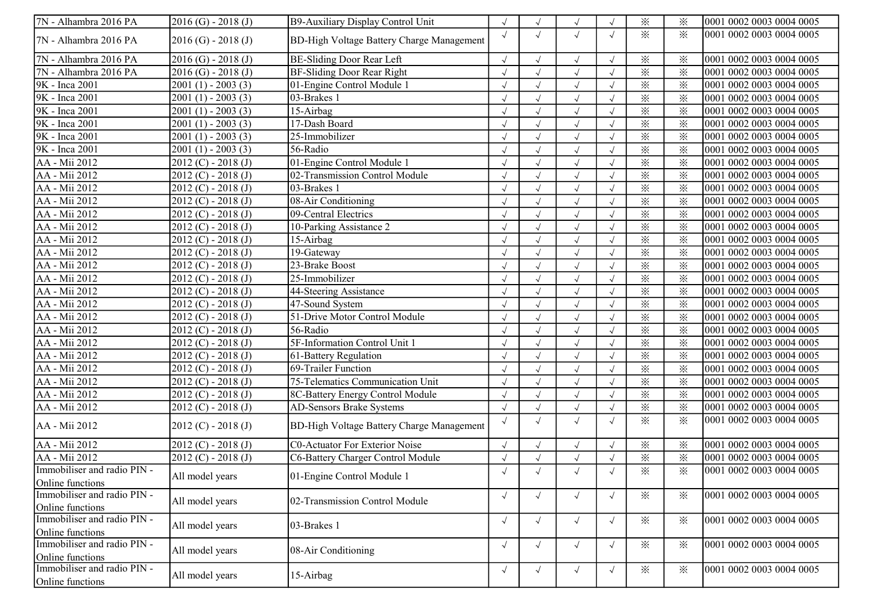| 7N - Alhambra 2016 PA       | $2016$ (G) - $2018$ (J)          | B9-Auxiliary Display Control Unit         |            |            | $\sqrt{ }$ |            | $\times$        | ⋇        | 0001 0002 0003 0004 0005 |
|-----------------------------|----------------------------------|-------------------------------------------|------------|------------|------------|------------|-----------------|----------|--------------------------|
| 7N - Alhambra 2016 PA       | $2016$ (G) - $2018$ (J)          | BD-High Voltage Battery Charge Management | $\sqrt{ }$ | $\sqrt{}$  | $\sqrt{ }$ | $\sqrt{ }$ | $\ddot{\times}$ | ✕        | 0001 0002 0003 0004 0005 |
| 7N - Alhambra 2016 PA       | $2016$ (G) - $2018$ (J)          | BE-Sliding Door Rear Left                 |            |            | $\sqrt{ }$ |            | $\times$        | ⋇        | 0001 0002 0003 0004 0005 |
| 7N - Alhambra 2016 PA       | $2016$ (G) - $2018$ (J)          | BF-Sliding Door Rear Right                |            |            | $\sqrt{ }$ |            | $\times$        | $\times$ | 0001 0002 0003 0004 0005 |
| 9K - Inca 2001              | $2001(1) - 2003(3)$              | 01-Engine Control Module 1                |            |            | $\sqrt{ }$ |            | $\times$        | $\times$ | 0001 0002 0003 0004 0005 |
| 9K - Inca 2001              | $2001(1) - 2003(3)$              | 03-Brakes 1                               |            |            | $\sqrt{ }$ |            | $\times$        | $\times$ | 0001 0002 0003 0004 0005 |
| 9K - Inca 2001              | $2001(1) - 2003(3)$              | 15-Airbag                                 |            |            | $\sqrt{ }$ |            | $\times$        | $\times$ | 0001 0002 0003 0004 0005 |
| 9K - Inca 2001              | $2001(1) - 2003(3)$              | 17-Dash Board                             |            |            | $\sqrt{ }$ |            | $\times$        | $\times$ | 0001 0002 0003 0004 0005 |
| 9K - Inca 2001              | $2001(1) - 2003(3)$              | 25-Immobilizer                            |            |            | $\sqrt{ }$ |            | $\times$        | $\times$ | 0001 0002 0003 0004 0005 |
| 9K - Inca 2001              | $\overline{2001}$ (1) - 2003 (3) | 56-Radio                                  |            |            | $\sqrt{ }$ | $\sqrt{ }$ | $\times$        | $\times$ | 0001 0002 0003 0004 0005 |
| AA - Mii 2012               | $2012 (C) - 2018 (J)$            | 01-Engine Control Module 1                |            |            | $\sqrt{ }$ | $\sqrt{ }$ | $\times$        | $\times$ | 0001 0002 0003 0004 0005 |
| AA - Mii 2012               | $2012 (C) - 2018 (J)$            | 02-Transmission Control Module            |            |            | $\sqrt{ }$ | $\sqrt{ }$ | $\times$        | $\times$ | 0001 0002 0003 0004 0005 |
| AA - Mii 2012               | $2012 (C) - 2018 (J)$            | 03-Brakes 1                               |            |            | $\sqrt{ }$ |            | $\times$        | $\times$ | 0001 0002 0003 0004 0005 |
| AA - Mii 2012               | $2012 (C) - 2018 (J)$            | 08-Air Conditioning                       |            |            | $\sqrt{ }$ |            | $\times$        | $\times$ | 0001 0002 0003 0004 0005 |
| AA - Mii 2012               | $2012 (C) - 2018 (J)$            | 09-Central Electrics                      |            |            | $\sqrt{ }$ |            | $\times$        | $\times$ | 0001 0002 0003 0004 0005 |
| AA - Mii 2012               | $2012 (C) - 2018 (J)$            | 10-Parking Assistance 2                   |            |            | $\sqrt{ }$ |            | $\times$        | $\times$ | 0001 0002 0003 0004 0005 |
| AA - Mii 2012               | $2012 (C) - 2018 (J)$            | 15-Airbag                                 |            |            | $\sqrt{ }$ |            | $\times$        | $\times$ | 0001 0002 0003 0004 0005 |
| AA - Mii 2012               | $2012 (C) - 2018 (J)$            | 19-Gateway                                |            |            | $\sqrt{ }$ | J          | $\times$        | $\times$ | 0001 0002 0003 0004 0005 |
| AA - Mii 2012               | $2012 (C) - 2018 (J)$            | 23-Brake Boost                            |            |            | $\sqrt{ }$ |            | $\times$        | $\times$ | 0001 0002 0003 0004 0005 |
| AA - Mii 2012               | $2012 (C) - 2018 (J)$            | 25-Immobilizer                            |            |            | $\sqrt{ }$ |            | $\times$        | $\times$ | 0001 0002 0003 0004 0005 |
| AA - Mii 2012               | $2012 (C) - 2018 (J)$            | 44-Steering Assistance                    |            |            | $\sqrt{ }$ |            | $\times$        | $\times$ | 0001 0002 0003 0004 0005 |
| AA - Mii 2012               | $2012 (C) - 2018 (J)$            | 47-Sound System                           |            |            | $\sqrt{ }$ | $\sqrt{ }$ | $\times$        | $\times$ | 0001 0002 0003 0004 0005 |
| AA - Mii 2012               | $2012 (C) - 2018 (J)$            | 51-Drive Motor Control Module             |            |            | $\sqrt{ }$ | $\sqrt{ }$ | $\times$        | $\times$ | 0001 0002 0003 0004 0005 |
| AA - Mii 2012               | $2012 (C) - 2018 (J)$            | 56-Radio                                  |            |            | $\sqrt{ }$ | $\sqrt{ }$ | $\times$        | $\times$ | 0001 0002 0003 0004 0005 |
| AA - Mii 2012               | $2012 (C) - 2018 (J)$            | 5F-Information Control Unit 1             |            |            | $\sqrt{ }$ | $\sqrt{ }$ | $\times$        | $\times$ | 0001 0002 0003 0004 0005 |
| AA - Mii 2012               | $2012 (C) - 2018 (J)$            | 61-Battery Regulation                     |            |            | $\sqrt{ }$ |            | $\times$        | $\times$ | 0001 0002 0003 0004 0005 |
| AA - Mii 2012               | $2012 (C) - 2018 (J)$            | 69-Trailer Function                       |            |            | $\sqrt{ }$ |            | $\times$        | $\times$ | 0001 0002 0003 0004 0005 |
| AA - Mii 2012               | 2012 (C) - 2018 (J)              | 75-Telematics Communication Unit          |            |            | $\sqrt{ }$ |            | $\times$        | $\times$ | 0001 0002 0003 0004 0005 |
| AA - Mii 2012               | $2012 (C) - 2018 (J)$            | 8C-Battery Energy Control Module          |            |            | $\sqrt{ }$ |            | $\times$        | $\times$ | 0001 0002 0003 0004 0005 |
| AA - Mii 2012               | $2012 (C) - 2018 (J)$            | AD-Sensors Brake Systems                  | $\sqrt{ }$ |            | $\sqrt{}$  | $\sqrt{ }$ | $\times$        | $\times$ | 0001 0002 0003 0004 0005 |
| AA - Mii 2012               | $2012 (C) - 2018 (J)$            | BD-High Voltage Battery Charge Management | $\sqrt{ }$ | $\sqrt{ }$ | $\sqrt{ }$ | $\sqrt{ }$ | $\times$        | ✕        | 0001 0002 0003 0004 0005 |
| AA - Mii 2012               | $2012 (C) - 2018 (J)$            | C0-Actuator For Exterior Noise            |            |            | $\sqrt{ }$ | $\sqrt{ }$ | $\times$        | $\times$ | 0001 0002 0003 0004 0005 |
| AA - Mii 2012               | $2012 (C) - 2018 (J)$            | C6-Battery Charger Control Module         |            |            | $\sqrt{ }$ |            | $\times$        | $\times$ | 0001 0002 0003 0004 0005 |
| Immobiliser and radio PIN - | All model years                  | 01-Engine Control Module 1                |            |            | $\sqrt{ }$ |            | $\times$        | $\times$ | 0001 0002 0003 0004 0005 |
| Online functions            |                                  |                                           |            |            |            |            |                 |          |                          |
| Immobiliser and radio PIN - | All model years                  | 02-Transmission Control Module            | $\sqrt{ }$ | $\sqrt{ }$ | $\sqrt{ }$ | $\sqrt{ }$ | $\times$        | $\times$ | 0001 0002 0003 0004 0005 |
| Online functions            |                                  |                                           |            |            |            |            |                 |          |                          |
| Immobiliser and radio PIN - | All model years                  | 03-Brakes 1                               | $\sqrt{ }$ | $\sqrt{ }$ | $\sqrt{ }$ | $\sqrt{ }$ | $\times$        | $\times$ | 0001 0002 0003 0004 0005 |
| Online functions            |                                  |                                           |            |            |            |            |                 |          |                          |
| Immobiliser and radio PIN - | All model years                  | 08-Air Conditioning                       | $\sqrt{ }$ | $\sqrt{ }$ | $\sqrt{ }$ | $\sqrt{ }$ | $\times$        | $\times$ | 0001 0002 0003 0004 0005 |
| Online functions            |                                  |                                           |            |            |            |            |                 |          |                          |
| Immobiliser and radio PIN - | All model years                  | 15-Airbag                                 | $\sqrt{ }$ | $\sqrt{}$  | $\sqrt{ }$ | $\sqrt{ }$ | $\times$        | $\times$ | 0001 0002 0003 0004 0005 |
| Online functions            |                                  |                                           |            |            |            |            |                 |          |                          |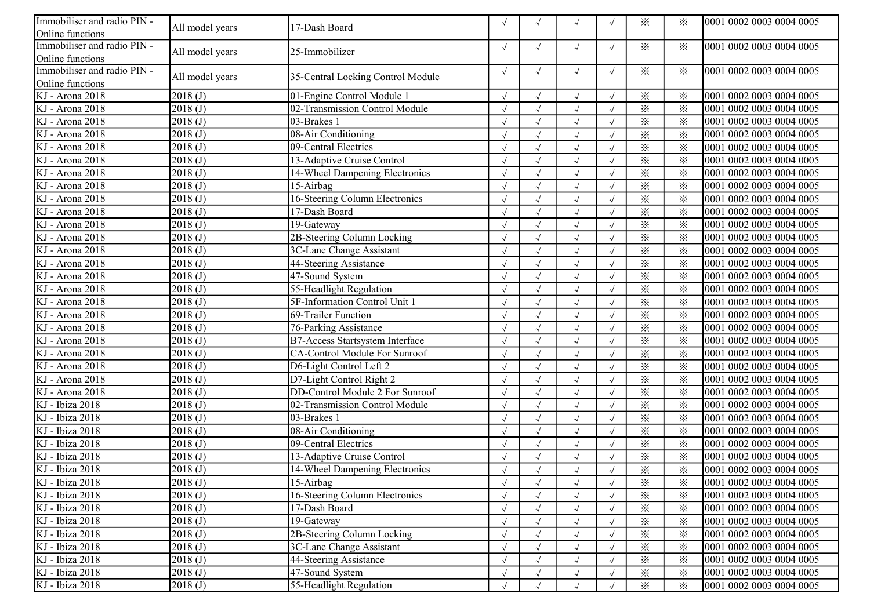| Immobiliser and radio PIN -         |                 |                                   |            |            | $\sqrt{ }$ |            | $\times$                | ⋇        | 0001 0002 0003 0004 0005 |
|-------------------------------------|-----------------|-----------------------------------|------------|------------|------------|------------|-------------------------|----------|--------------------------|
| Online functions                    | All model years | 17-Dash Board                     |            |            |            |            |                         |          |                          |
| Immobiliser and radio PIN -         | All model years | 25-Immobilizer                    | $\sqrt{ }$ |            | $\sqrt{ }$ | $\sqrt{ }$ | $\times$                | $\times$ | 0001 0002 0003 0004 0005 |
| Online functions                    |                 |                                   |            |            |            |            |                         |          |                          |
| Immobiliser and radio PIN -         | All model years | 35-Central Locking Control Module | $\sqrt{ }$ | $\sqrt{ }$ | $\sqrt{ }$ | $\sqrt{ }$ | $\times$                | $\times$ | 0001 0002 0003 0004 0005 |
| Online functions                    |                 |                                   |            |            |            |            |                         |          |                          |
| KJ - Arona 2018                     | 2018(J)         | 01-Engine Control Module 1        |            |            | $\sqrt{ }$ |            | $\times$                | $\times$ | 0001 0002 0003 0004 0005 |
| KJ - Arona 2018                     | 2018(J)         | 02-Transmission Control Module    |            |            | $\sqrt{ }$ |            | $\times$                | $\times$ | 0001 0002 0003 0004 0005 |
| KJ - Arona 2018                     | 2018(J)         | 03-Brakes 1                       |            |            | $\sqrt{ }$ |            | $\times$                | $\times$ | 0001 0002 0003 0004 0005 |
| KJ - Arona 2018                     | 2018(J)         | 08-Air Conditioning               |            |            | $\sqrt{ }$ |            | $\times$                | $\times$ | 0001 0002 0003 0004 0005 |
| KJ - Arona 2018                     | 2018(J)         | 09-Central Electrics              |            |            | $\sqrt{ }$ |            | $\times$                | $\times$ | 0001 0002 0003 0004 0005 |
| KJ - Arona 2018                     | 2018(J)         | 13-Adaptive Cruise Control        |            |            | $\sqrt{ }$ |            | $\times$                | $\times$ | 0001 0002 0003 0004 0005 |
| KJ - Arona 2018                     | 2018(J)         | 14-Wheel Dampening Electronics    |            |            | $\sqrt{ }$ |            | $\times$                | $\times$ | 0001 0002 0003 0004 0005 |
| KJ - Arona 2018                     | 2018(J)         | 15-Airbag                         |            |            |            |            | $\times$                | $\times$ | 0001 0002 0003 0004 0005 |
| KJ - Arona 2018                     | 2018(J)         | 16-Steering Column Electronics    |            |            |            |            | $\times$                | $\times$ | 0001 0002 0003 0004 0005 |
| KJ - Arona 2018                     | 2018(J)         | 17-Dash Board                     |            |            | $\sqrt{ }$ |            | $\times$                | $\times$ | 0001 0002 0003 0004 0005 |
| KJ - Arona 2018                     | 2018(J)         | 19-Gateway                        |            |            | $\sqrt{ }$ |            | $\times$                | $\times$ | 0001 0002 0003 0004 0005 |
| KJ - Arona 2018                     | 2018(J)         | 2B-Steering Column Locking        | $\sqrt{ }$ |            | $\sqrt{ }$ |            | $\times$                | $\times$ | 0001 0002 0003 0004 0005 |
| KJ - Arona 2018                     | 2018(J)         | 3C-Lane Change Assistant          |            |            | $\sqrt{ }$ |            | $\times$                | $\times$ | 0001 0002 0003 0004 0005 |
| KJ - Arona 2018                     | 2018(J)         | 44-Steering Assistance            |            |            | $\sqrt{ }$ |            | $\times$                | $\times$ | 0001 0002 0003 0004 0005 |
| KJ - Arona 2018                     | 2018(J)         | 47-Sound System                   |            |            |            |            | $\times$                | $\times$ | 0001 0002 0003 0004 0005 |
| KJ - Arona 2018                     | 2018(J)         | 55-Headlight Regulation           |            |            | $\sqrt{ }$ |            | $\times$                | $\times$ | 0001 0002 0003 0004 0005 |
| KJ - Arona 2018                     | 2018(J)         | 5F-Information Control Unit 1     |            |            | $\sqrt{ }$ |            | $\times$                | $\times$ | 0001 0002 0003 0004 0005 |
| KJ - Arona 2018                     | 2018(J)         | 69-Trailer Function               |            |            | $\sqrt{ }$ |            | $\times$                | $\times$ | 0001 0002 0003 0004 0005 |
| KJ - Arona 2018                     | 2018(J)         | 76-Parking Assistance             |            |            | $\sqrt{ }$ |            | $\overline{\mathbf{x}}$ | $\times$ | 0001 0002 0003 0004 0005 |
| KJ - Arona 2018                     | 2018(J)         | B7-Access Startsystem Interface   |            |            |            |            | $\times$                | $\times$ | 0001 0002 0003 0004 0005 |
| KJ - Arona 2018                     | 2018(J)         | CA-Control Module For Sunroof     |            |            |            |            | $\times$                | $\times$ | 0001 0002 0003 0004 0005 |
| KJ - Arona 2018                     | 2018(J)         | D6-Light Control Left 2           |            |            | $\sqrt{ }$ |            | $\times$                | $\times$ | 0001 0002 0003 0004 0005 |
| KJ - Arona 2018                     | 2018(J)         | D7-Light Control Right 2          | $\sqrt{ }$ |            | $\sqrt{ }$ | $\sqrt{ }$ | $\times$                | $\times$ | 0001 0002 0003 0004 0005 |
| KJ - Arona 2018                     | 2018(J)         | DD-Control Module 2 For Sunroof   | $\sqrt{ }$ |            | $\sqrt{ }$ | $\sqrt{ }$ | $\times$                | $\times$ | 0001 0002 0003 0004 0005 |
| $\overline{\text{KJ}}$ - Ibiza 2018 | 2018(J)         | 02-Transmission Control Module    |            |            | $\sqrt{ }$ |            | $\times$                | $\times$ | 0001 0002 0003 0004 0005 |
| KJ - Ibiza 2018                     | 2018(J)         | 03-Brakes 1                       |            |            | $\sqrt{ }$ |            | $\times$                | $\times$ | 0001 0002 0003 0004 0005 |
| KJ - Ibiza 2018                     | 2018(J)         | 08-Air Conditioning               |            |            |            |            | $\times$                | $\times$ | 0001 0002 0003 0004 0005 |
| KJ - Ibiza 2018                     | 2018(J)         | 09-Central Electrics              |            |            | $\sqrt{ }$ |            | $\times$                | $\times$ | 0001 0002 0003 0004 0005 |
| KJ - Ibiza 2018                     | 2018(J)         | 13-Adaptive Cruise Control        |            |            | $\sqrt{ }$ |            | $\times$                | $\times$ | 0001 0002 0003 0004 0005 |
| KJ - Ibiza 2018                     | 2018(J)         | 14-Wheel Dampening Electronics    |            |            | $\sqrt{ }$ |            | $\times$                | $\times$ | 0001 0002 0003 0004 0005 |
| KJ - Ibiza 2018                     | 2018(J)         | 15-Airbag                         | $\sqrt{ }$ |            | $\sqrt{ }$ |            | $\times$                | ⋇        | 0001 0002 0003 0004 0005 |
| KJ - Ibiza 2018                     | 2018(J)         | 16-Steering Column Electronics    |            |            | $\sqrt{ }$ |            | $\times$                | $\times$ | 0001 0002 0003 0004 0005 |
| KJ - Ibiza 2018                     | 2018(J)         | 17-Dash Board                     |            |            |            |            | $\times$                | $\times$ | 0001 0002 0003 0004 0005 |
| KJ - Ibiza 2018                     | 2018(J)         | 19-Gateway                        | $\sqrt{ }$ |            | $\sqrt{ }$ |            | $\times$                | $\times$ | 0001 0002 0003 0004 0005 |
| KJ - Ibiza 2018                     | 2018(J)         | 2B-Steering Column Locking        | $\sqrt{}$  |            | $\sqrt{ }$ |            | $\times$                | $\times$ | 0001 0002 0003 0004 0005 |
| KJ - Ibiza 2018                     | 2018(J)         | 3C-Lane Change Assistant          | $\sqrt{ }$ |            | $\sqrt{ }$ |            | $\times$                | $\times$ | 0001 0002 0003 0004 0005 |
| KJ - Ibiza 2018                     | 2018(J)         | 44-Steering Assistance            |            |            | $\sqrt{ }$ |            | $\times$                | $\times$ | 0001 0002 0003 0004 0005 |
| KJ - Ibiza 2018                     | 2018(J)         | 47-Sound System                   |            |            |            |            | $\times$                | $\times$ | 0001 0002 0003 0004 0005 |
| KJ - Ibiza 2018                     | 2018(J)         | 55-Headlight Regulation           |            |            |            |            | $\times$                | $\times$ | 0001 0002 0003 0004 0005 |
|                                     |                 |                                   |            |            |            |            |                         |          |                          |